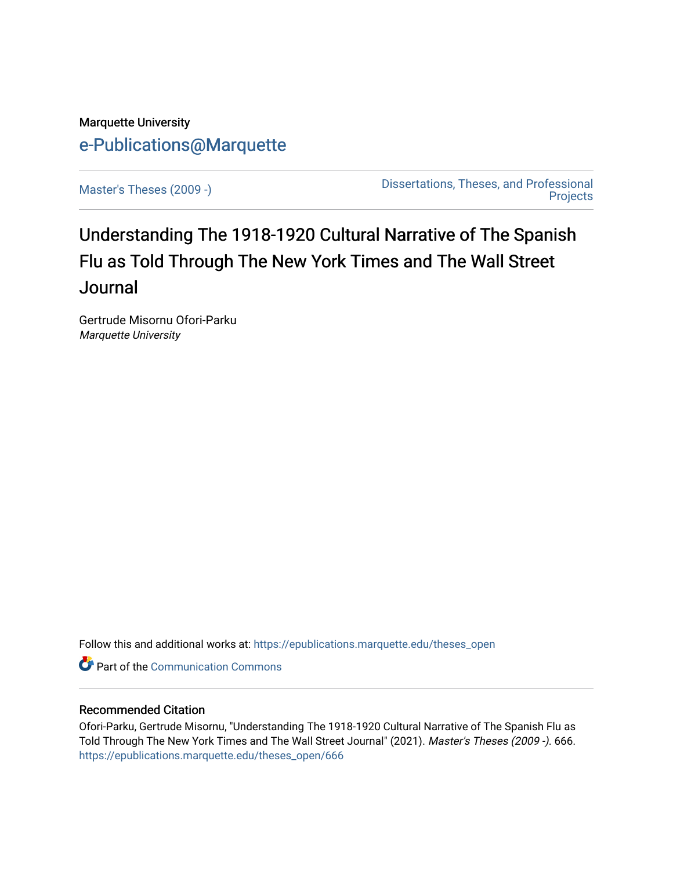# Marquette University [e-Publications@Marquette](https://epublications.marquette.edu/)

[Master's Theses \(2009 -\)](https://epublications.marquette.edu/theses_open) [Dissertations, Theses, and Professional](https://epublications.marquette.edu/diss_theses)  **Projects** 

# Understanding The 1918-1920 Cultural Narrative of The Spanish Flu as Told Through The New York Times and The Wall Street **Journal**

Gertrude Misornu Ofori-Parku Marquette University

Follow this and additional works at: [https://epublications.marquette.edu/theses\\_open](https://epublications.marquette.edu/theses_open?utm_source=epublications.marquette.edu%2Ftheses_open%2F666&utm_medium=PDF&utm_campaign=PDFCoverPages) 

**Part of the Communication Commons** 

# Recommended Citation

Ofori-Parku, Gertrude Misornu, "Understanding The 1918-1920 Cultural Narrative of The Spanish Flu as Told Through The New York Times and The Wall Street Journal" (2021). Master's Theses (2009 -). 666. [https://epublications.marquette.edu/theses\\_open/666](https://epublications.marquette.edu/theses_open/666?utm_source=epublications.marquette.edu%2Ftheses_open%2F666&utm_medium=PDF&utm_campaign=PDFCoverPages)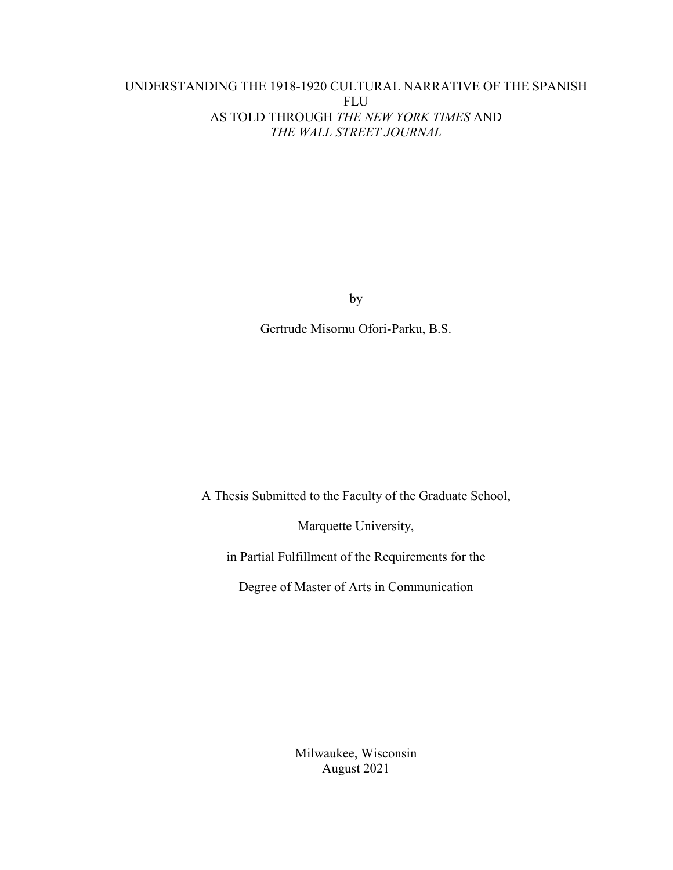# UNDERSTANDING THE 1918-1920 CULTURAL NARRATIVE OF THE SPANISH FLU AS TOLD THROUGH *THE NEW YORK TIMES* AND *THE WALL STREET JOURNAL*

by

Gertrude Misornu Ofori-Parku, B.S.

A Thesis Submitted to the Faculty of the Graduate School,

Marquette University,

in Partial Fulfillment of the Requirements for the

Degree of Master of Arts in Communication

Milwaukee, Wisconsin August 2021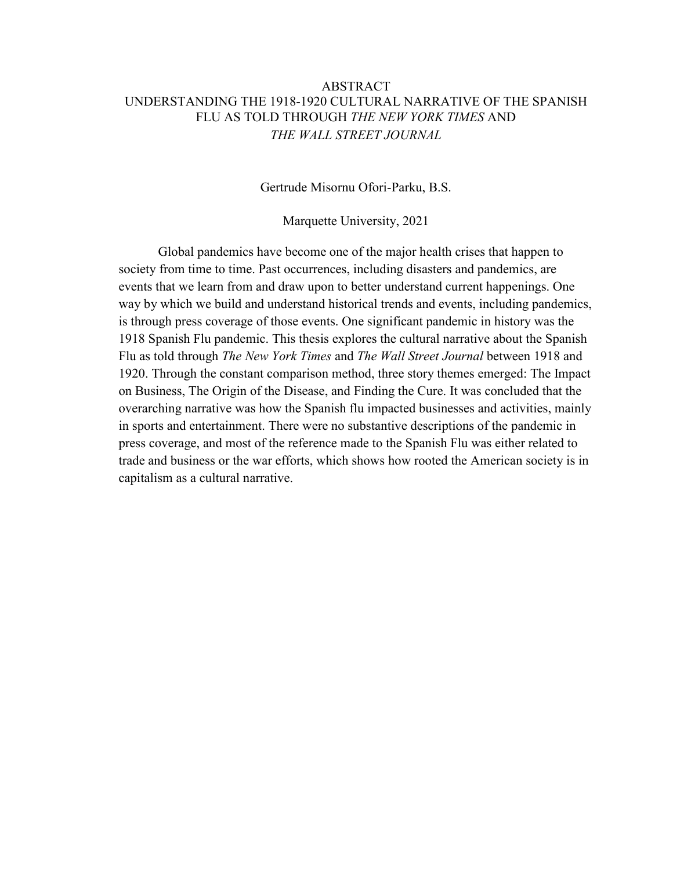# ABSTRACT UNDERSTANDING THE 1918-1920 CULTURAL NARRATIVE OF THE SPANISH FLU AS TOLD THROUGH *THE NEW YORK TIMES* AND *THE WALL STREET JOURNAL*

Gertrude Misornu Ofori-Parku, B.S.

Marquette University, 2021

Global pandemics have become one of the major health crises that happen to society from time to time. Past occurrences, including disasters and pandemics, are events that we learn from and draw upon to better understand current happenings. One way by which we build and understand historical trends and events, including pandemics, is through press coverage of those events. One significant pandemic in history was the 1918 Spanish Flu pandemic. This thesis explores the cultural narrative about the Spanish Flu as told through *The New York Times* and *The Wall Street Journal* between 1918 and 1920. Through the constant comparison method, three story themes emerged: The Impact on Business, The Origin of the Disease, and Finding the Cure. It was concluded that the overarching narrative was how the Spanish flu impacted businesses and activities, mainly in sports and entertainment. There were no substantive descriptions of the pandemic in press coverage, and most of the reference made to the Spanish Flu was either related to trade and business or the war efforts, which shows how rooted the American society is in capitalism as a cultural narrative.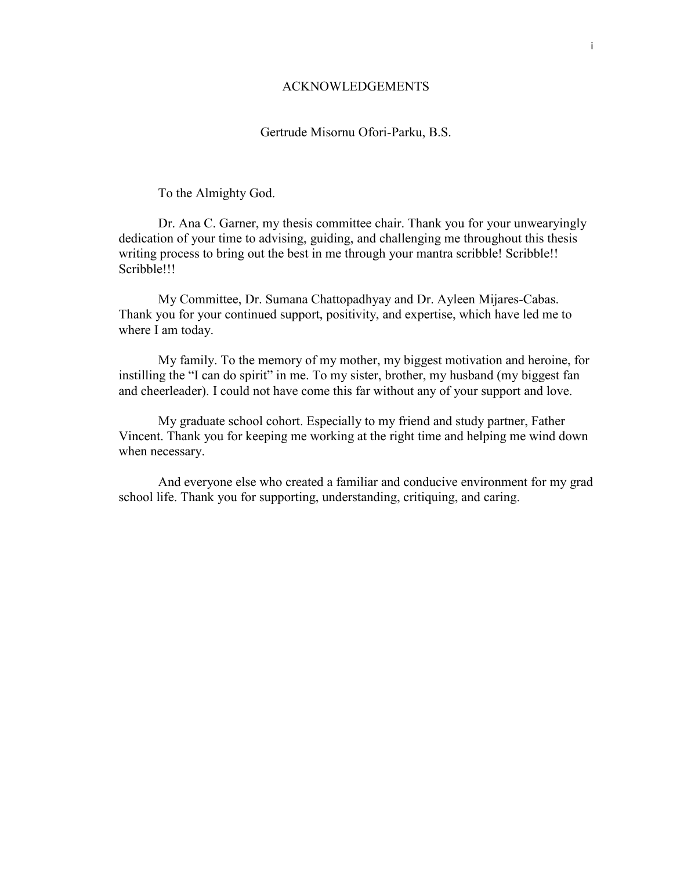## ACKNOWLEDGEMENTS

### Gertrude Misornu Ofori-Parku, B.S.

To the Almighty God.

Dr. Ana C. Garner, my thesis committee chair. Thank you for your unwearyingly dedication of your time to advising, guiding, and challenging me throughout this thesis writing process to bring out the best in me through your mantra scribble! Scribble!! Scribble!!!

My Committee, Dr. Sumana Chattopadhyay and Dr. Ayleen Mijares-Cabas. Thank you for your continued support, positivity, and expertise, which have led me to where I am today.

My family. To the memory of my mother, my biggest motivation and heroine, for instilling the "I can do spirit" in me. To my sister, brother, my husband (my biggest fan and cheerleader). I could not have come this far without any of your support and love.

My graduate school cohort. Especially to my friend and study partner, Father Vincent. Thank you for keeping me working at the right time and helping me wind down when necessary.

And everyone else who created a familiar and conducive environment for my grad school life. Thank you for supporting, understanding, critiquing, and caring.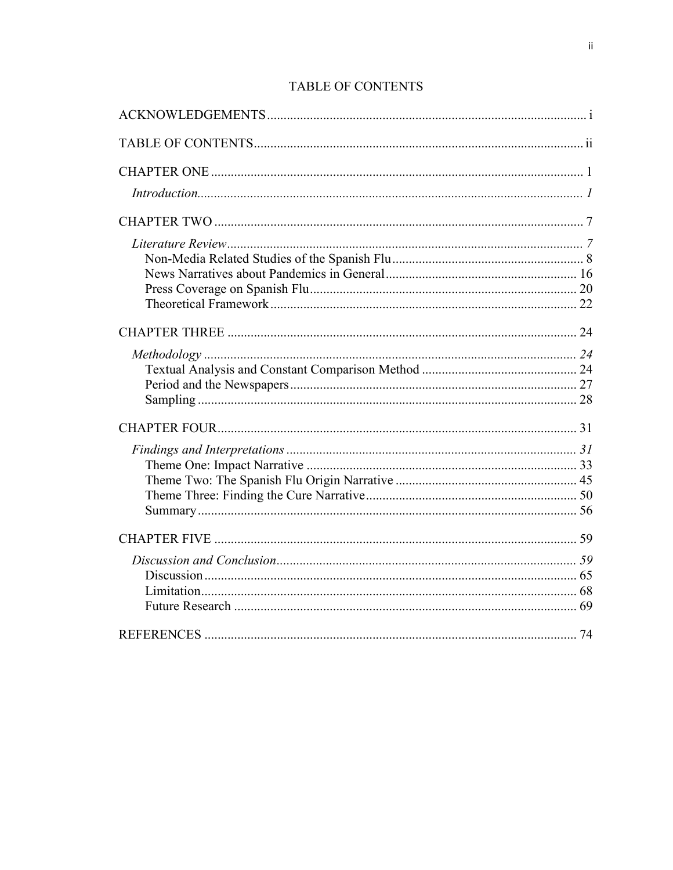# **TABLE OF CONTENTS**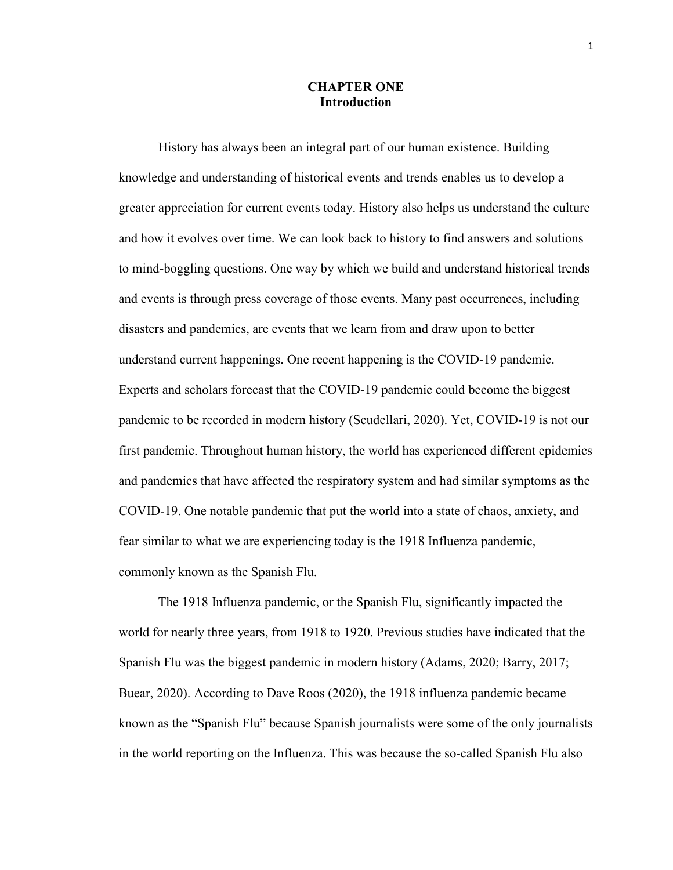### **CHAPTER ONE Introduction**

History has always been an integral part of our human existence. Building knowledge and understanding of historical events and trends enables us to develop a greater appreciation for current events today. History also helps us understand the culture and how it evolves over time. We can look back to history to find answers and solutions to mind-boggling questions. One way by which we build and understand historical trends and events is through press coverage of those events. Many past occurrences, including disasters and pandemics, are events that we learn from and draw upon to better understand current happenings. One recent happening is the COVID-19 pandemic. Experts and scholars forecast that the COVID-19 pandemic could become the biggest pandemic to be recorded in modern history (Scudellari, 2020). Yet, COVID-19 is not our first pandemic. Throughout human history, the world has experienced different epidemics and pandemics that have affected the respiratory system and had similar symptoms as the COVID-19. One notable pandemic that put the world into a state of chaos, anxiety, and fear similar to what we are experiencing today is the 1918 Influenza pandemic, commonly known as the Spanish Flu.

The 1918 Influenza pandemic, or the Spanish Flu, significantly impacted the world for nearly three years, from 1918 to 1920. Previous studies have indicated that the Spanish Flu was the biggest pandemic in modern history (Adams, 2020; Barry, 2017; Buear, 2020). According to Dave Roos (2020), the 1918 influenza pandemic became known as the "Spanish Flu" because Spanish journalists were some of the only journalists in the world reporting on the Influenza. This was because the so-called Spanish Flu also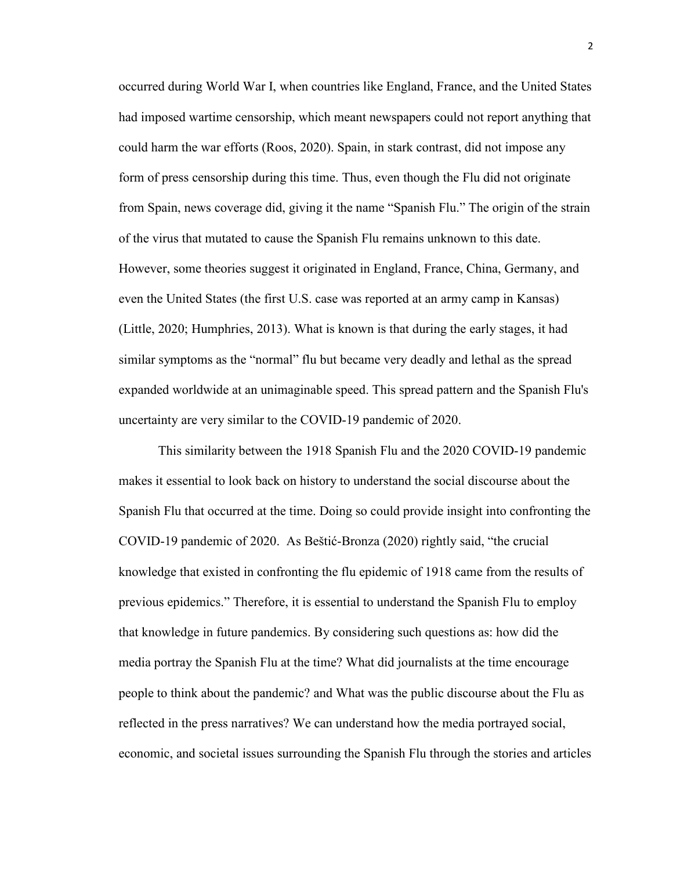occurred during World War I, when countries like England, France, and the United States had imposed wartime censorship, which meant newspapers could not report anything that could harm the war efforts (Roos, 2020). Spain, in stark contrast, did not impose any form of press censorship during this time. Thus, even though the Flu did not originate from Spain, news coverage did, giving it the name "Spanish Flu." The origin of the strain of the virus that mutated to cause the Spanish Flu remains unknown to this date. However, some theories suggest it originated in England, France, China, Germany, and even the United States (the first U.S. case was reported at an army camp in Kansas) (Little, 2020; Humphries, 2013). What is known is that during the early stages, it had similar symptoms as the "normal" flu but became very deadly and lethal as the spread expanded worldwide at an unimaginable speed. This spread pattern and the Spanish Flu's uncertainty are very similar to the COVID-19 pandemic of 2020.

This similarity between the 1918 Spanish Flu and the 2020 COVID-19 pandemic makes it essential to look back on history to understand the social discourse about the Spanish Flu that occurred at the time. Doing so could provide insight into confronting the COVID-19 pandemic of 2020. As Beštić-Bronza (2020) rightly said, "the crucial knowledge that existed in confronting the flu epidemic of 1918 came from the results of previous epidemics." Therefore, it is essential to understand the Spanish Flu to employ that knowledge in future pandemics. By considering such questions as: how did the media portray the Spanish Flu at the time? What did journalists at the time encourage people to think about the pandemic? and What was the public discourse about the Flu as reflected in the press narratives? We can understand how the media portrayed social, economic, and societal issues surrounding the Spanish Flu through the stories and articles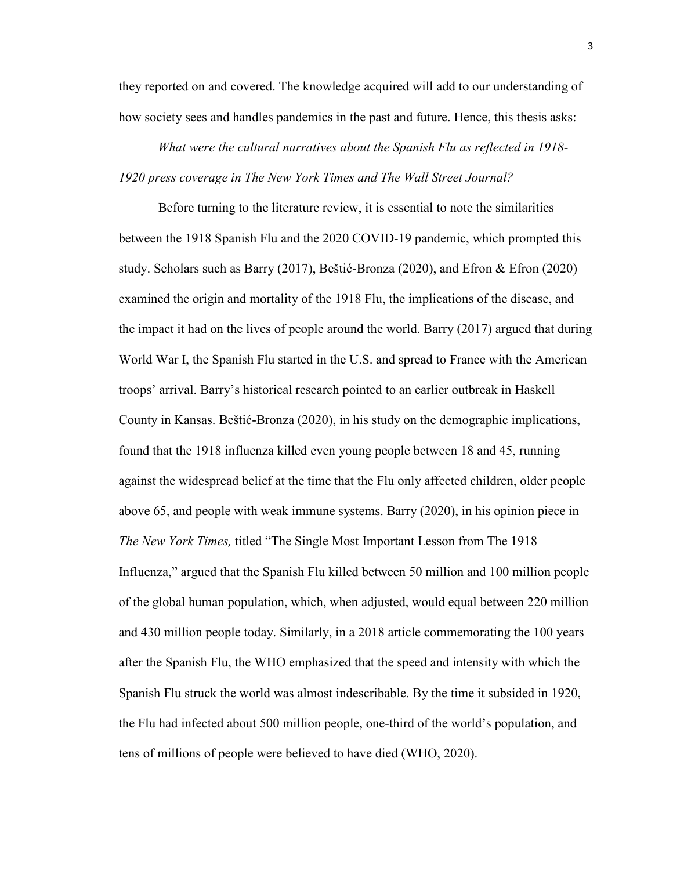they reported on and covered. The knowledge acquired will add to our understanding of how society sees and handles pandemics in the past and future. Hence, this thesis asks:

*What were the cultural narratives about the Spanish Flu as reflected in 1918- 1920 press coverage in The New York Times and The Wall Street Journal?* 

Before turning to the literature review, it is essential to note the similarities between the 1918 Spanish Flu and the 2020 COVID-19 pandemic, which prompted this study. Scholars such as Barry (2017), Beštić-Bronza (2020), and Efron & Efron (2020) examined the origin and mortality of the 1918 Flu, the implications of the disease, and the impact it had on the lives of people around the world. Barry (2017) argued that during World War I, the Spanish Flu started in the U.S. and spread to France with the American troops' arrival. Barry's historical research pointed to an earlier outbreak in Haskell County in Kansas. Beštić-Bronza (2020), in his study on the demographic implications, found that the 1918 influenza killed even young people between 18 and 45, running against the widespread belief at the time that the Flu only affected children, older people above 65, and people with weak immune systems. Barry (2020), in his opinion piece in *The New York Times,* titled "The Single Most Important Lesson from The 1918 Influenza," argued that the Spanish Flu killed between 50 million and 100 million people of the global human population, which, when adjusted, would equal between 220 million and 430 million people today. Similarly, in a 2018 article commemorating the 100 years after the Spanish Flu, the WHO emphasized that the speed and intensity with which the Spanish Flu struck the world was almost indescribable. By the time it subsided in 1920, the Flu had infected about 500 million people, one-third of the world's population, and tens of millions of people were believed to have died (WHO, 2020).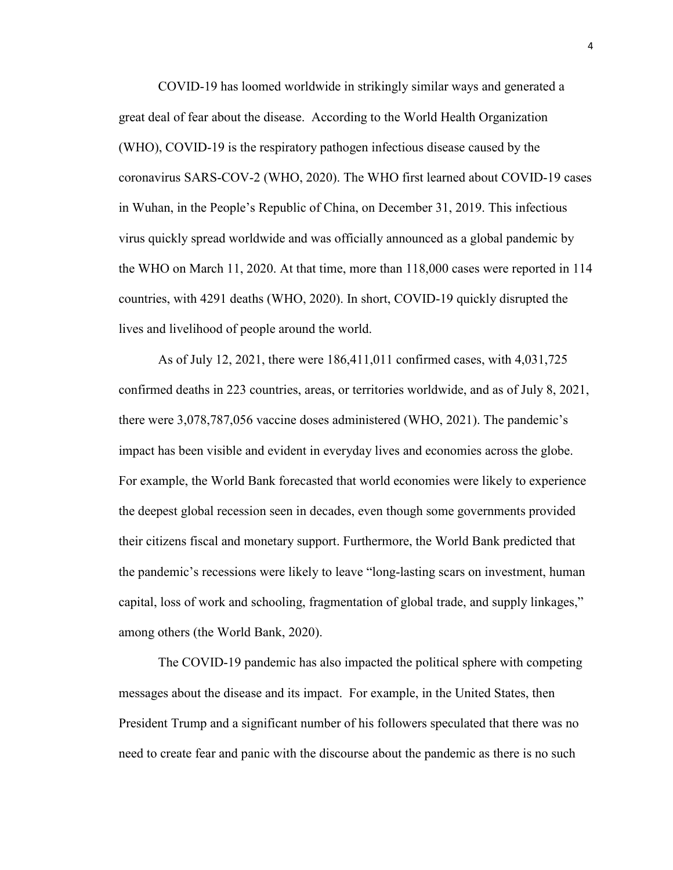COVID-19 has loomed worldwide in strikingly similar ways and generated a great deal of fear about the disease. According to the World Health Organization (WHO), COVID-19 is the respiratory pathogen infectious disease caused by the coronavirus SARS-COV-2 (WHO, 2020). The WHO first learned about COVID-19 cases in Wuhan, in the People's Republic of China, on December 31, 2019. This infectious virus quickly spread worldwide and was officially announced as a global pandemic by the WHO on March 11, 2020. At that time, more than 118,000 cases were reported in 114 countries, with 4291 deaths (WHO, 2020). In short, COVID-19 quickly disrupted the lives and livelihood of people around the world.

As of July 12, 2021, there were 186,411,011 confirmed cases, with 4,031,725 confirmed deaths in 223 countries, areas, or territories worldwide, and as of July 8, 2021, there were 3,078,787,056 vaccine doses administered (WHO, 2021). The pandemic's impact has been visible and evident in everyday lives and economies across the globe. For example, the World Bank forecasted that world economies were likely to experience the deepest global recession seen in decades, even though some governments provided their citizens fiscal and monetary support. Furthermore, the World Bank predicted that the pandemic's recessions were likely to leave "long-lasting scars on investment, human capital, loss of work and schooling, fragmentation of global trade, and supply linkages," among others (the World Bank, 2020).

The COVID-19 pandemic has also impacted the political sphere with competing messages about the disease and its impact. For example, in the United States, then President Trump and a significant number of his followers speculated that there was no need to create fear and panic with the discourse about the pandemic as there is no such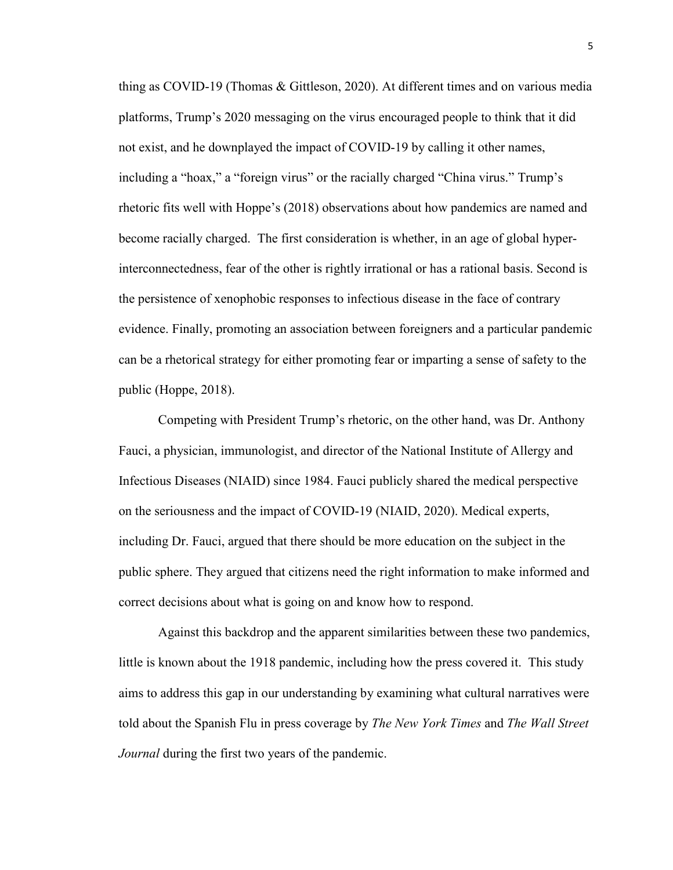thing as COVID-19 (Thomas & Gittleson, 2020). At different times and on various media platforms, Trump's 2020 messaging on the virus encouraged people to think that it did not exist, and he downplayed the impact of COVID-19 by calling it other names, including a "hoax," a "foreign virus" or the racially charged "China virus." Trump's rhetoric fits well with Hoppe's (2018) observations about how pandemics are named and become racially charged. The first consideration is whether, in an age of global hyperinterconnectedness, fear of the other is rightly irrational or has a rational basis. Second is the persistence of xenophobic responses to infectious disease in the face of contrary evidence. Finally, promoting an association between foreigners and a particular pandemic can be a rhetorical strategy for either promoting fear or imparting a sense of safety to the public (Hoppe, 2018).

Competing with President Trump's rhetoric, on the other hand, was Dr. Anthony Fauci, a physician, immunologist, and director of the National Institute of Allergy and Infectious Diseases (NIAID) since 1984. Fauci publicly shared the medical perspective on the seriousness and the impact of COVID-19 (NIAID, 2020). Medical experts, including Dr. Fauci, argued that there should be more education on the subject in the public sphere. They argued that citizens need the right information to make informed and correct decisions about what is going on and know how to respond.

Against this backdrop and the apparent similarities between these two pandemics, little is known about the 1918 pandemic, including how the press covered it. This study aims to address this gap in our understanding by examining what cultural narratives were told about the Spanish Flu in press coverage by *The New York Times* and *The Wall Street Journal* during the first two years of the pandemic.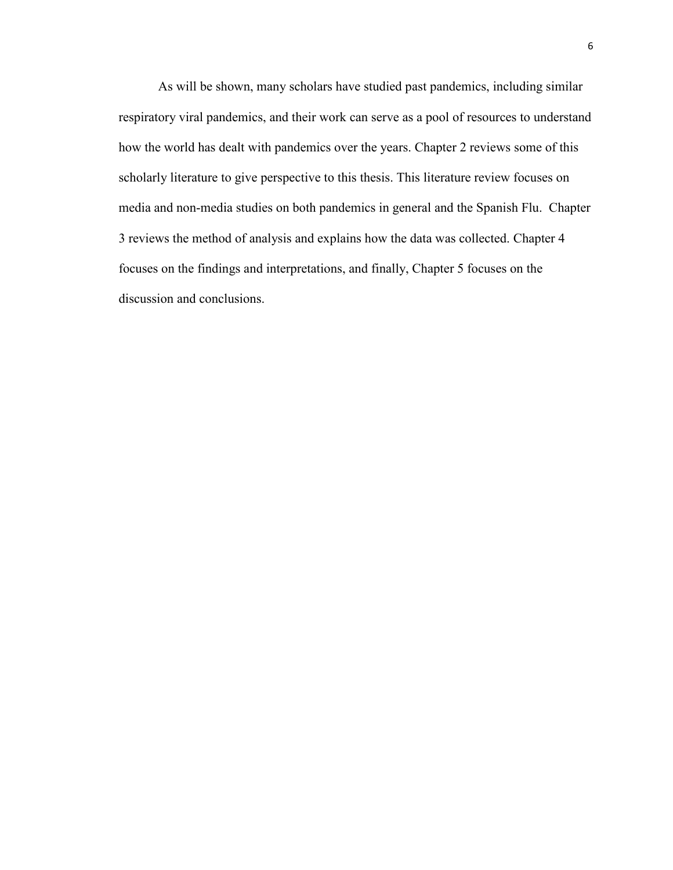As will be shown, many scholars have studied past pandemics, including similar respiratory viral pandemics, and their work can serve as a pool of resources to understand how the world has dealt with pandemics over the years. Chapter 2 reviews some of this scholarly literature to give perspective to this thesis. This literature review focuses on media and non-media studies on both pandemics in general and the Spanish Flu. Chapter 3 reviews the method of analysis and explains how the data was collected. Chapter 4 focuses on the findings and interpretations, and finally, Chapter 5 focuses on the discussion and conclusions.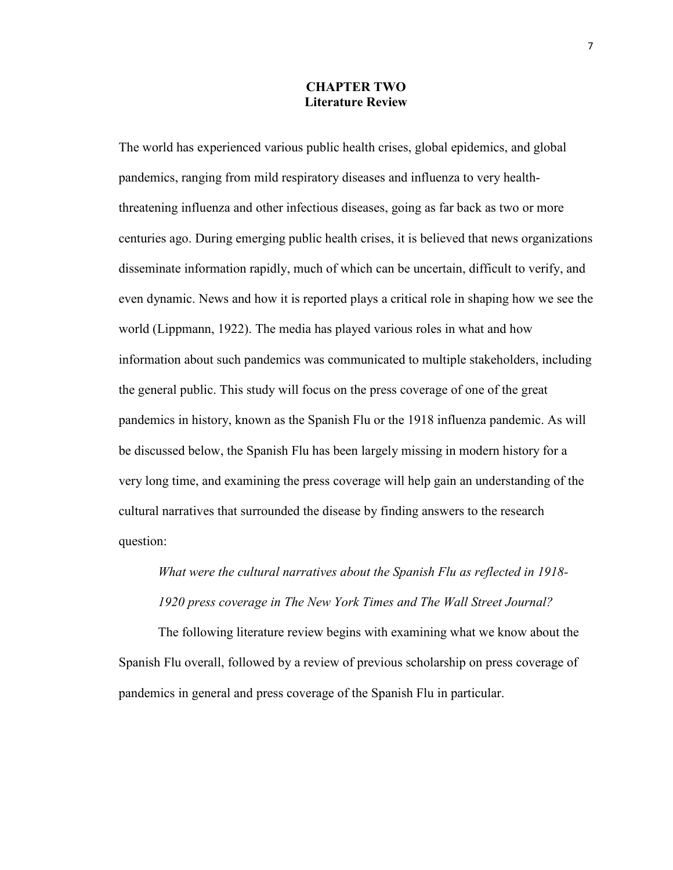### **CHAPTER TWO Literature Review**

The world has experienced various public health crises, global epidemics, and global pandemics, ranging from mild respiratory diseases and influenza to very healththreatening influenza and other infectious diseases, going as far back as two or more centuries ago. During emerging public health crises, it is believed that news organizations disseminate information rapidly, much of which can be uncertain, difficult to verify, and even dynamic. News and how it is reported plays a critical role in shaping how we see the world (Lippmann, 1922). The media has played various roles in what and how information about such pandemics was communicated to multiple stakeholders, including the general public. This study will focus on the press coverage of one of the great pandemics in history, known as the Spanish Flu or the 1918 influenza pandemic. As will be discussed below, the Spanish Flu has been largely missing in modern history for a very long time, and examining the press coverage will help gain an understanding of the cultural narratives that surrounded the disease by finding answers to the research question:

# *What were the cultural narratives about the Spanish Flu as reflected in 1918- 1920 press coverage in The New York Times and The Wall Street Journal?*

The following literature review begins with examining what we know about the Spanish Flu overall, followed by a review of previous scholarship on press coverage of pandemics in general and press coverage of the Spanish Flu in particular.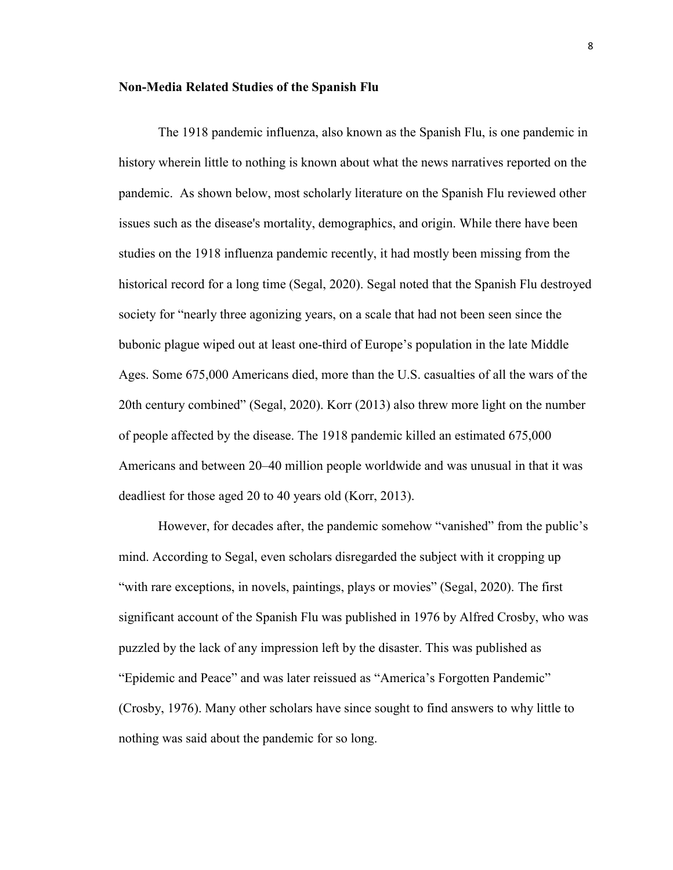#### **Non-Media Related Studies of the Spanish Flu**

The 1918 pandemic influenza, also known as the Spanish Flu, is one pandemic in history wherein little to nothing is known about what the news narratives reported on the pandemic. As shown below, most scholarly literature on the Spanish Flu reviewed other issues such as the disease's mortality, demographics, and origin. While there have been studies on the 1918 influenza pandemic recently, it had mostly been missing from the historical record for a long time (Segal, 2020). Segal noted that the Spanish Flu destroyed society for "nearly three agonizing years, on a scale that had not been seen since the bubonic plague wiped out at least one-third of Europe's population in the late Middle Ages. Some 675,000 Americans died, more than the U.S. casualties of all the wars of the 20th century combined" (Segal, 2020). Korr (2013) also threw more light on the number of people affected by the disease. The 1918 pandemic killed an estimated 675,000 Americans and between 20–40 million people worldwide and was unusual in that it was deadliest for those aged 20 to 40 years old (Korr, 2013).

However, for decades after, the pandemic somehow "vanished" from the public's mind. According to Segal, even scholars disregarded the subject with it cropping up "with rare exceptions, in novels, paintings, plays or movies" (Segal, 2020). The first significant account of the Spanish Flu was published in 1976 by Alfred Crosby, who was puzzled by the lack of any impression left by the disaster. This was published as "Epidemic and Peace" and was later reissued as "America's Forgotten Pandemic" (Crosby, 1976). Many other scholars have since sought to find answers to why little to nothing was said about the pandemic for so long.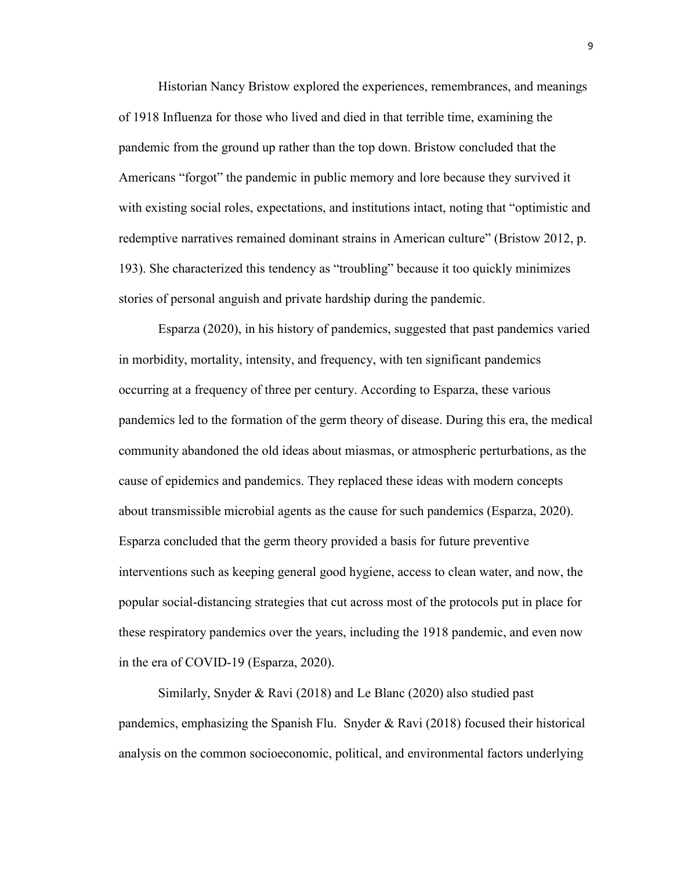Historian Nancy Bristow explored the experiences, remembrances, and meanings of 1918 Influenza for those who lived and died in that terrible time, examining the pandemic from the ground up rather than the top down. Bristow concluded that the Americans "forgot" the pandemic in public memory and lore because they survived it with existing social roles, expectations, and institutions intact, noting that "optimistic and redemptive narratives remained dominant strains in American culture" (Bristow 2012, p. 193). She characterized this tendency as "troubling" because it too quickly minimizes stories of personal anguish and private hardship during the pandemic.

Esparza (2020), in his history of pandemics, suggested that past pandemics varied in morbidity, mortality, intensity, and frequency, with ten significant pandemics occurring at a frequency of three per century. According to Esparza, these various pandemics led to the formation of the germ theory of disease. During this era, the medical community abandoned the old ideas about miasmas, or atmospheric perturbations, as the cause of epidemics and pandemics. They replaced these ideas with modern concepts about transmissible microbial agents as the cause for such pandemics (Esparza, 2020). Esparza concluded that the germ theory provided a basis for future preventive interventions such as keeping general good hygiene, access to clean water, and now, the popular social-distancing strategies that cut across most of the protocols put in place for these respiratory pandemics over the years, including the 1918 pandemic, and even now in the era of COVID-19 (Esparza, 2020).

Similarly, Snyder & Ravi (2018) and Le Blanc (2020) also studied past pandemics, emphasizing the Spanish Flu. Snyder  $\&$  Ravi (2018) focused their historical analysis on the common socioeconomic, political, and environmental factors underlying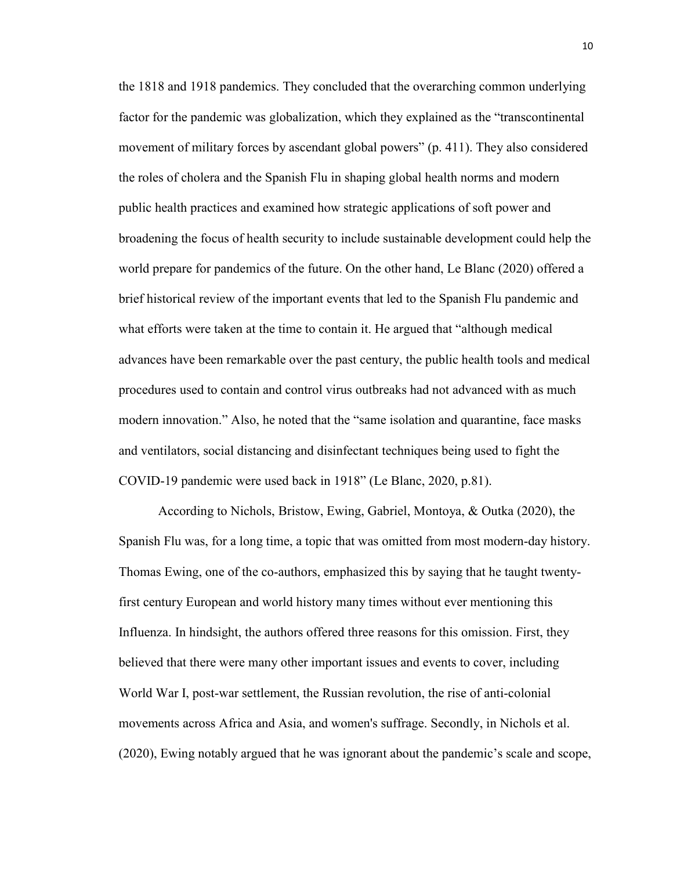the 1818 and 1918 pandemics. They concluded that the overarching common underlying factor for the pandemic was globalization, which they explained as the "transcontinental movement of military forces by ascendant global powers" (p. 411). They also considered the roles of cholera and the Spanish Flu in shaping global health norms and modern public health practices and examined how strategic applications of soft power and broadening the focus of health security to include sustainable development could help the world prepare for pandemics of the future. On the other hand, Le Blanc (2020) offered a brief historical review of the important events that led to the Spanish Flu pandemic and what efforts were taken at the time to contain it. He argued that "although medical advances have been remarkable over the past century, the public health tools and medical procedures used to contain and control virus outbreaks had not advanced with as much modern innovation." Also, he noted that the "same isolation and quarantine, face masks and ventilators, social distancing and disinfectant techniques being used to fight the COVID-19 pandemic were used back in 1918" (Le Blanc, 2020, p.81).

According to Nichols, Bristow, Ewing, Gabriel, Montoya, & Outka (2020), the Spanish Flu was, for a long time, a topic that was omitted from most modern-day history. Thomas Ewing, one of the co-authors, emphasized this by saying that he taught twentyfirst century European and world history many times without ever mentioning this Influenza. In hindsight, the authors offered three reasons for this omission. First, they believed that there were many other important issues and events to cover, including World War I, post-war settlement, the Russian revolution, the rise of anti-colonial movements across Africa and Asia, and women's suffrage. Secondly, in Nichols et al. (2020), Ewing notably argued that he was ignorant about the pandemic's scale and scope,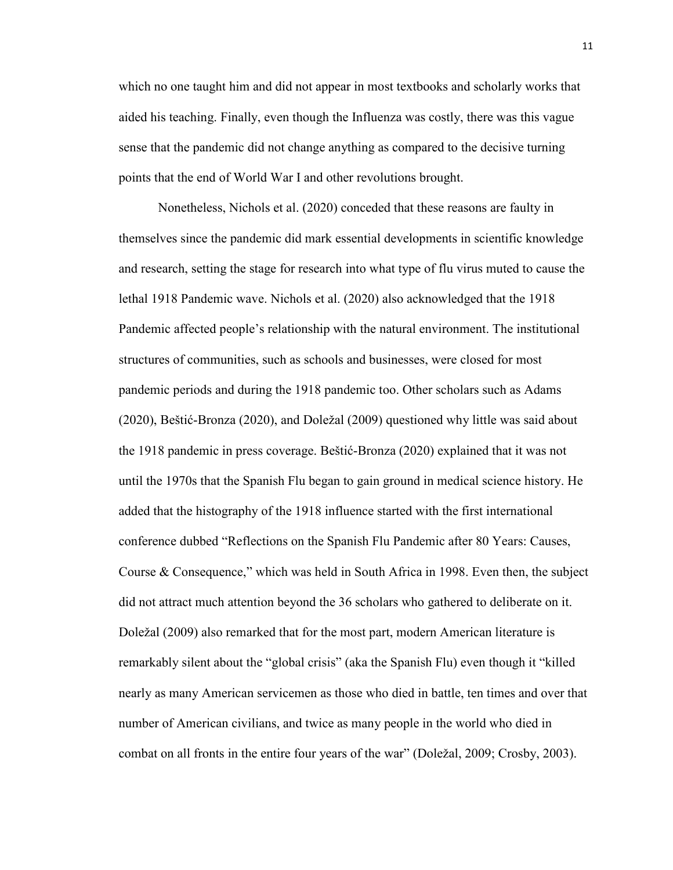which no one taught him and did not appear in most textbooks and scholarly works that aided his teaching. Finally, even though the Influenza was costly, there was this vague sense that the pandemic did not change anything as compared to the decisive turning points that the end of World War I and other revolutions brought.

Nonetheless, Nichols et al. (2020) conceded that these reasons are faulty in themselves since the pandemic did mark essential developments in scientific knowledge and research, setting the stage for research into what type of flu virus muted to cause the lethal 1918 Pandemic wave. Nichols et al. (2020) also acknowledged that the 1918 Pandemic affected people's relationship with the natural environment. The institutional structures of communities, such as schools and businesses, were closed for most pandemic periods and during the 1918 pandemic too. Other scholars such as Adams (2020), Beštić-Bronza (2020), and Doležal (2009) questioned why little was said about the 1918 pandemic in press coverage. Beštić-Bronza (2020) explained that it was not until the 1970s that the Spanish Flu began to gain ground in medical science history. He added that the histography of the 1918 influence started with the first international conference dubbed "Reflections on the Spanish Flu Pandemic after 80 Years: Causes, Course & Consequence," which was held in South Africa in 1998. Even then, the subject did not attract much attention beyond the 36 scholars who gathered to deliberate on it. Doležal (2009) also remarked that for the most part, modern American literature is remarkably silent about the "global crisis" (aka the Spanish Flu) even though it "killed nearly as many American servicemen as those who died in battle, ten times and over that number of American civilians, and twice as many people in the world who died in combat on all fronts in the entire four years of the war" (Doležal, 2009; Crosby, 2003).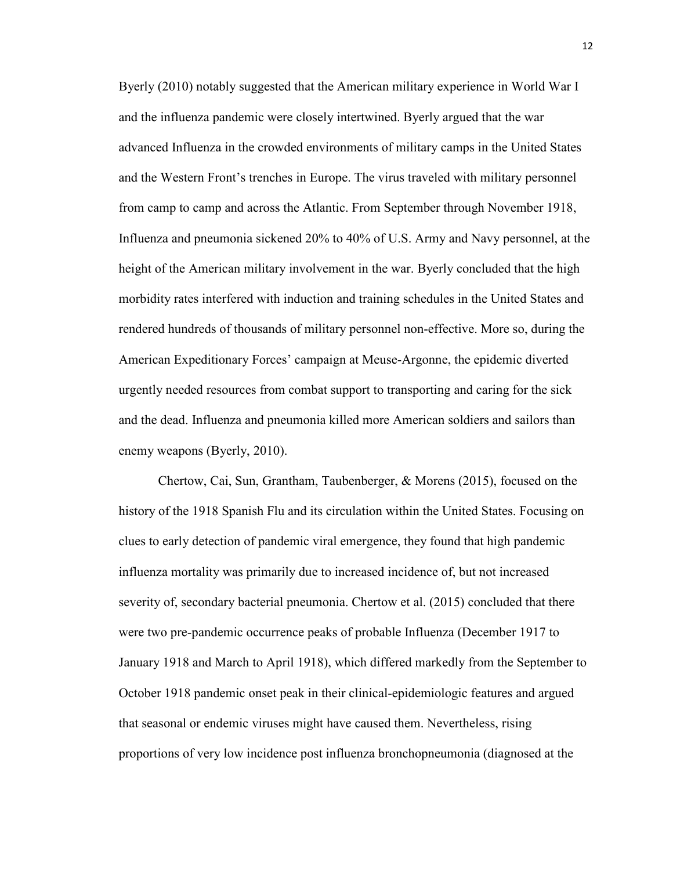Byerly (2010) notably suggested that the American military experience in World War I and the influenza pandemic were closely intertwined. Byerly argued that the war advanced Influenza in the crowded environments of military camps in the United States and the Western Front's trenches in Europe. The virus traveled with military personnel from camp to camp and across the Atlantic. From September through November 1918, Influenza and pneumonia sickened 20% to 40% of U.S. Army and Navy personnel, at the height of the American military involvement in the war. Byerly concluded that the high morbidity rates interfered with induction and training schedules in the United States and rendered hundreds of thousands of military personnel non-effective. More so, during the American Expeditionary Forces' campaign at Meuse-Argonne, the epidemic diverted urgently needed resources from combat support to transporting and caring for the sick and the dead. Influenza and pneumonia killed more American soldiers and sailors than enemy weapons (Byerly, 2010).

Chertow, Cai, Sun, Grantham, Taubenberger, & Morens (2015), focused on the history of the 1918 Spanish Flu and its circulation within the United States. Focusing on clues to early detection of pandemic viral emergence, they found that high pandemic influenza mortality was primarily due to increased incidence of, but not increased severity of, secondary bacterial pneumonia. Chertow et al. (2015) concluded that there were two pre-pandemic occurrence peaks of probable Influenza (December 1917 to January 1918 and March to April 1918), which differed markedly from the September to October 1918 pandemic onset peak in their clinical-epidemiologic features and argued that seasonal or endemic viruses might have caused them. Nevertheless, rising proportions of very low incidence post influenza bronchopneumonia (diagnosed at the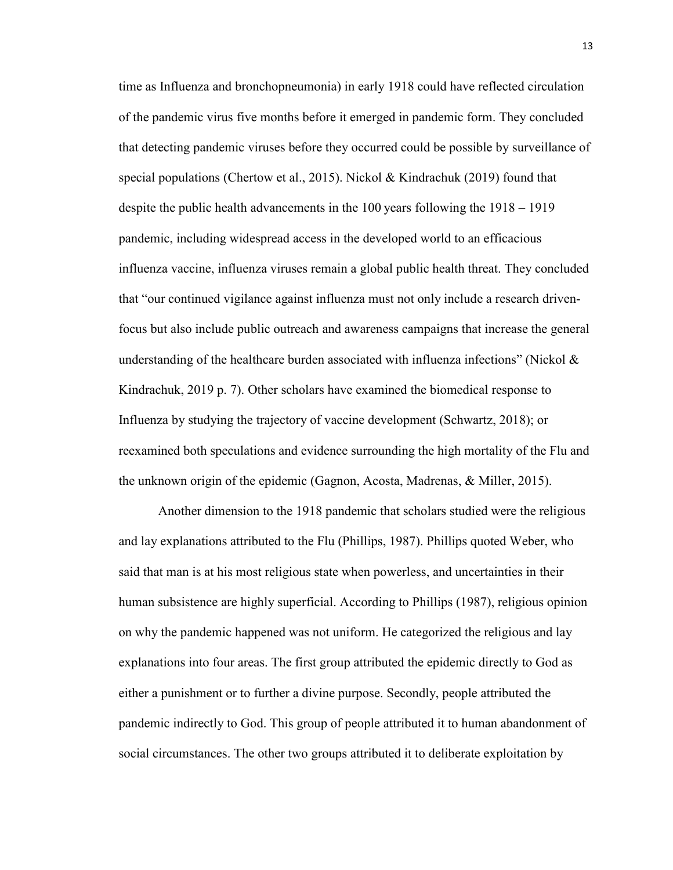time as Influenza and bronchopneumonia) in early 1918 could have reflected circulation of the pandemic virus five months before it emerged in pandemic form. They concluded that detecting pandemic viruses before they occurred could be possible by surveillance of special populations (Chertow et al., 2015). Nickol & Kindrachuk (2019) found that despite the public health advancements in the 100 years following the 1918 – 1919 pandemic, including widespread access in the developed world to an efficacious influenza vaccine, influenza viruses remain a global public health threat. They concluded that "our continued vigilance against influenza must not only include a research drivenfocus but also include public outreach and awareness campaigns that increase the general understanding of the healthcare burden associated with influenza infections" (Nickol  $\&$ Kindrachuk, 2019 p. 7). Other scholars have examined the biomedical response to Influenza by studying the trajectory of vaccine development (Schwartz, 2018); or reexamined both speculations and evidence surrounding the high mortality of the Flu and the unknown origin of the epidemic (Gagnon, Acosta, Madrenas, & Miller, 2015).

Another dimension to the 1918 pandemic that scholars studied were the religious and lay explanations attributed to the Flu (Phillips, 1987). Phillips quoted Weber, who said that man is at his most religious state when powerless, and uncertainties in their human subsistence are highly superficial. According to Phillips (1987), religious opinion on why the pandemic happened was not uniform. He categorized the religious and lay explanations into four areas. The first group attributed the epidemic directly to God as either a punishment or to further a divine purpose. Secondly, people attributed the pandemic indirectly to God. This group of people attributed it to human abandonment of social circumstances. The other two groups attributed it to deliberate exploitation by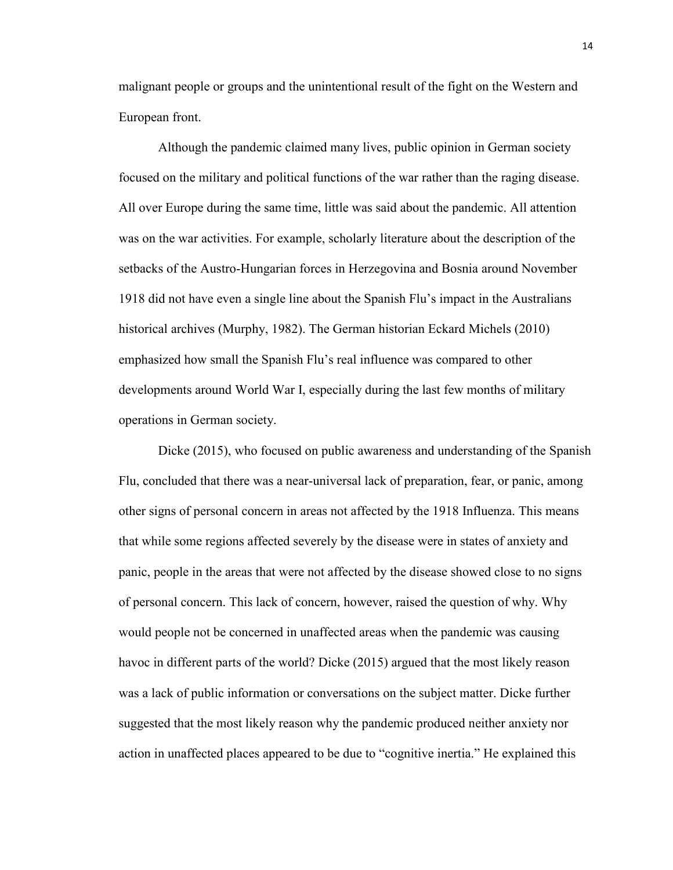malignant people or groups and the unintentional result of the fight on the Western and European front.

Although the pandemic claimed many lives, public opinion in German society focused on the military and political functions of the war rather than the raging disease. All over Europe during the same time, little was said about the pandemic. All attention was on the war activities. For example, scholarly literature about the description of the setbacks of the Austro-Hungarian forces in Herzegovina and Bosnia around November 1918 did not have even a single line about the Spanish Flu's impact in the Australians historical archives (Murphy, 1982). The German historian Eckard Michels (2010) emphasized how small the Spanish Flu's real influence was compared to other developments around World War I, especially during the last few months of military operations in German society.

Dicke (2015), who focused on public awareness and understanding of the Spanish Flu, concluded that there was a near-universal lack of preparation, fear, or panic, among other signs of personal concern in areas not affected by the 1918 Influenza. This means that while some regions affected severely by the disease were in states of anxiety and panic, people in the areas that were not affected by the disease showed close to no signs of personal concern. This lack of concern, however, raised the question of why. Why would people not be concerned in unaffected areas when the pandemic was causing havoc in different parts of the world? Dicke (2015) argued that the most likely reason was a lack of public information or conversations on the subject matter. Dicke further suggested that the most likely reason why the pandemic produced neither anxiety nor action in unaffected places appeared to be due to "cognitive inertia." He explained this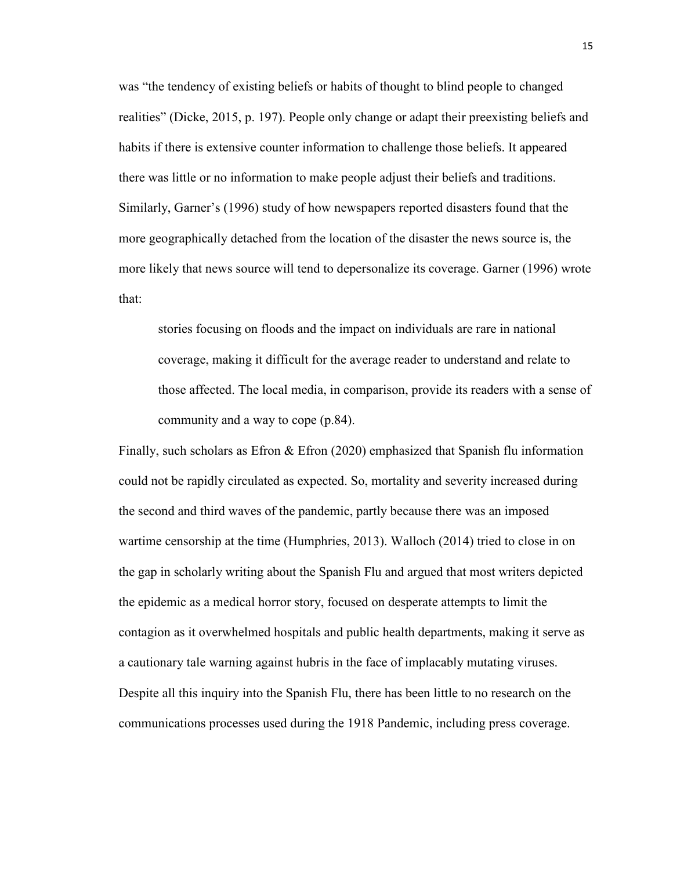was "the tendency of existing beliefs or habits of thought to blind people to changed realities" (Dicke, 2015, p. 197). People only change or adapt their preexisting beliefs and habits if there is extensive counter information to challenge those beliefs. It appeared there was little or no information to make people adjust their beliefs and traditions. Similarly, Garner's (1996) study of how newspapers reported disasters found that the more geographically detached from the location of the disaster the news source is, the more likely that news source will tend to depersonalize its coverage. Garner (1996) wrote that:

stories focusing on floods and the impact on individuals are rare in national coverage, making it difficult for the average reader to understand and relate to those affected. The local media, in comparison, provide its readers with a sense of community and a way to cope (p.84).

Finally, such scholars as Efron  $\&$  Efron (2020) emphasized that Spanish flu information could not be rapidly circulated as expected. So, mortality and severity increased during the second and third waves of the pandemic, partly because there was an imposed wartime censorship at the time (Humphries, 2013). Walloch (2014) tried to close in on the gap in scholarly writing about the Spanish Flu and argued that most writers depicted the epidemic as a medical horror story, focused on desperate attempts to limit the contagion as it overwhelmed hospitals and public health departments, making it serve as a cautionary tale warning against hubris in the face of implacably mutating viruses. Despite all this inquiry into the Spanish Flu, there has been little to no research on the communications processes used during the 1918 Pandemic, including press coverage.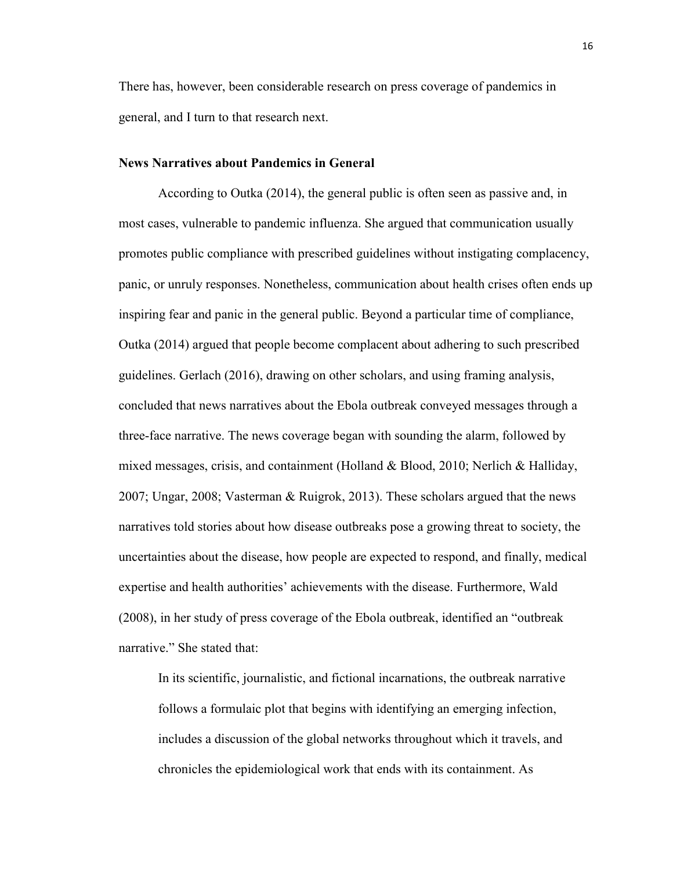There has, however, been considerable research on press coverage of pandemics in general, and I turn to that research next.

### **News Narratives about Pandemics in General**

According to Outka (2014), the general public is often seen as passive and, in most cases, vulnerable to pandemic influenza. She argued that communication usually promotes public compliance with prescribed guidelines without instigating complacency, panic, or unruly responses. Nonetheless, communication about health crises often ends up inspiring fear and panic in the general public. Beyond a particular time of compliance, Outka (2014) argued that people become complacent about adhering to such prescribed guidelines. Gerlach (2016), drawing on other scholars, and using framing analysis, concluded that news narratives about the Ebola outbreak conveyed messages through a three-face narrative. The news coverage began with sounding the alarm, followed by mixed messages, crisis, and containment (Holland & Blood, 2010; Nerlich & Halliday, 2007; Ungar, 2008; Vasterman & Ruigrok, 2013). These scholars argued that the news narratives told stories about how disease outbreaks pose a growing threat to society, the uncertainties about the disease, how people are expected to respond, and finally, medical expertise and health authorities' achievements with the disease. Furthermore, Wald (2008), in her study of press coverage of the Ebola outbreak, identified an "outbreak narrative." She stated that:

In its scientific, journalistic, and fictional incarnations, the outbreak narrative follows a formulaic plot that begins with identifying an emerging infection, includes a discussion of the global networks throughout which it travels, and chronicles the epidemiological work that ends with its containment. As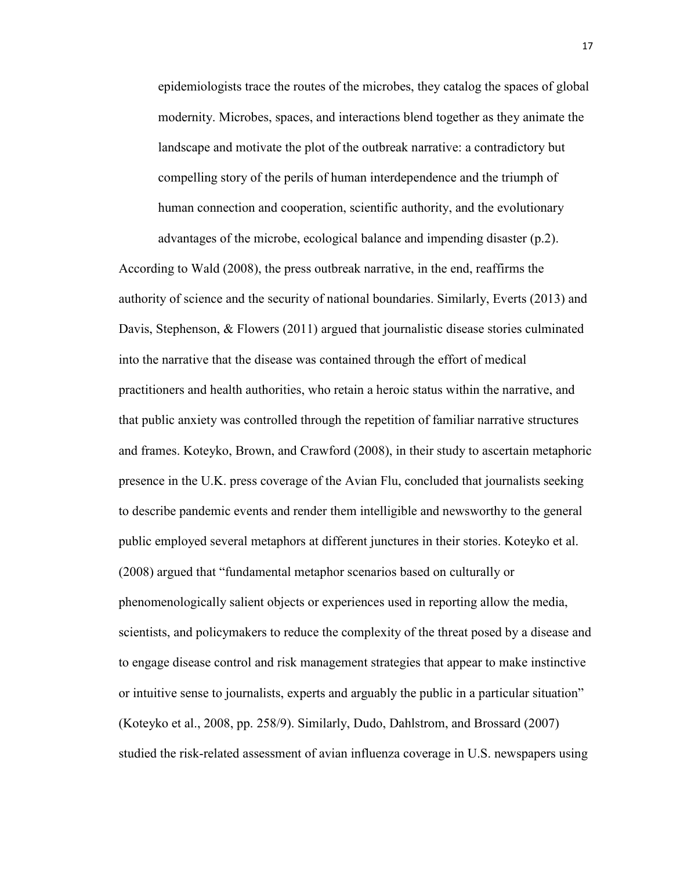epidemiologists trace the routes of the microbes, they catalog the spaces of global modernity. Microbes, spaces, and interactions blend together as they animate the landscape and motivate the plot of the outbreak narrative: a contradictory but compelling story of the perils of human interdependence and the triumph of human connection and cooperation, scientific authority, and the evolutionary advantages of the microbe, ecological balance and impending disaster (p.2).

According to Wald (2008), the press outbreak narrative, in the end, reaffirms the authority of science and the security of national boundaries. Similarly, Everts (2013) and Davis, Stephenson, & Flowers (2011) argued that journalistic disease stories culminated into the narrative that the disease was contained through the effort of medical practitioners and health authorities, who retain a heroic status within the narrative, and that public anxiety was controlled through the repetition of familiar narrative structures and frames. Koteyko, Brown, and Crawford (2008), in their study to ascertain metaphoric presence in the U.K. press coverage of the Avian Flu, concluded that journalists seeking to describe pandemic events and render them intelligible and newsworthy to the general public employed several metaphors at different junctures in their stories. Koteyko et al. (2008) argued that "fundamental metaphor scenarios based on culturally or phenomenologically salient objects or experiences used in reporting allow the media, scientists, and policymakers to reduce the complexity of the threat posed by a disease and to engage disease control and risk management strategies that appear to make instinctive or intuitive sense to journalists, experts and arguably the public in a particular situation" (Koteyko et al., 2008, pp. 258/9). Similarly, Dudo, Dahlstrom, and Brossard (2007) studied the risk-related assessment of avian influenza coverage in U.S. newspapers using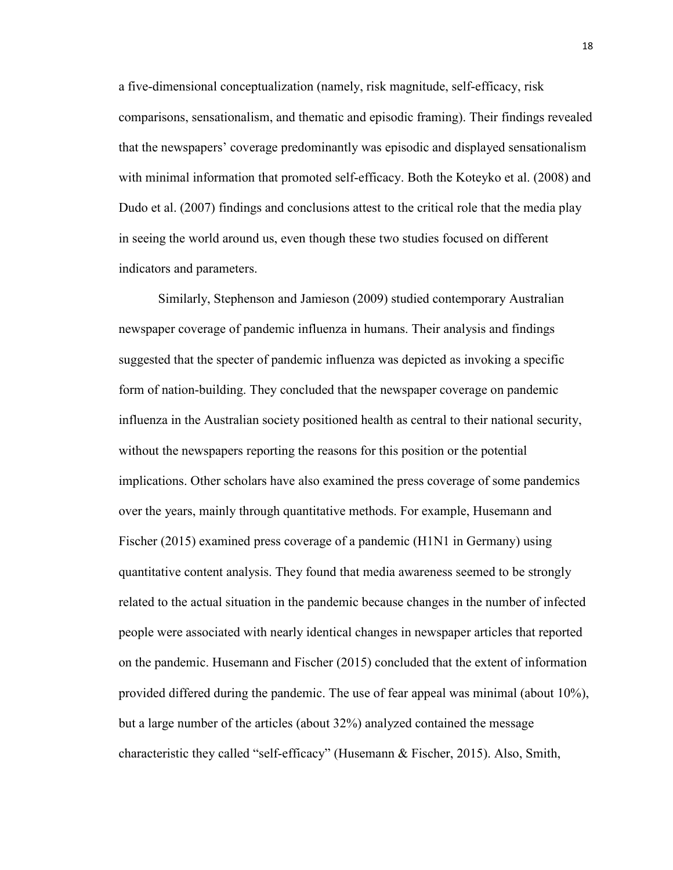a five-dimensional conceptualization (namely, risk magnitude, self-efficacy, risk comparisons, sensationalism, and thematic and episodic framing). Their findings revealed that the newspapers' coverage predominantly was episodic and displayed sensationalism with minimal information that promoted self-efficacy. Both the Koteyko et al. (2008) and Dudo et al. (2007) findings and conclusions attest to the critical role that the media play in seeing the world around us, even though these two studies focused on different indicators and parameters.

Similarly, Stephenson and Jamieson (2009) studied contemporary Australian newspaper coverage of pandemic influenza in humans. Their analysis and findings suggested that the specter of pandemic influenza was depicted as invoking a specific form of nation-building. They concluded that the newspaper coverage on pandemic influenza in the Australian society positioned health as central to their national security, without the newspapers reporting the reasons for this position or the potential implications. Other scholars have also examined the press coverage of some pandemics over the years, mainly through quantitative methods. For example, Husemann and Fischer (2015) examined press coverage of a pandemic (H1N1 in Germany) using quantitative content analysis. They found that media awareness seemed to be strongly related to the actual situation in the pandemic because changes in the number of infected people were associated with nearly identical changes in newspaper articles that reported on the pandemic. Husemann and Fischer (2015) concluded that the extent of information provided differed during the pandemic. The use of fear appeal was minimal (about 10%), but a large number of the articles (about 32%) analyzed contained the message characteristic they called "self-efficacy" (Husemann & Fischer, 2015). Also, Smith,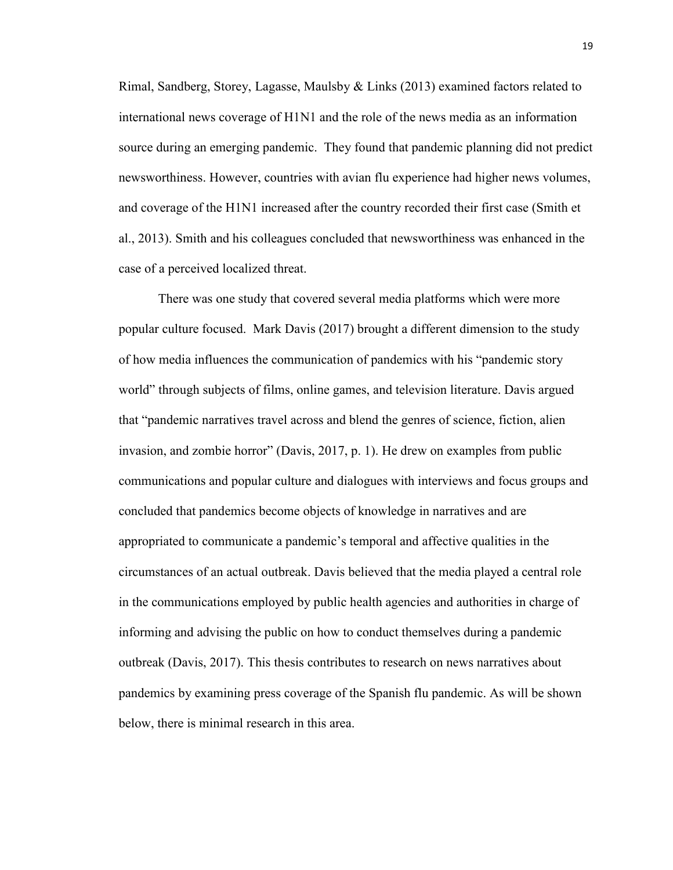Rimal, Sandberg, Storey, Lagasse, Maulsby & Links (2013) examined factors related to international news coverage of H1N1 and the role of the news media as an information source during an emerging pandemic. They found that pandemic planning did not predict newsworthiness. However, countries with avian flu experience had higher news volumes, and coverage of the H1N1 increased after the country recorded their first case (Smith et al., 2013). Smith and his colleagues concluded that newsworthiness was enhanced in the case of a perceived localized threat.

There was one study that covered several media platforms which were more popular culture focused. Mark Davis (2017) brought a different dimension to the study of how media influences the communication of pandemics with his "pandemic story world" through subjects of films, online games, and television literature. Davis argued that "pandemic narratives travel across and blend the genres of science, fiction, alien invasion, and zombie horror" (Davis, 2017, p. 1). He drew on examples from public communications and popular culture and dialogues with interviews and focus groups and concluded that pandemics become objects of knowledge in narratives and are appropriated to communicate a pandemic's temporal and affective qualities in the circumstances of an actual outbreak. Davis believed that the media played a central role in the communications employed by public health agencies and authorities in charge of informing and advising the public on how to conduct themselves during a pandemic outbreak (Davis, 2017). This thesis contributes to research on news narratives about pandemics by examining press coverage of the Spanish flu pandemic. As will be shown below, there is minimal research in this area.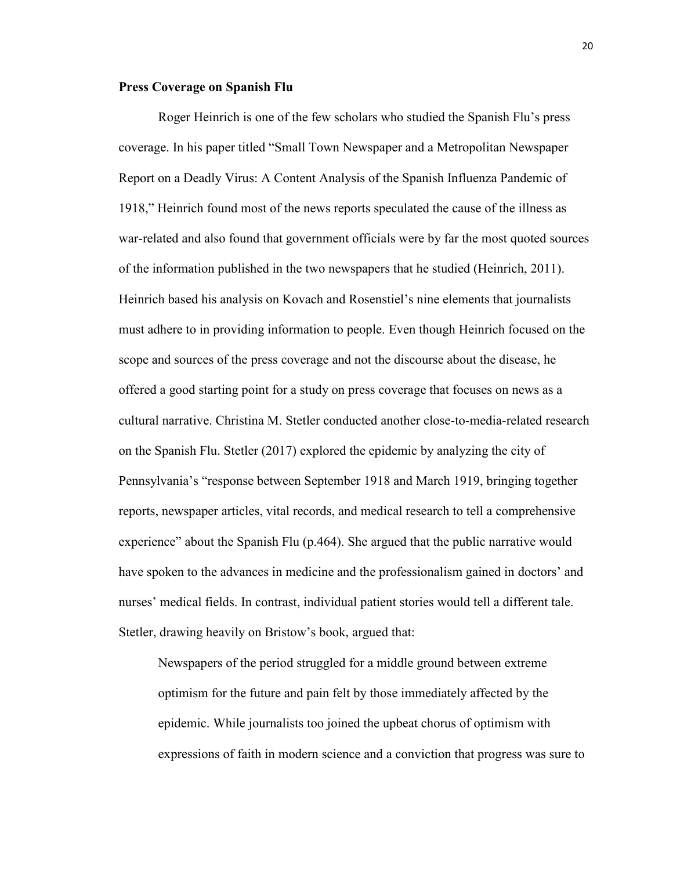#### **Press Coverage on Spanish Flu**

Roger Heinrich is one of the few scholars who studied the Spanish Flu's press coverage. In his paper titled "Small Town Newspaper and a Metropolitan Newspaper Report on a Deadly Virus: A Content Analysis of the Spanish Influenza Pandemic of 1918," Heinrich found most of the news reports speculated the cause of the illness as war-related and also found that government officials were by far the most quoted sources of the information published in the two newspapers that he studied (Heinrich, 2011). Heinrich based his analysis on Kovach and Rosenstiel's nine elements that journalists must adhere to in providing information to people. Even though Heinrich focused on the scope and sources of the press coverage and not the discourse about the disease, he offered a good starting point for a study on press coverage that focuses on news as a cultural narrative. Christina M. Stetler conducted another close-to-media-related research on the Spanish Flu. Stetler (2017) explored the epidemic by analyzing the city of Pennsylvania's "response between September 1918 and March 1919, bringing together reports, newspaper articles, vital records, and medical research to tell a comprehensive experience" about the Spanish Flu (p.464). She argued that the public narrative would have spoken to the advances in medicine and the professionalism gained in doctors' and nurses' medical fields. In contrast, individual patient stories would tell a different tale. Stetler, drawing heavily on Bristow's book, argued that:

Newspapers of the period struggled for a middle ground between extreme optimism for the future and pain felt by those immediately affected by the epidemic. While journalists too joined the upbeat chorus of optimism with expressions of faith in modern science and a conviction that progress was sure to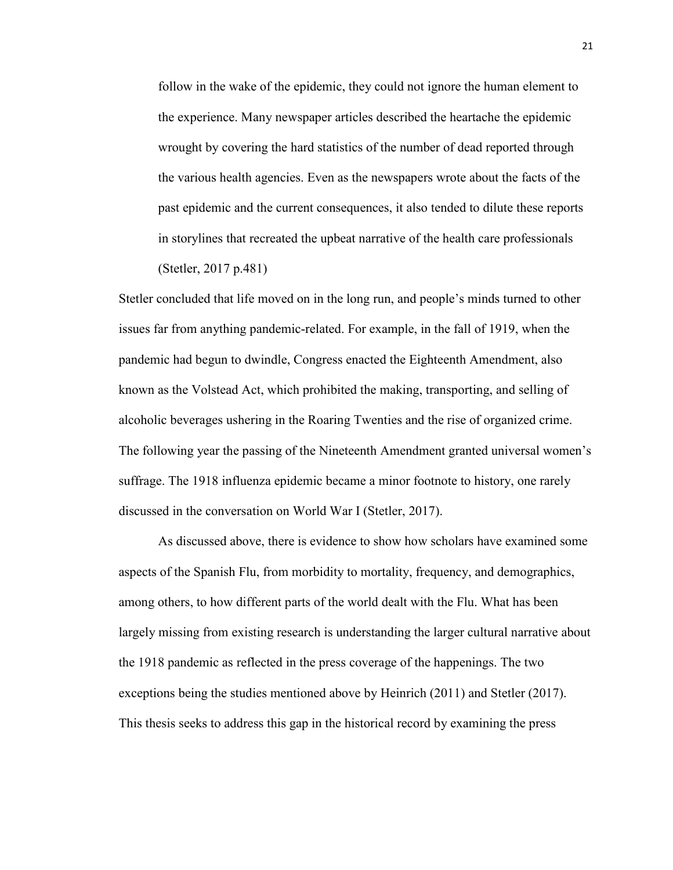follow in the wake of the epidemic, they could not ignore the human element to the experience. Many newspaper articles described the heartache the epidemic wrought by covering the hard statistics of the number of dead reported through the various health agencies. Even as the newspapers wrote about the facts of the past epidemic and the current consequences, it also tended to dilute these reports in storylines that recreated the upbeat narrative of the health care professionals (Stetler, 2017 p.481)

Stetler concluded that life moved on in the long run, and people's minds turned to other issues far from anything pandemic-related. For example, in the fall of 1919, when the pandemic had begun to dwindle, Congress enacted the Eighteenth Amendment, also known as the Volstead Act, which prohibited the making, transporting, and selling of alcoholic beverages ushering in the Roaring Twenties and the rise of organized crime. The following year the passing of the Nineteenth Amendment granted universal women's suffrage. The 1918 influenza epidemic became a minor footnote to history, one rarely discussed in the conversation on World War I (Stetler, 2017).

As discussed above, there is evidence to show how scholars have examined some aspects of the Spanish Flu, from morbidity to mortality, frequency, and demographics, among others, to how different parts of the world dealt with the Flu. What has been largely missing from existing research is understanding the larger cultural narrative about the 1918 pandemic as reflected in the press coverage of the happenings. The two exceptions being the studies mentioned above by Heinrich (2011) and Stetler (2017). This thesis seeks to address this gap in the historical record by examining the press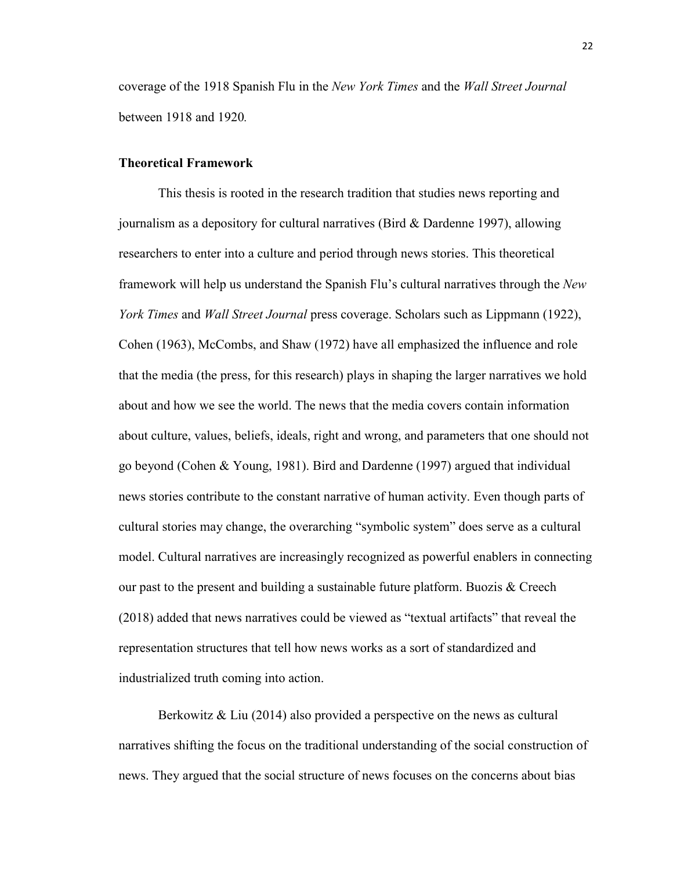coverage of the 1918 Spanish Flu in the *New York Times* and the *Wall Street Journal*  between 1918 and 1920*.* 

### **Theoretical Framework**

This thesis is rooted in the research tradition that studies news reporting and journalism as a depository for cultural narratives (Bird & Dardenne 1997), allowing researchers to enter into a culture and period through news stories. This theoretical framework will help us understand the Spanish Flu's cultural narratives through the *New York Times* and *Wall Street Journal* press coverage. Scholars such as Lippmann (1922), Cohen (1963), McCombs, and Shaw (1972) have all emphasized the influence and role that the media (the press, for this research) plays in shaping the larger narratives we hold about and how we see the world. The news that the media covers contain information about culture, values, beliefs, ideals, right and wrong, and parameters that one should not go beyond (Cohen & Young, 1981). Bird and Dardenne (1997) argued that individual news stories contribute to the constant narrative of human activity. Even though parts of cultural stories may change, the overarching "symbolic system" does serve as a cultural model. Cultural narratives are increasingly recognized as powerful enablers in connecting our past to the present and building a sustainable future platform. Buozis  $\&$  Creech (2018) added that news narratives could be viewed as "textual artifacts" that reveal the representation structures that tell how news works as a sort of standardized and industrialized truth coming into action.

Berkowitz & Liu (2014) also provided a perspective on the news as cultural narratives shifting the focus on the traditional understanding of the social construction of news. They argued that the social structure of news focuses on the concerns about bias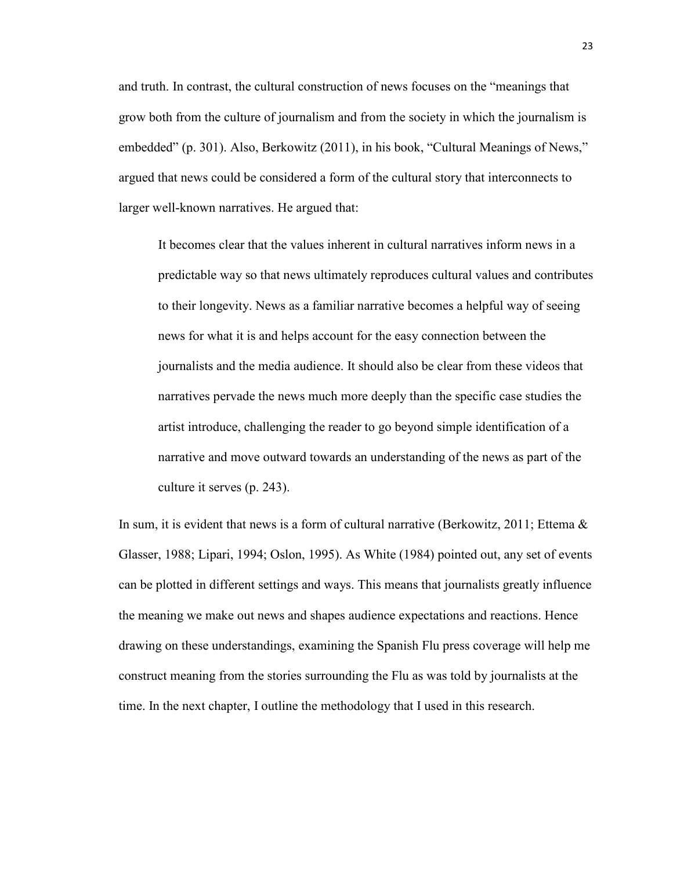and truth. In contrast, the cultural construction of news focuses on the "meanings that grow both from the culture of journalism and from the society in which the journalism is embedded" (p. 301). Also, Berkowitz (2011), in his book, "Cultural Meanings of News," argued that news could be considered a form of the cultural story that interconnects to larger well-known narratives. He argued that:

It becomes clear that the values inherent in cultural narratives inform news in a predictable way so that news ultimately reproduces cultural values and contributes to their longevity. News as a familiar narrative becomes a helpful way of seeing news for what it is and helps account for the easy connection between the journalists and the media audience. It should also be clear from these videos that narratives pervade the news much more deeply than the specific case studies the artist introduce, challenging the reader to go beyond simple identification of a narrative and move outward towards an understanding of the news as part of the culture it serves (p. 243).

In sum, it is evident that news is a form of cultural narrative (Berkowitz, 2011; Ettema  $\&$ Glasser, 1988; Lipari, 1994; Oslon, 1995). As White (1984) pointed out, any set of events can be plotted in different settings and ways. This means that journalists greatly influence the meaning we make out news and shapes audience expectations and reactions. Hence drawing on these understandings, examining the Spanish Flu press coverage will help me construct meaning from the stories surrounding the Flu as was told by journalists at the time. In the next chapter, I outline the methodology that I used in this research.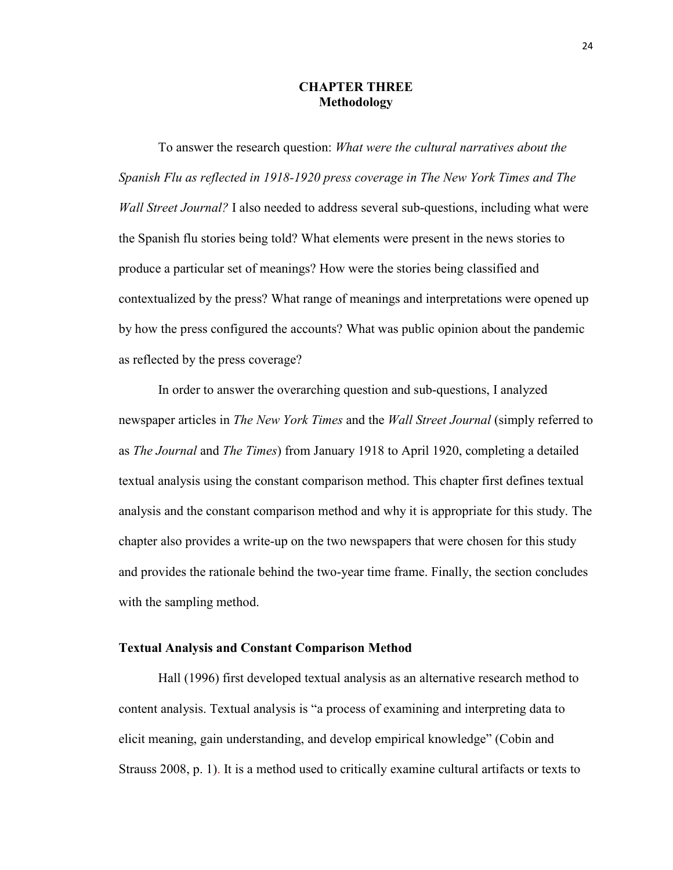## **CHAPTER THREE Methodology**

To answer the research question: *What were the cultural narratives about the Spanish Flu as reflected in 1918-1920 press coverage in The New York Times and The Wall Street Journal?* I also needed to address several sub-questions, including what were the Spanish flu stories being told? What elements were present in the news stories to produce a particular set of meanings? How were the stories being classified and contextualized by the press? What range of meanings and interpretations were opened up by how the press configured the accounts? What was public opinion about the pandemic as reflected by the press coverage?

In order to answer the overarching question and sub-questions, I analyzed newspaper articles in *The New York Times* and the *Wall Street Journal* (simply referred to as *The Journal* and *The Times*) from January 1918 to April 1920, completing a detailed textual analysis using the constant comparison method. This chapter first defines textual analysis and the constant comparison method and why it is appropriate for this study. The chapter also provides a write-up on the two newspapers that were chosen for this study and provides the rationale behind the two-year time frame. Finally, the section concludes with the sampling method.

### **Textual Analysis and Constant Comparison Method**

Hall (1996) first developed textual analysis as an alternative research method to content analysis. Textual analysis is "a process of examining and interpreting data to elicit meaning, gain understanding, and develop empirical knowledge" (Cobin and Strauss 2008, p. 1). It is a method used to critically examine cultural artifacts or texts to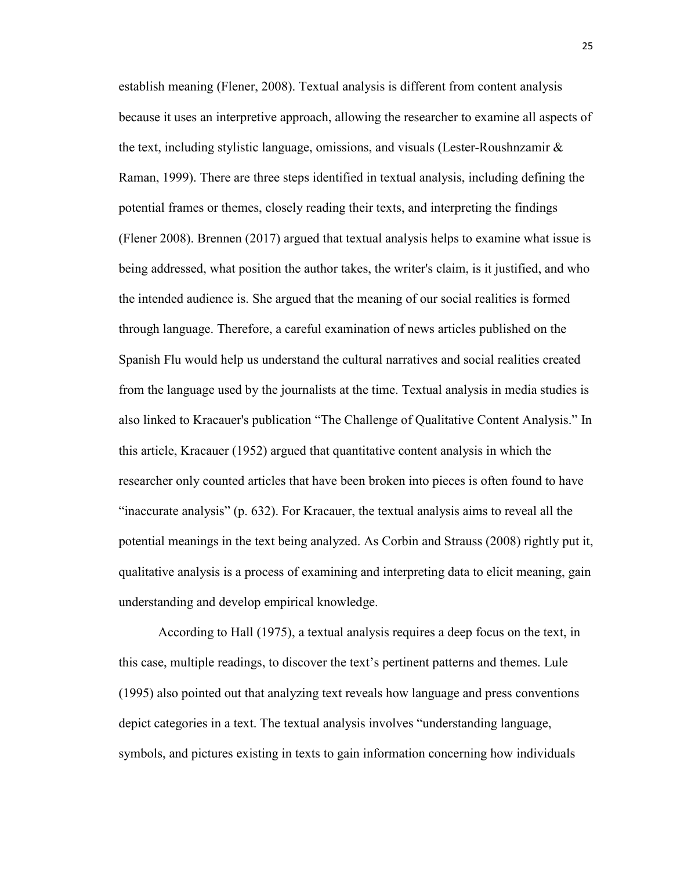establish meaning (Flener, 2008). Textual analysis is different from content analysis because it uses an interpretive approach, allowing the researcher to examine all aspects of the text, including stylistic language, omissions, and visuals (Lester-Roushnzamir & Raman, 1999). There are three steps identified in textual analysis, including defining the potential frames or themes, closely reading their texts, and interpreting the findings (Flener 2008). Brennen (2017) argued that textual analysis helps to examine what issue is being addressed, what position the author takes, the writer's claim, is it justified, and who the intended audience is. She argued that the meaning of our social realities is formed through language. Therefore, a careful examination of news articles published on the Spanish Flu would help us understand the cultural narratives and social realities created from the language used by the journalists at the time. Textual analysis in media studies is also linked to Kracauer's publication "The Challenge of Qualitative Content Analysis." In this article, Kracauer (1952) argued that quantitative content analysis in which the researcher only counted articles that have been broken into pieces is often found to have "inaccurate analysis" (p. 632). For Kracauer, the textual analysis aims to reveal all the potential meanings in the text being analyzed. As Corbin and Strauss (2008) rightly put it, qualitative analysis is a process of examining and interpreting data to elicit meaning, gain understanding and develop empirical knowledge.

According to Hall (1975), a textual analysis requires a deep focus on the text, in this case, multiple readings, to discover the text's pertinent patterns and themes. Lule (1995) also pointed out that analyzing text reveals how language and press conventions depict categories in a text. The textual analysis involves "understanding language, symbols, and pictures existing in texts to gain information concerning how individuals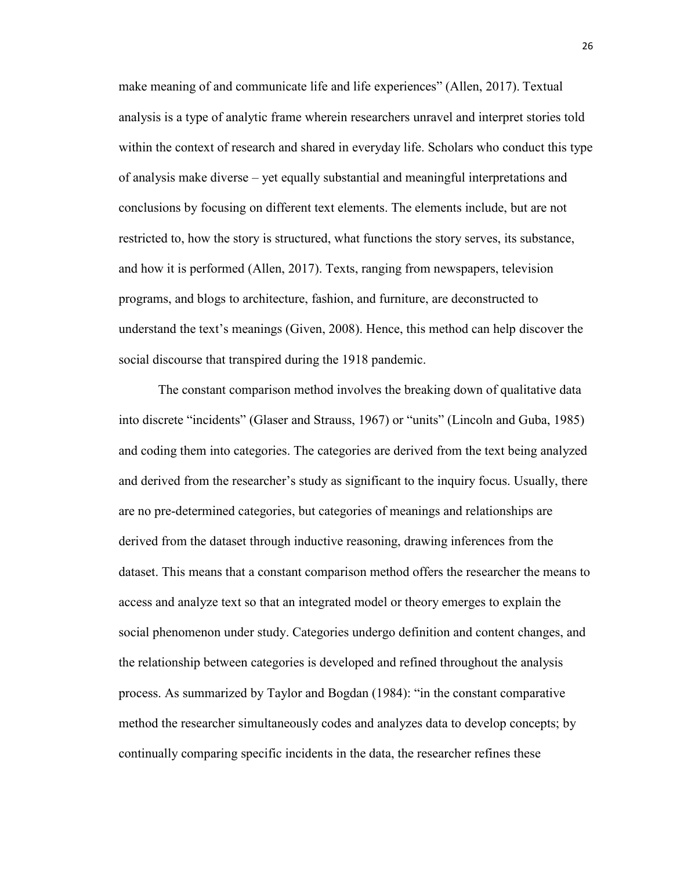make meaning of and communicate life and life experiences" (Allen, 2017). Textual analysis is a type of analytic frame wherein researchers unravel and interpret stories told within the context of research and shared in everyday life. Scholars who conduct this type of analysis make diverse – yet equally substantial and meaningful interpretations and conclusions by focusing on different text elements. The elements include, but are not restricted to, how the story is structured, what functions the story serves, its substance, and how it is performed (Allen, 2017). Texts, ranging from newspapers, television programs, and blogs to architecture, fashion, and furniture, are deconstructed to understand the text's meanings (Given, 2008). Hence, this method can help discover the social discourse that transpired during the 1918 pandemic.

The constant comparison method involves the breaking down of qualitative data into discrete "incidents" (Glaser and Strauss, 1967) or "units" (Lincoln and Guba, 1985) and coding them into categories. The categories are derived from the text being analyzed and derived from the researcher's study as significant to the inquiry focus. Usually, there are no pre-determined categories, but categories of meanings and relationships are derived from the dataset through inductive reasoning, drawing inferences from the dataset. This means that a constant comparison method offers the researcher the means to access and analyze text so that an integrated model or theory emerges to explain the social phenomenon under study. Categories undergo definition and content changes, and the relationship between categories is developed and refined throughout the analysis process. As summarized by Taylor and Bogdan (1984): "in the constant comparative method the researcher simultaneously codes and analyzes data to develop concepts; by continually comparing specific incidents in the data, the researcher refines these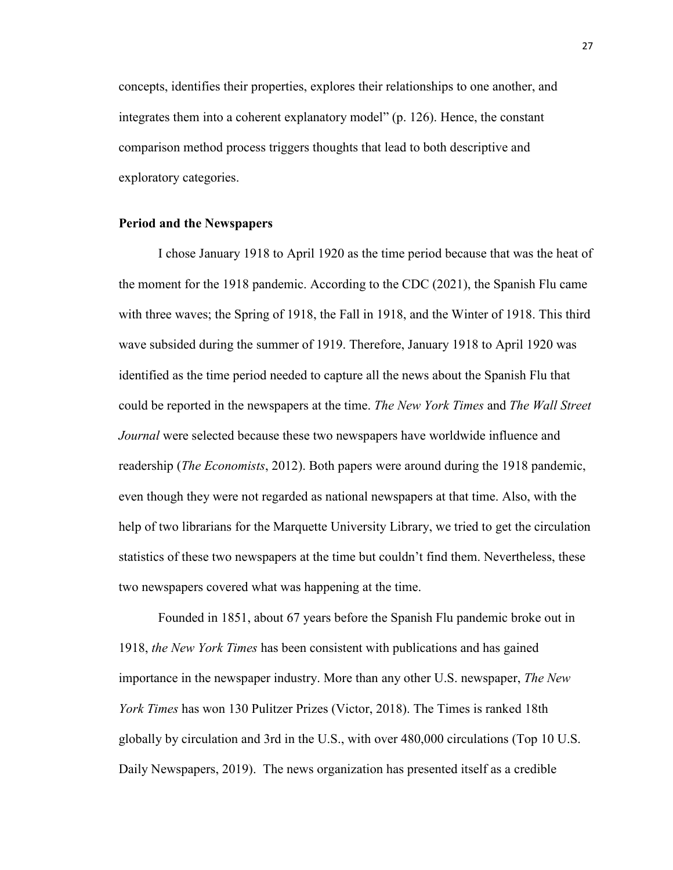concepts, identifies their properties, explores their relationships to one another, and integrates them into a coherent explanatory model" (p. 126). Hence, the constant comparison method process triggers thoughts that lead to both descriptive and exploratory categories.

### **Period and the Newspapers**

I chose January 1918 to April 1920 as the time period because that was the heat of the moment for the 1918 pandemic. According to the CDC (2021), the Spanish Flu came with three waves; the Spring of 1918, the Fall in 1918, and the Winter of 1918. This third wave subsided during the summer of 1919. Therefore, January 1918 to April 1920 was identified as the time period needed to capture all the news about the Spanish Flu that could be reported in the newspapers at the time. *The New York Times* and *The Wall Street Journal* were selected because these two newspapers have worldwide influence and readership (*The Economists*, 2012). Both papers were around during the 1918 pandemic, even though they were not regarded as national newspapers at that time. Also, with the help of two librarians for the Marquette University Library, we tried to get the circulation statistics of these two newspapers at the time but couldn't find them. Nevertheless, these two newspapers covered what was happening at the time.

Founded in 1851, about 67 years before the Spanish Flu pandemic broke out in 1918, *the New York Times* has been consistent with publications and has gained importance in the newspaper industry. More than any other U.S. newspaper, *The New York Times* has won 130 Pulitzer Prizes (Victor, 2018). The Times is ranked 18th globally by circulation and 3rd in the U.S., with over 480,000 circulations (Top 10 U.S. Daily Newspapers, 2019). The news organization has presented itself as a credible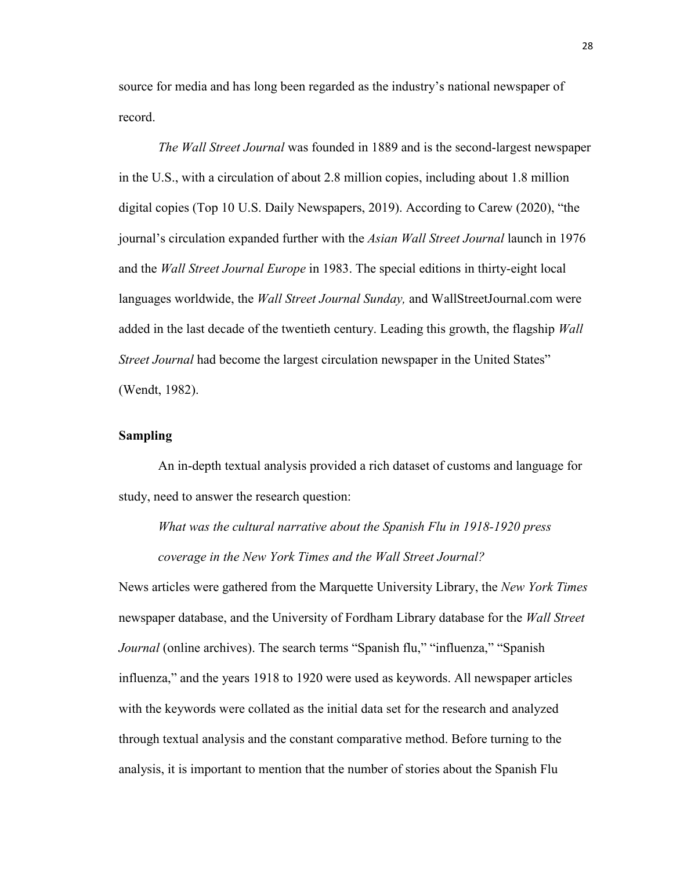source for media and has long been regarded as the industry's national newspaper of record.

*The Wall Street Journal* was founded in 1889 and is the second-largest newspaper in the U.S., with a circulation of about 2.8 million copies, including about 1.8 million digital copies (Top 10 U.S. Daily Newspapers, 2019). According to Carew (2020), "the journal's circulation expanded further with the *Asian Wall Street Journal* launch in 1976 and the *Wall Street Journal Europe* in 1983. The special editions in thirty-eight local languages worldwide, the *Wall Street Journal Sunday,* and WallStreetJournal.com were added in the last decade of the twentieth century. Leading this growth, the flagship *Wall Street Journal* had become the largest circulation newspaper in the United States" (Wendt, 1982).

# **Sampling**

An in-depth textual analysis provided a rich dataset of customs and language for study, need to answer the research question:

*What was the cultural narrative about the Spanish Flu in 1918-1920 press coverage in the New York Times and the Wall Street Journal?* 

News articles were gathered from the Marquette University Library, the *New York Times* newspaper database, and the University of Fordham Library database for the *Wall Street Journal* (online archives). The search terms "Spanish flu," "influenza," "Spanish influenza," and the years 1918 to 1920 were used as keywords. All newspaper articles with the keywords were collated as the initial data set for the research and analyzed through textual analysis and the constant comparative method. Before turning to the analysis, it is important to mention that the number of stories about the Spanish Flu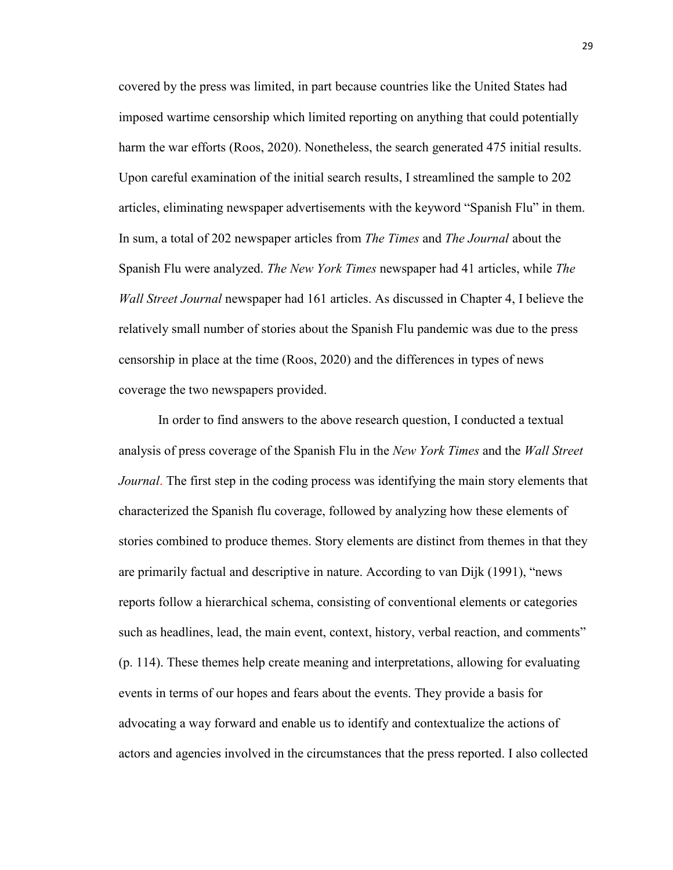covered by the press was limited, in part because countries like the United States had imposed wartime censorship which limited reporting on anything that could potentially harm the war efforts (Roos, 2020). Nonetheless, the search generated 475 initial results. Upon careful examination of the initial search results, I streamlined the sample to 202 articles, eliminating newspaper advertisements with the keyword "Spanish Flu" in them. In sum, a total of 202 newspaper articles from *The Times* and *The Journal* about the Spanish Flu were analyzed. *The New York Times* newspaper had 41 articles, while *The Wall Street Journal* newspaper had 161 articles. As discussed in Chapter 4, I believe the relatively small number of stories about the Spanish Flu pandemic was due to the press censorship in place at the time (Roos, 2020) and the differences in types of news coverage the two newspapers provided.

In order to find answers to the above research question, I conducted a textual analysis of press coverage of the Spanish Flu in the *New York Times* and the *Wall Street Journal*. The first step in the coding process was identifying the main story elements that characterized the Spanish flu coverage, followed by analyzing how these elements of stories combined to produce themes. Story elements are distinct from themes in that they are primarily factual and descriptive in nature. According to van Dijk (1991), "news reports follow a hierarchical schema, consisting of conventional elements or categories such as headlines, lead, the main event, context, history, verbal reaction, and comments" (p. 114). These themes help create meaning and interpretations, allowing for evaluating events in terms of our hopes and fears about the events. They provide a basis for advocating a way forward and enable us to identify and contextualize the actions of actors and agencies involved in the circumstances that the press reported. I also collected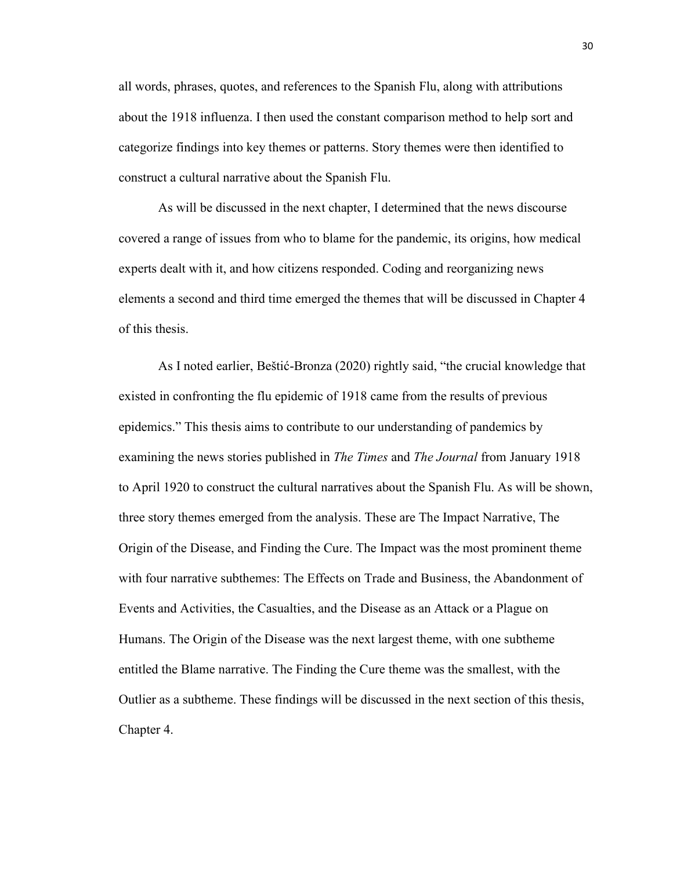all words, phrases, quotes, and references to the Spanish Flu, along with attributions about the 1918 influenza. I then used the constant comparison method to help sort and categorize findings into key themes or patterns. Story themes were then identified to construct a cultural narrative about the Spanish Flu.

As will be discussed in the next chapter, I determined that the news discourse covered a range of issues from who to blame for the pandemic, its origins, how medical experts dealt with it, and how citizens responded. Coding and reorganizing news elements a second and third time emerged the themes that will be discussed in Chapter 4 of this thesis.

As I noted earlier, Beštić-Bronza (2020) rightly said, "the crucial knowledge that existed in confronting the flu epidemic of 1918 came from the results of previous epidemics." This thesis aims to contribute to our understanding of pandemics by examining the news stories published in *The Times* and *The Journal* from January 1918 to April 1920 to construct the cultural narratives about the Spanish Flu. As will be shown, three story themes emerged from the analysis. These are The Impact Narrative, The Origin of the Disease, and Finding the Cure. The Impact was the most prominent theme with four narrative subthemes: The Effects on Trade and Business, the Abandonment of Events and Activities, the Casualties, and the Disease as an Attack or a Plague on Humans. The Origin of the Disease was the next largest theme, with one subtheme entitled the Blame narrative. The Finding the Cure theme was the smallest, with the Outlier as a subtheme. These findings will be discussed in the next section of this thesis, Chapter 4.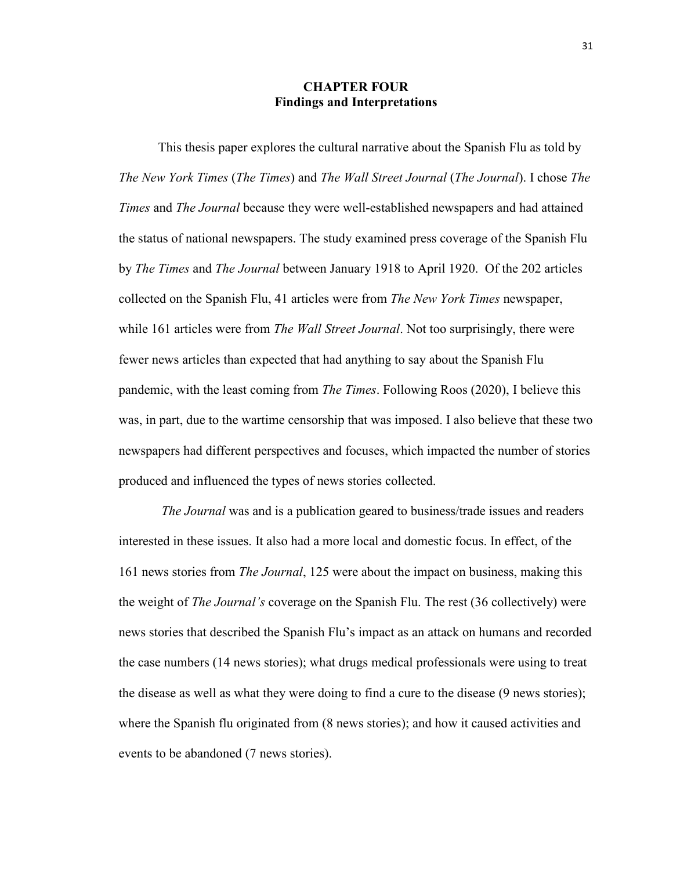## **CHAPTER FOUR Findings and Interpretations**

This thesis paper explores the cultural narrative about the Spanish Flu as told by *The New York Times* (*The Times*) and *The Wall Street Journal* (*The Journal*). I chose *The Times* and *The Journal* because they were well-established newspapers and had attained the status of national newspapers. The study examined press coverage of the Spanish Flu by *The Times* and *The Journal* between January 1918 to April 1920. Of the 202 articles collected on the Spanish Flu, 41 articles were from *The New York Times* newspaper, while 161 articles were from *The Wall Street Journal*. Not too surprisingly, there were fewer news articles than expected that had anything to say about the Spanish Flu pandemic, with the least coming from *The Times*. Following Roos (2020), I believe this was, in part, due to the wartime censorship that was imposed. I also believe that these two newspapers had different perspectives and focuses, which impacted the number of stories produced and influenced the types of news stories collected.

*The Journal* was and is a publication geared to business/trade issues and readers interested in these issues. It also had a more local and domestic focus. In effect, of the 161 news stories from *The Journal*, 125 were about the impact on business, making this the weight of *The Journal's* coverage on the Spanish Flu. The rest (36 collectively) were news stories that described the Spanish Flu's impact as an attack on humans and recorded the case numbers (14 news stories); what drugs medical professionals were using to treat the disease as well as what they were doing to find a cure to the disease (9 news stories); where the Spanish flu originated from (8 news stories); and how it caused activities and events to be abandoned (7 news stories).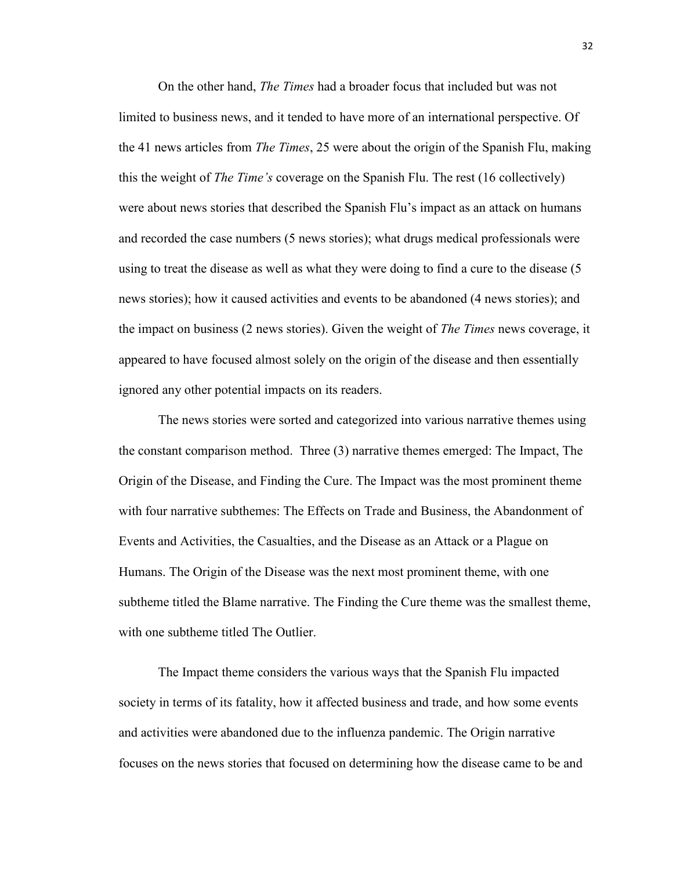On the other hand, *The Times* had a broader focus that included but was not limited to business news, and it tended to have more of an international perspective. Of the 41 news articles from *The Times*, 25 were about the origin of the Spanish Flu, making this the weight of *The Time's* coverage on the Spanish Flu. The rest (16 collectively) were about news stories that described the Spanish Flu's impact as an attack on humans and recorded the case numbers (5 news stories); what drugs medical professionals were using to treat the disease as well as what they were doing to find a cure to the disease (5 news stories); how it caused activities and events to be abandoned (4 news stories); and the impact on business (2 news stories). Given the weight of *The Times* news coverage, it appeared to have focused almost solely on the origin of the disease and then essentially ignored any other potential impacts on its readers.

The news stories were sorted and categorized into various narrative themes using the constant comparison method. Three (3) narrative themes emerged: The Impact, The Origin of the Disease, and Finding the Cure. The Impact was the most prominent theme with four narrative subthemes: The Effects on Trade and Business, the Abandonment of Events and Activities, the Casualties, and the Disease as an Attack or a Plague on Humans. The Origin of the Disease was the next most prominent theme, with one subtheme titled the Blame narrative. The Finding the Cure theme was the smallest theme, with one subtheme titled The Outlier.

The Impact theme considers the various ways that the Spanish Flu impacted society in terms of its fatality, how it affected business and trade, and how some events and activities were abandoned due to the influenza pandemic. The Origin narrative focuses on the news stories that focused on determining how the disease came to be and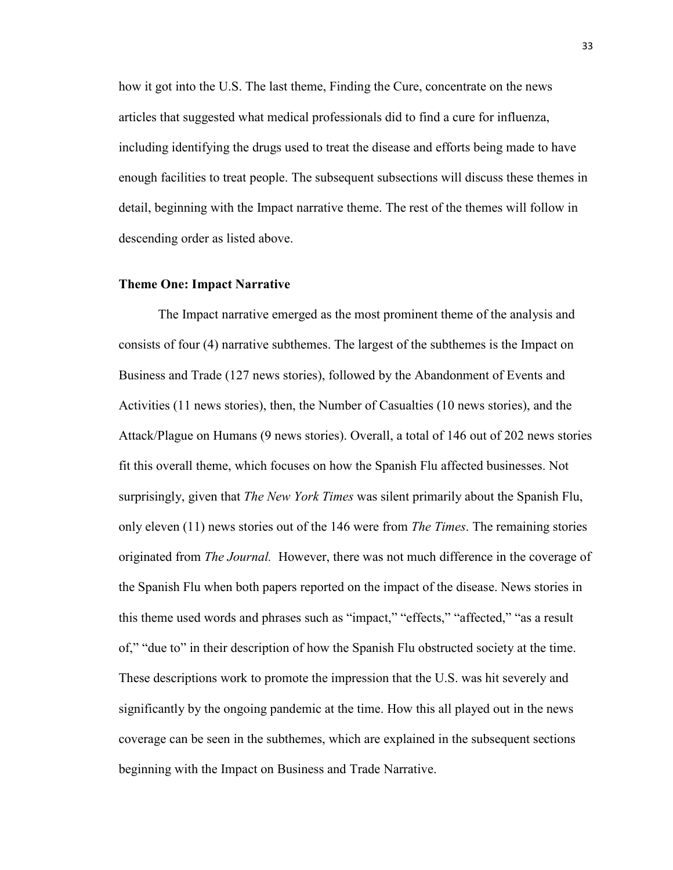how it got into the U.S. The last theme, Finding the Cure, concentrate on the news articles that suggested what medical professionals did to find a cure for influenza, including identifying the drugs used to treat the disease and efforts being made to have enough facilities to treat people. The subsequent subsections will discuss these themes in detail, beginning with the Impact narrative theme. The rest of the themes will follow in descending order as listed above.

### **Theme One: Impact Narrative**

The Impact narrative emerged as the most prominent theme of the analysis and consists of four (4) narrative subthemes. The largest of the subthemes is the Impact on Business and Trade (127 news stories), followed by the Abandonment of Events and Activities (11 news stories), then, the Number of Casualties (10 news stories), and the Attack/Plague on Humans (9 news stories). Overall, a total of 146 out of 202 news stories fit this overall theme, which focuses on how the Spanish Flu affected businesses. Not surprisingly, given that *The New York Times* was silent primarily about the Spanish Flu, only eleven (11) news stories out of the 146 were from *The Times*. The remaining stories originated from *The Journal.* However, there was not much difference in the coverage of the Spanish Flu when both papers reported on the impact of the disease. News stories in this theme used words and phrases such as "impact," "effects," "affected," "as a result of," "due to" in their description of how the Spanish Flu obstructed society at the time. These descriptions work to promote the impression that the U.S. was hit severely and significantly by the ongoing pandemic at the time. How this all played out in the news coverage can be seen in the subthemes, which are explained in the subsequent sections beginning with the Impact on Business and Trade Narrative.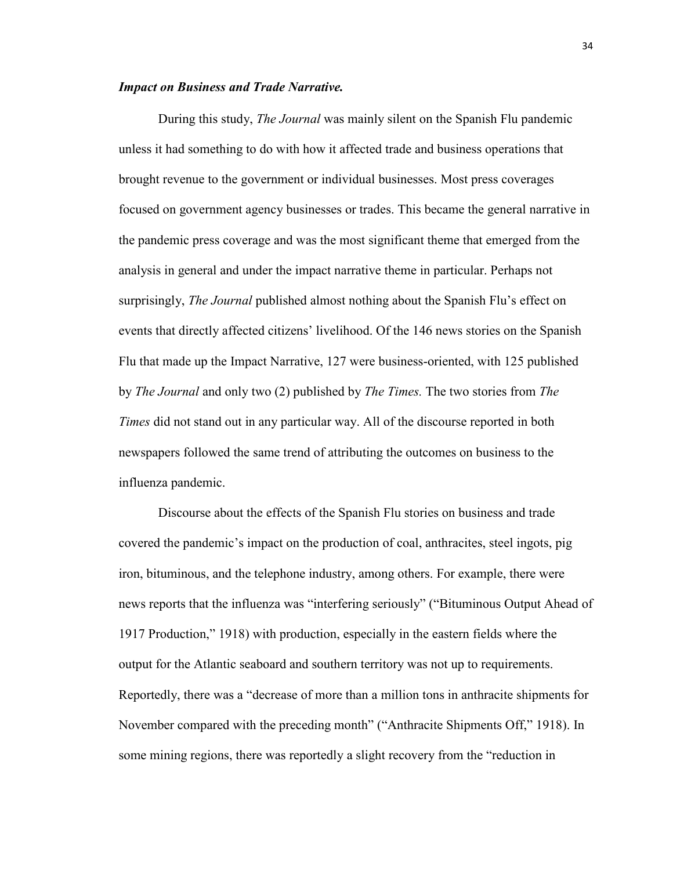#### *Impact on Business and Trade Narrative.*

During this study, *The Journal* was mainly silent on the Spanish Flu pandemic unless it had something to do with how it affected trade and business operations that brought revenue to the government or individual businesses. Most press coverages focused on government agency businesses or trades. This became the general narrative in the pandemic press coverage and was the most significant theme that emerged from the analysis in general and under the impact narrative theme in particular. Perhaps not surprisingly, *The Journal* published almost nothing about the Spanish Flu's effect on events that directly affected citizens' livelihood. Of the 146 news stories on the Spanish Flu that made up the Impact Narrative, 127 were business-oriented, with 125 published by *The Journal* and only two (2) published by *The Times.* The two stories from *The Times* did not stand out in any particular way. All of the discourse reported in both newspapers followed the same trend of attributing the outcomes on business to the influenza pandemic.

Discourse about the effects of the Spanish Flu stories on business and trade covered the pandemic's impact on the production of coal, anthracites, steel ingots, pig iron, bituminous, and the telephone industry, among others. For example, there were news reports that the influenza was "interfering seriously" ("Bituminous Output Ahead of 1917 Production," 1918) with production, especially in the eastern fields where the output for the Atlantic seaboard and southern territory was not up to requirements. Reportedly, there was a "decrease of more than a million tons in anthracite shipments for November compared with the preceding month" ("Anthracite Shipments Off," 1918). In some mining regions, there was reportedly a slight recovery from the "reduction in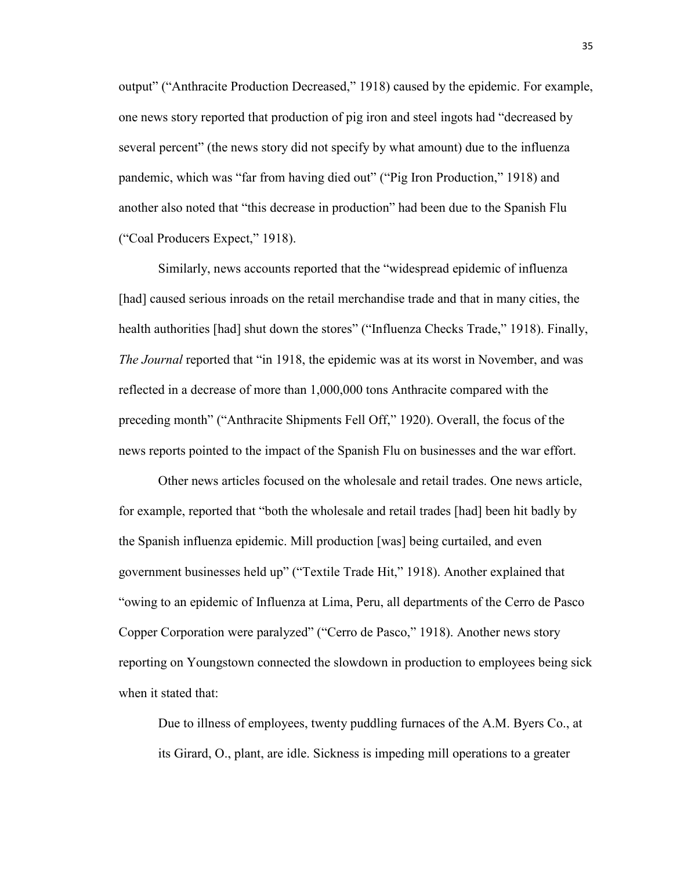output" ("Anthracite Production Decreased," 1918) caused by the epidemic. For example, one news story reported that production of pig iron and steel ingots had "decreased by several percent" (the news story did not specify by what amount) due to the influenza pandemic, which was "far from having died out" ("Pig Iron Production," 1918) and another also noted that "this decrease in production" had been due to the Spanish Flu ("Coal Producers Expect," 1918).

Similarly, news accounts reported that the "widespread epidemic of influenza [had] caused serious inroads on the retail merchandise trade and that in many cities, the health authorities [had] shut down the stores" ("Influenza Checks Trade," 1918). Finally, *The Journal* reported that "in 1918, the epidemic was at its worst in November, and was reflected in a decrease of more than 1,000,000 tons Anthracite compared with the preceding month" ("Anthracite Shipments Fell Off," 1920). Overall, the focus of the news reports pointed to the impact of the Spanish Flu on businesses and the war effort.

Other news articles focused on the wholesale and retail trades. One news article, for example, reported that "both the wholesale and retail trades [had] been hit badly by the Spanish influenza epidemic. Mill production [was] being curtailed, and even government businesses held up" ("Textile Trade Hit," 1918). Another explained that "owing to an epidemic of Influenza at Lima, Peru, all departments of the Cerro de Pasco Copper Corporation were paralyzed" ("Cerro de Pasco," 1918). Another news story reporting on Youngstown connected the slowdown in production to employees being sick when it stated that:

Due to illness of employees, twenty puddling furnaces of the A.M. Byers Co., at its Girard, O., plant, are idle. Sickness is impeding mill operations to a greater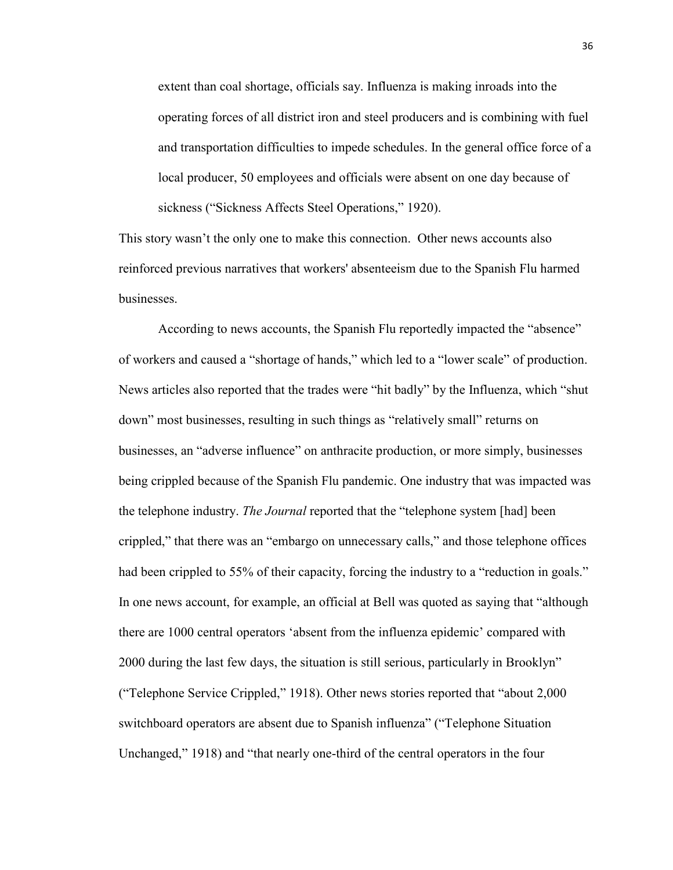extent than coal shortage, officials say. Influenza is making inroads into the operating forces of all district iron and steel producers and is combining with fuel and transportation difficulties to impede schedules. In the general office force of a local producer, 50 employees and officials were absent on one day because of sickness ("Sickness Affects Steel Operations," 1920).

This story wasn't the only one to make this connection. Other news accounts also reinforced previous narratives that workers' absenteeism due to the Spanish Flu harmed businesses.

According to news accounts, the Spanish Flu reportedly impacted the "absence" of workers and caused a "shortage of hands," which led to a "lower scale" of production. News articles also reported that the trades were "hit badly" by the Influenza, which "shut down" most businesses, resulting in such things as "relatively small" returns on businesses, an "adverse influence" on anthracite production, or more simply, businesses being crippled because of the Spanish Flu pandemic. One industry that was impacted was the telephone industry. *The Journal* reported that the "telephone system [had] been crippled," that there was an "embargo on unnecessary calls," and those telephone offices had been crippled to 55% of their capacity, forcing the industry to a "reduction in goals." In one news account, for example, an official at Bell was quoted as saying that "although there are 1000 central operators 'absent from the influenza epidemic' compared with 2000 during the last few days, the situation is still serious, particularly in Brooklyn" ("Telephone Service Crippled," 1918). Other news stories reported that "about 2,000 switchboard operators are absent due to Spanish influenza" ("Telephone Situation Unchanged," 1918) and "that nearly one-third of the central operators in the four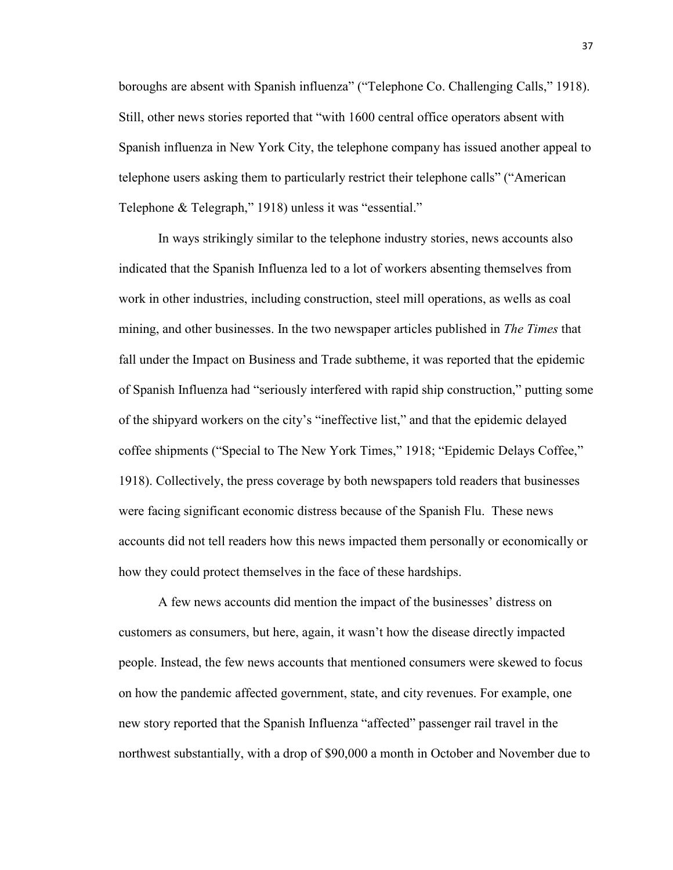boroughs are absent with Spanish influenza" ("Telephone Co. Challenging Calls," 1918). Still, other news stories reported that "with 1600 central office operators absent with Spanish influenza in New York City, the telephone company has issued another appeal to telephone users asking them to particularly restrict their telephone calls" ("American Telephone & Telegraph," 1918) unless it was "essential."

In ways strikingly similar to the telephone industry stories, news accounts also indicated that the Spanish Influenza led to a lot of workers absenting themselves from work in other industries, including construction, steel mill operations, as wells as coal mining, and other businesses. In the two newspaper articles published in *The Times* that fall under the Impact on Business and Trade subtheme, it was reported that the epidemic of Spanish Influenza had "seriously interfered with rapid ship construction," putting some of the shipyard workers on the city's "ineffective list," and that the epidemic delayed coffee shipments ("Special to The New York Times," 1918; "Epidemic Delays Coffee," 1918). Collectively, the press coverage by both newspapers told readers that businesses were facing significant economic distress because of the Spanish Flu. These news accounts did not tell readers how this news impacted them personally or economically or how they could protect themselves in the face of these hardships.

A few news accounts did mention the impact of the businesses' distress on customers as consumers, but here, again, it wasn't how the disease directly impacted people. Instead, the few news accounts that mentioned consumers were skewed to focus on how the pandemic affected government, state, and city revenues. For example, one new story reported that the Spanish Influenza "affected" passenger rail travel in the northwest substantially, with a drop of \$90,000 a month in October and November due to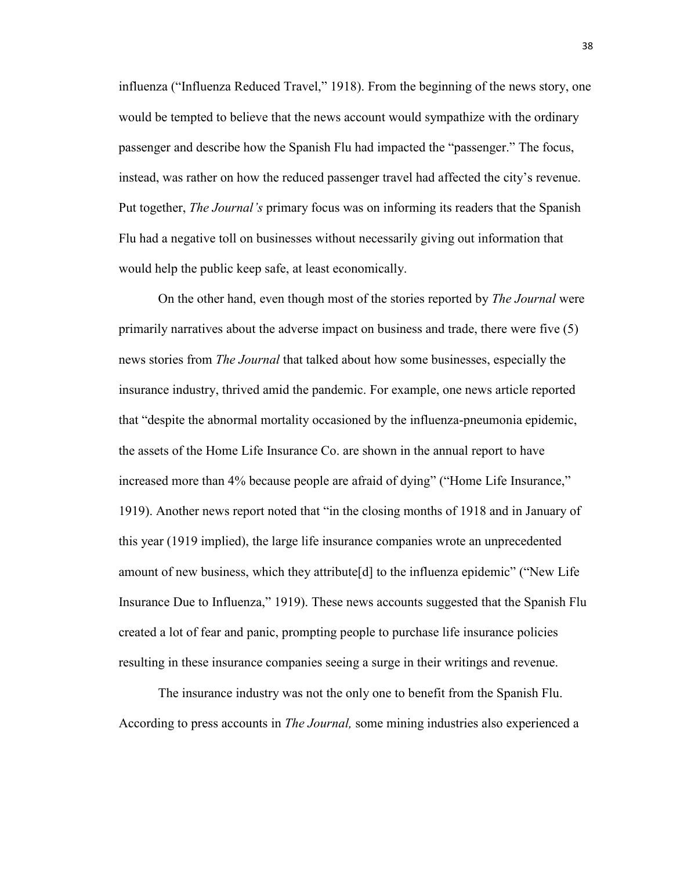influenza ("Influenza Reduced Travel," 1918). From the beginning of the news story, one would be tempted to believe that the news account would sympathize with the ordinary passenger and describe how the Spanish Flu had impacted the "passenger." The focus, instead, was rather on how the reduced passenger travel had affected the city's revenue. Put together, *The Journal's* primary focus was on informing its readers that the Spanish Flu had a negative toll on businesses without necessarily giving out information that would help the public keep safe, at least economically.

On the other hand, even though most of the stories reported by *The Journal* were primarily narratives about the adverse impact on business and trade, there were five (5) news stories from *The Journal* that talked about how some businesses, especially the insurance industry, thrived amid the pandemic. For example, one news article reported that "despite the abnormal mortality occasioned by the influenza-pneumonia epidemic, the assets of the Home Life Insurance Co. are shown in the annual report to have increased more than 4% because people are afraid of dying" ("Home Life Insurance," 1919). Another news report noted that "in the closing months of 1918 and in January of this year (1919 implied), the large life insurance companies wrote an unprecedented amount of new business, which they attribute  $[d]$  to the influenza epidemic" ("New Life") Insurance Due to Influenza," 1919). These news accounts suggested that the Spanish Flu created a lot of fear and panic, prompting people to purchase life insurance policies resulting in these insurance companies seeing a surge in their writings and revenue.

The insurance industry was not the only one to benefit from the Spanish Flu. According to press accounts in *The Journal,* some mining industries also experienced a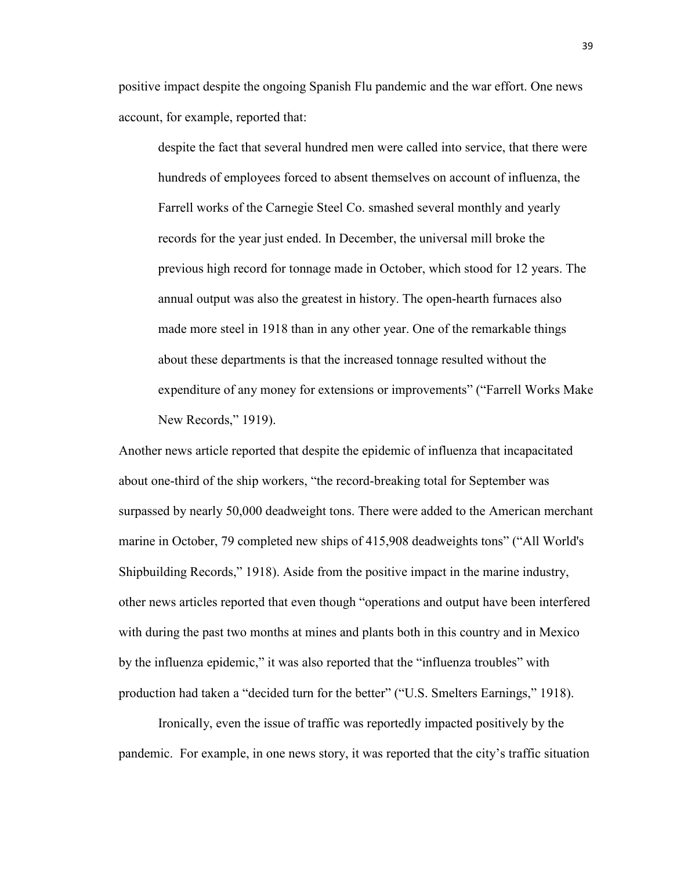positive impact despite the ongoing Spanish Flu pandemic and the war effort. One news account, for example, reported that:

despite the fact that several hundred men were called into service, that there were hundreds of employees forced to absent themselves on account of influenza, the Farrell works of the Carnegie Steel Co. smashed several monthly and yearly records for the year just ended. In December, the universal mill broke the previous high record for tonnage made in October, which stood for 12 years. The annual output was also the greatest in history. The open-hearth furnaces also made more steel in 1918 than in any other year. One of the remarkable things about these departments is that the increased tonnage resulted without the expenditure of any money for extensions or improvements" ("Farrell Works Make New Records," 1919).

Another news article reported that despite the epidemic of influenza that incapacitated about one-third of the ship workers, "the record-breaking total for September was surpassed by nearly 50,000 deadweight tons. There were added to the American merchant marine in October, 79 completed new ships of 415,908 deadweights tons" ("All World's Shipbuilding Records," 1918). Aside from the positive impact in the marine industry, other news articles reported that even though "operations and output have been interfered with during the past two months at mines and plants both in this country and in Mexico by the influenza epidemic," it was also reported that the "influenza troubles" with production had taken a "decided turn for the better" ("U.S. Smelters Earnings," 1918).

Ironically, even the issue of traffic was reportedly impacted positively by the pandemic. For example, in one news story, it was reported that the city's traffic situation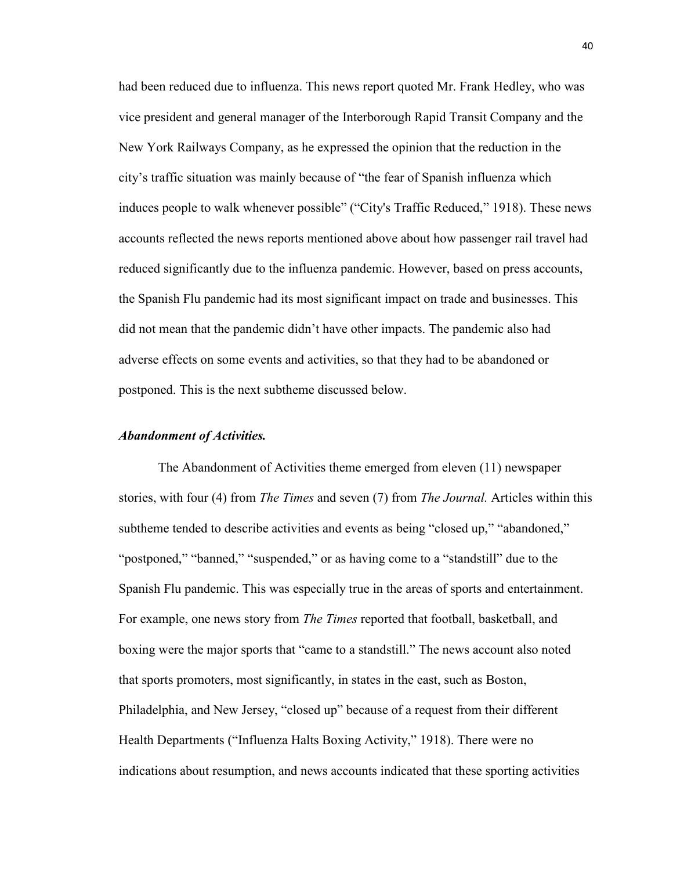had been reduced due to influenza. This news report quoted Mr. Frank Hedley, who was vice president and general manager of the Interborough Rapid Transit Company and the New York Railways Company, as he expressed the opinion that the reduction in the city's traffic situation was mainly because of "the fear of Spanish influenza which induces people to walk whenever possible" ("City's Traffic Reduced," 1918). These news accounts reflected the news reports mentioned above about how passenger rail travel had reduced significantly due to the influenza pandemic. However, based on press accounts, the Spanish Flu pandemic had its most significant impact on trade and businesses. This did not mean that the pandemic didn't have other impacts. The pandemic also had adverse effects on some events and activities, so that they had to be abandoned or postponed. This is the next subtheme discussed below.

## *Abandonment of Activities.*

The Abandonment of Activities theme emerged from eleven (11) newspaper stories, with four (4) from *The Times* and seven (7) from *The Journal.* Articles within this subtheme tended to describe activities and events as being "closed up," "abandoned," "postponed," "banned," "suspended," or as having come to a "standstill" due to the Spanish Flu pandemic. This was especially true in the areas of sports and entertainment. For example, one news story from *The Times* reported that football, basketball, and boxing were the major sports that "came to a standstill." The news account also noted that sports promoters, most significantly, in states in the east, such as Boston, Philadelphia, and New Jersey, "closed up" because of a request from their different Health Departments ("Influenza Halts Boxing Activity," 1918). There were no indications about resumption, and news accounts indicated that these sporting activities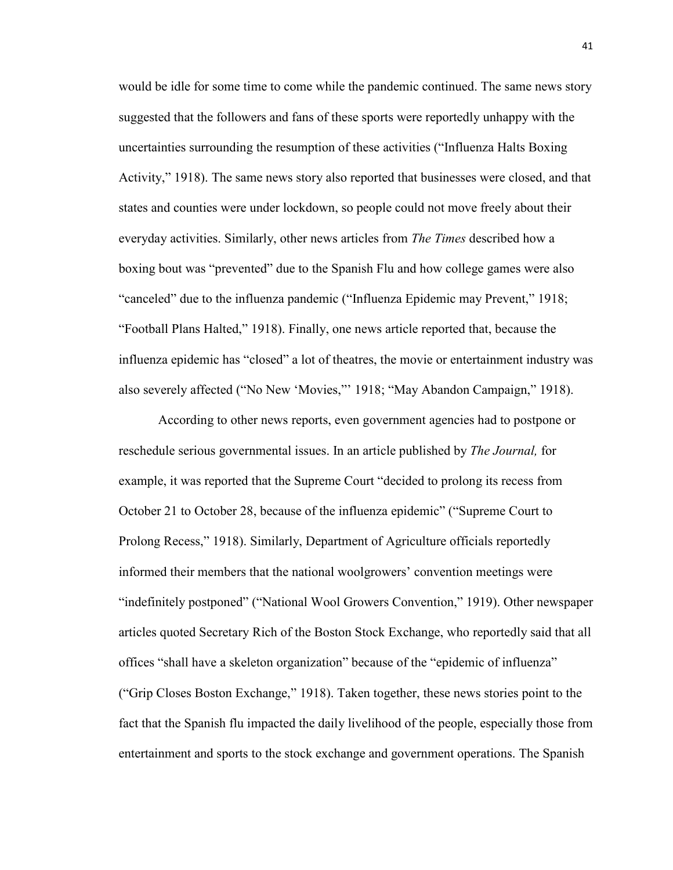would be idle for some time to come while the pandemic continued. The same news story suggested that the followers and fans of these sports were reportedly unhappy with the uncertainties surrounding the resumption of these activities ("Influenza Halts Boxing Activity," 1918). The same news story also reported that businesses were closed, and that states and counties were under lockdown, so people could not move freely about their everyday activities. Similarly, other news articles from *The Times* described how a boxing bout was "prevented" due to the Spanish Flu and how college games were also "canceled" due to the influenza pandemic ("Influenza Epidemic may Prevent," 1918; "Football Plans Halted," 1918). Finally, one news article reported that, because the influenza epidemic has "closed" a lot of theatres, the movie or entertainment industry was also severely affected ("No New 'Movies,"' 1918; "May Abandon Campaign," 1918).

According to other news reports, even government agencies had to postpone or reschedule serious governmental issues. In an article published by *The Journal,* for example, it was reported that the Supreme Court "decided to prolong its recess from October 21 to October 28, because of the influenza epidemic" ("Supreme Court to Prolong Recess," 1918). Similarly, Department of Agriculture officials reportedly informed their members that the national woolgrowers' convention meetings were "indefinitely postponed" ("National Wool Growers Convention," 1919). Other newspaper articles quoted Secretary Rich of the Boston Stock Exchange, who reportedly said that all offices "shall have a skeleton organization" because of the "epidemic of influenza" ("Grip Closes Boston Exchange," 1918). Taken together, these news stories point to the fact that the Spanish flu impacted the daily livelihood of the people, especially those from entertainment and sports to the stock exchange and government operations. The Spanish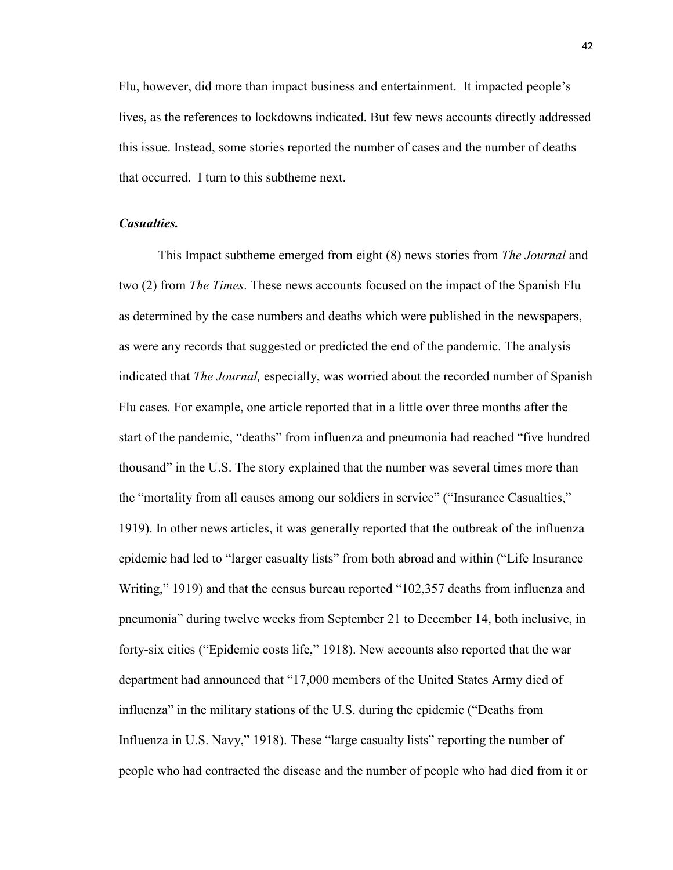Flu, however, did more than impact business and entertainment. It impacted people's lives, as the references to lockdowns indicated. But few news accounts directly addressed this issue. Instead, some stories reported the number of cases and the number of deaths that occurred. I turn to this subtheme next.

## *Casualties.*

This Impact subtheme emerged from eight (8) news stories from *The Journal* and two (2) from *The Times*. These news accounts focused on the impact of the Spanish Flu as determined by the case numbers and deaths which were published in the newspapers, as were any records that suggested or predicted the end of the pandemic. The analysis indicated that *The Journal,* especially, was worried about the recorded number of Spanish Flu cases. For example, one article reported that in a little over three months after the start of the pandemic, "deaths" from influenza and pneumonia had reached "five hundred thousand" in the U.S. The story explained that the number was several times more than the "mortality from all causes among our soldiers in service" ("Insurance Casualties," 1919). In other news articles, it was generally reported that the outbreak of the influenza epidemic had led to "larger casualty lists" from both abroad and within ("Life Insurance Writing," 1919) and that the census bureau reported "102,357 deaths from influenza and pneumonia" during twelve weeks from September 21 to December 14, both inclusive, in forty-six cities ("Epidemic costs life," 1918). New accounts also reported that the war department had announced that "17,000 members of the United States Army died of influenza" in the military stations of the U.S. during the epidemic ("Deaths from Influenza in U.S. Navy," 1918). These "large casualty lists" reporting the number of people who had contracted the disease and the number of people who had died from it or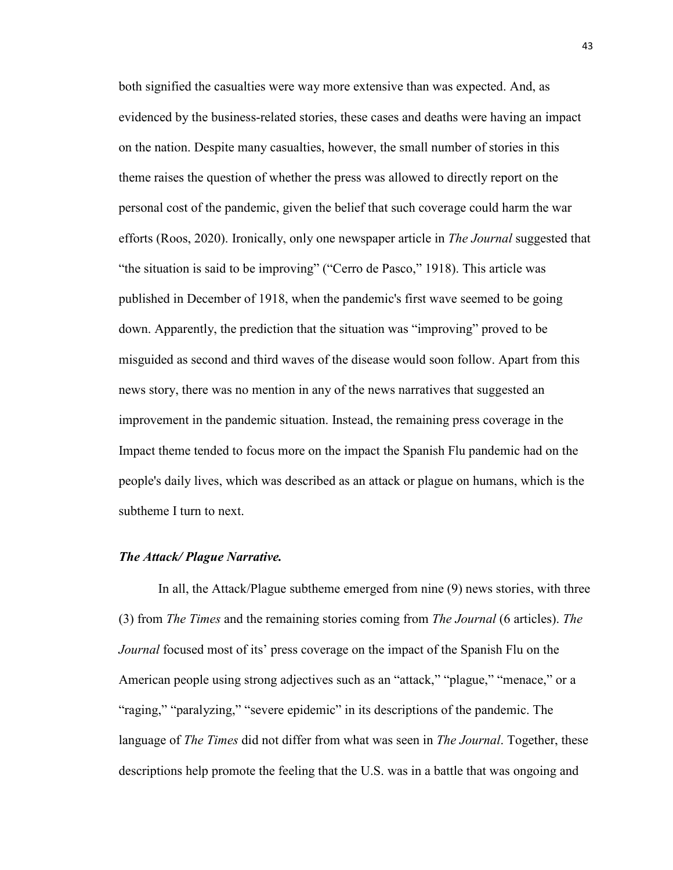both signified the casualties were way more extensive than was expected. And, as evidenced by the business-related stories, these cases and deaths were having an impact on the nation. Despite many casualties, however, the small number of stories in this theme raises the question of whether the press was allowed to directly report on the personal cost of the pandemic, given the belief that such coverage could harm the war efforts (Roos, 2020). Ironically, only one newspaper article in *The Journal* suggested that "the situation is said to be improving" ("Cerro de Pasco," 1918). This article was published in December of 1918, when the pandemic's first wave seemed to be going down. Apparently, the prediction that the situation was "improving" proved to be misguided as second and third waves of the disease would soon follow. Apart from this news story, there was no mention in any of the news narratives that suggested an improvement in the pandemic situation. Instead, the remaining press coverage in the Impact theme tended to focus more on the impact the Spanish Flu pandemic had on the people's daily lives, which was described as an attack or plague on humans, which is the subtheme I turn to next.

### *The Attack/ Plague Narrative.*

In all, the Attack/Plague subtheme emerged from nine (9) news stories, with three (3) from *The Times* and the remaining stories coming from *The Journal* (6 articles). *The Journal* focused most of its' press coverage on the impact of the Spanish Flu on the American people using strong adjectives such as an "attack," "plague," "menace," or a "raging," "paralyzing," "severe epidemic" in its descriptions of the pandemic. The language of *The Times* did not differ from what was seen in *The Journal*. Together, these descriptions help promote the feeling that the U.S. was in a battle that was ongoing and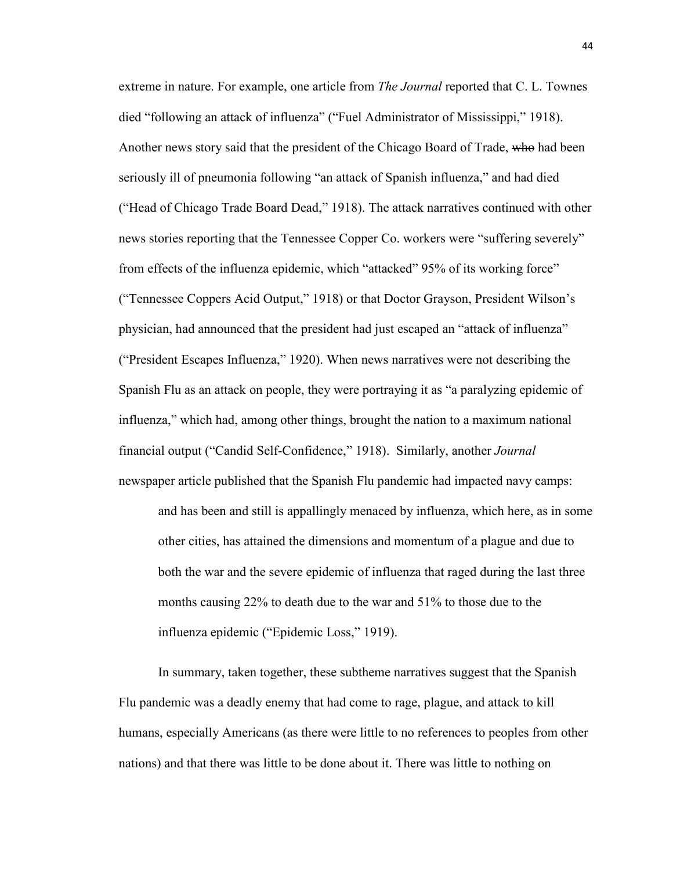extreme in nature. For example, one article from *The Journal* reported that C. L. Townes died "following an attack of influenza" ("Fuel Administrator of Mississippi," 1918). Another news story said that the president of the Chicago Board of Trade, who had been seriously ill of pneumonia following "an attack of Spanish influenza," and had died ("Head of Chicago Trade Board Dead," 1918). The attack narratives continued with other news stories reporting that the Tennessee Copper Co. workers were "suffering severely" from effects of the influenza epidemic, which "attacked" 95% of its working force" ("Tennessee Coppers Acid Output," 1918) or that Doctor Grayson, President Wilson's physician, had announced that the president had just escaped an "attack of influenza" ("President Escapes Influenza," 1920). When news narratives were not describing the Spanish Flu as an attack on people, they were portraying it as "a paralyzing epidemic of influenza," which had, among other things, brought the nation to a maximum national financial output ("Candid Self-Confidence," 1918). Similarly, another *Journal* newspaper article published that the Spanish Flu pandemic had impacted navy camps: and has been and still is appallingly menaced by influenza, which here, as in some other cities, has attained the dimensions and momentum of a plague and due to both the war and the severe epidemic of influenza that raged during the last three months causing 22% to death due to the war and 51% to those due to the influenza epidemic ("Epidemic Loss," 1919).

In summary, taken together, these subtheme narratives suggest that the Spanish Flu pandemic was a deadly enemy that had come to rage, plague, and attack to kill humans, especially Americans (as there were little to no references to peoples from other nations) and that there was little to be done about it. There was little to nothing on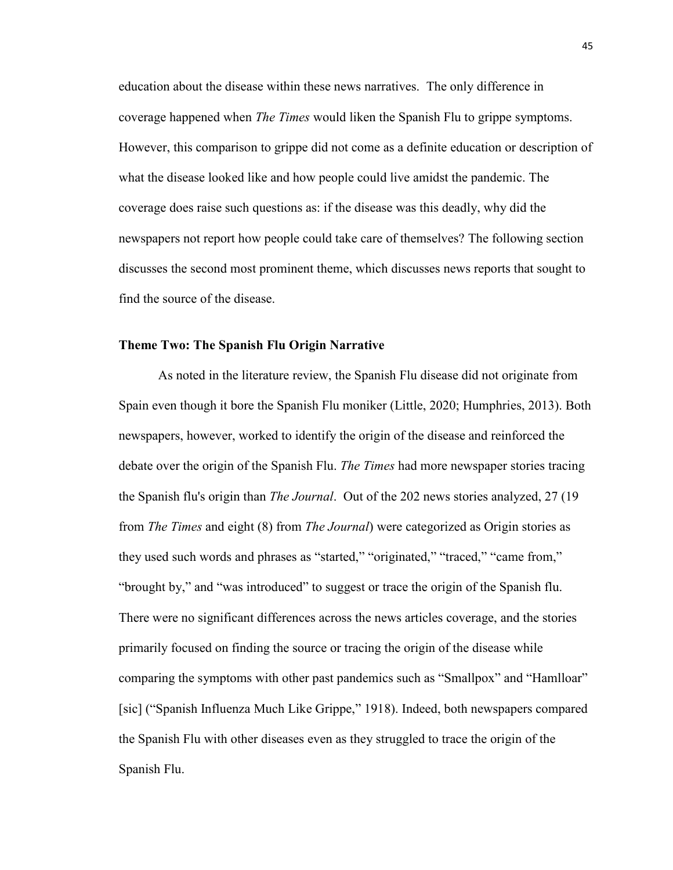education about the disease within these news narratives. The only difference in coverage happened when *The Times* would liken the Spanish Flu to grippe symptoms. However, this comparison to grippe did not come as a definite education or description of what the disease looked like and how people could live amidst the pandemic. The coverage does raise such questions as: if the disease was this deadly, why did the newspapers not report how people could take care of themselves? The following section discusses the second most prominent theme, which discusses news reports that sought to find the source of the disease.

## **Theme Two: The Spanish Flu Origin Narrative**

As noted in the literature review, the Spanish Flu disease did not originate from Spain even though it bore the Spanish Flu moniker (Little, 2020; Humphries, 2013). Both newspapers, however, worked to identify the origin of the disease and reinforced the debate over the origin of the Spanish Flu. *The Times* had more newspaper stories tracing the Spanish flu's origin than *The Journal*. Out of the 202 news stories analyzed, 27 (19 from *The Times* and eight (8) from *The Journal*) were categorized as Origin stories as they used such words and phrases as "started," "originated," "traced," "came from," "brought by," and "was introduced" to suggest or trace the origin of the Spanish flu. There were no significant differences across the news articles coverage, and the stories primarily focused on finding the source or tracing the origin of the disease while comparing the symptoms with other past pandemics such as "Smallpox" and "Hamlloar" [sic] ("Spanish Influenza Much Like Grippe," 1918). Indeed, both newspapers compared the Spanish Flu with other diseases even as they struggled to trace the origin of the Spanish Flu.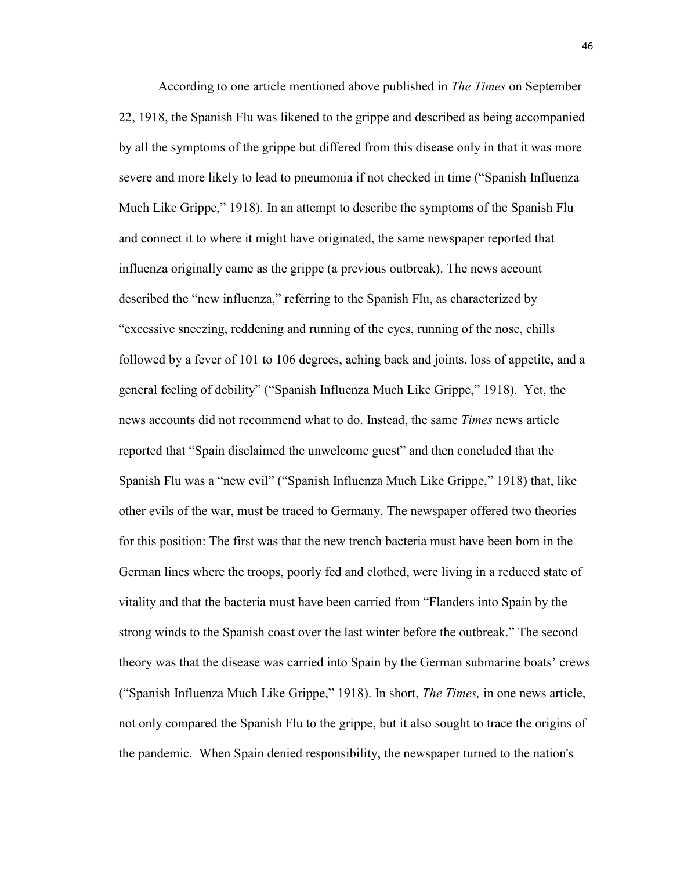According to one article mentioned above published in *The Times* on September 22, 1918, the Spanish Flu was likened to the grippe and described as being accompanied by all the symptoms of the grippe but differed from this disease only in that it was more severe and more likely to lead to pneumonia if not checked in time ("Spanish Influenza Much Like Grippe," 1918). In an attempt to describe the symptoms of the Spanish Flu and connect it to where it might have originated, the same newspaper reported that influenza originally came as the grippe (a previous outbreak). The news account described the "new influenza," referring to the Spanish Flu, as characterized by "excessive sneezing, reddening and running of the eyes, running of the nose, chills followed by a fever of 101 to 106 degrees, aching back and joints, loss of appetite, and a general feeling of debility" ("Spanish Influenza Much Like Grippe," 1918). Yet, the news accounts did not recommend what to do. Instead, the same *Times* news article reported that "Spain disclaimed the unwelcome guest" and then concluded that the Spanish Flu was a "new evil" ("Spanish Influenza Much Like Grippe," 1918) that, like other evils of the war, must be traced to Germany. The newspaper offered two theories for this position: The first was that the new trench bacteria must have been born in the German lines where the troops, poorly fed and clothed, were living in a reduced state of vitality and that the bacteria must have been carried from "Flanders into Spain by the strong winds to the Spanish coast over the last winter before the outbreak." The second theory was that the disease was carried into Spain by the German submarine boats' crews ("Spanish Influenza Much Like Grippe," 1918). In short, *The Times,* in one news article, not only compared the Spanish Flu to the grippe, but it also sought to trace the origins of the pandemic. When Spain denied responsibility, the newspaper turned to the nation's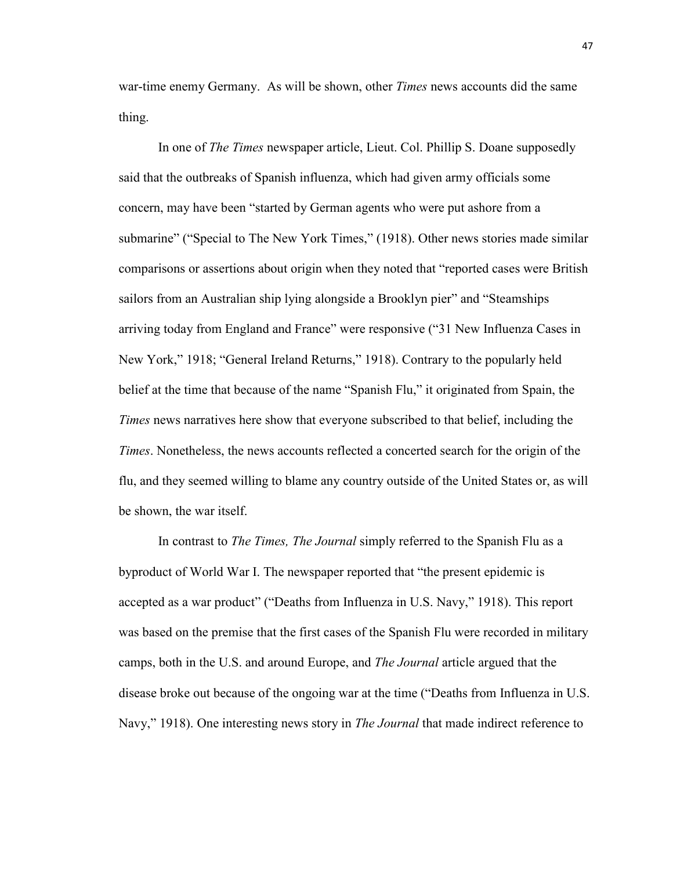war-time enemy Germany. As will be shown, other *Times* news accounts did the same thing.

In one of *The Times* newspaper article, Lieut. Col. Phillip S. Doane supposedly said that the outbreaks of Spanish influenza, which had given army officials some concern, may have been "started by German agents who were put ashore from a submarine" ("Special to The New York Times," (1918). Other news stories made similar comparisons or assertions about origin when they noted that "reported cases were British sailors from an Australian ship lying alongside a Brooklyn pier" and "Steamships arriving today from England and France" were responsive ("31 New Influenza Cases in New York," 1918; "General Ireland Returns," 1918). Contrary to the popularly held belief at the time that because of the name "Spanish Flu," it originated from Spain, the *Times* news narratives here show that everyone subscribed to that belief, including the *Times*. Nonetheless, the news accounts reflected a concerted search for the origin of the flu, and they seemed willing to blame any country outside of the United States or, as will be shown, the war itself.

In contrast to *The Times, The Journal* simply referred to the Spanish Flu as a byproduct of World War I. The newspaper reported that "the present epidemic is accepted as a war product" ("Deaths from Influenza in U.S. Navy," 1918). This report was based on the premise that the first cases of the Spanish Flu were recorded in military camps, both in the U.S. and around Europe, and *The Journal* article argued that the disease broke out because of the ongoing war at the time ("Deaths from Influenza in U.S. Navy," 1918). One interesting news story in *The Journal* that made indirect reference to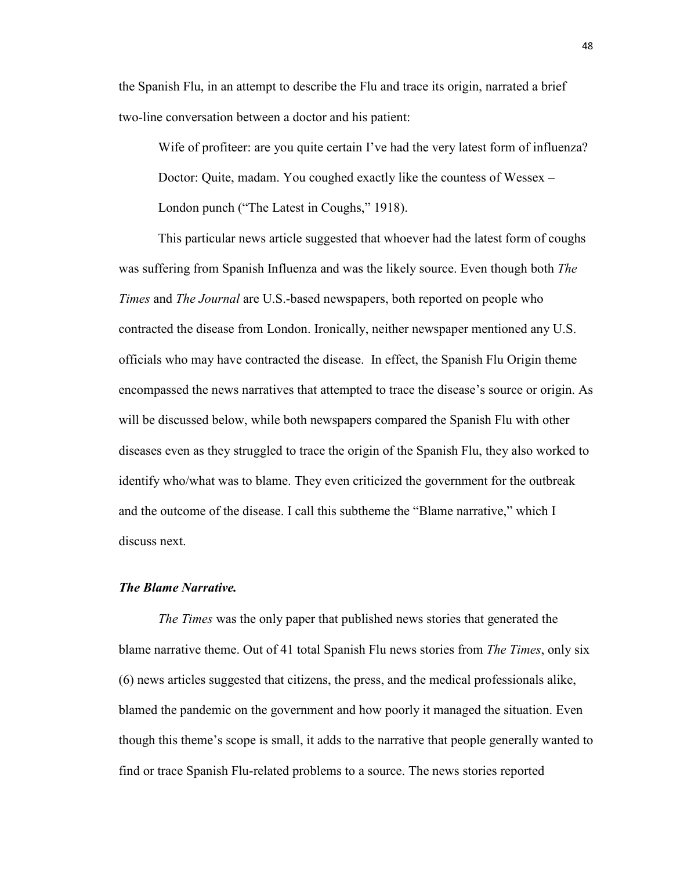the Spanish Flu, in an attempt to describe the Flu and trace its origin, narrated a brief two-line conversation between a doctor and his patient:

Wife of profiteer: are you quite certain I've had the very latest form of influenza? Doctor: Quite, madam. You coughed exactly like the countess of Wessex – London punch ("The Latest in Coughs," 1918).

This particular news article suggested that whoever had the latest form of coughs was suffering from Spanish Influenza and was the likely source. Even though both *The Times* and *The Journal* are U.S.-based newspapers, both reported on people who contracted the disease from London. Ironically, neither newspaper mentioned any U.S. officials who may have contracted the disease. In effect, the Spanish Flu Origin theme encompassed the news narratives that attempted to trace the disease's source or origin. As will be discussed below, while both newspapers compared the Spanish Flu with other diseases even as they struggled to trace the origin of the Spanish Flu, they also worked to identify who/what was to blame. They even criticized the government for the outbreak and the outcome of the disease. I call this subtheme the "Blame narrative," which I discuss next.

## *The Blame Narrative.*

*The Times* was the only paper that published news stories that generated the blame narrative theme. Out of 41 total Spanish Flu news stories from *The Times*, only six (6) news articles suggested that citizens, the press, and the medical professionals alike, blamed the pandemic on the government and how poorly it managed the situation. Even though this theme's scope is small, it adds to the narrative that people generally wanted to find or trace Spanish Flu-related problems to a source. The news stories reported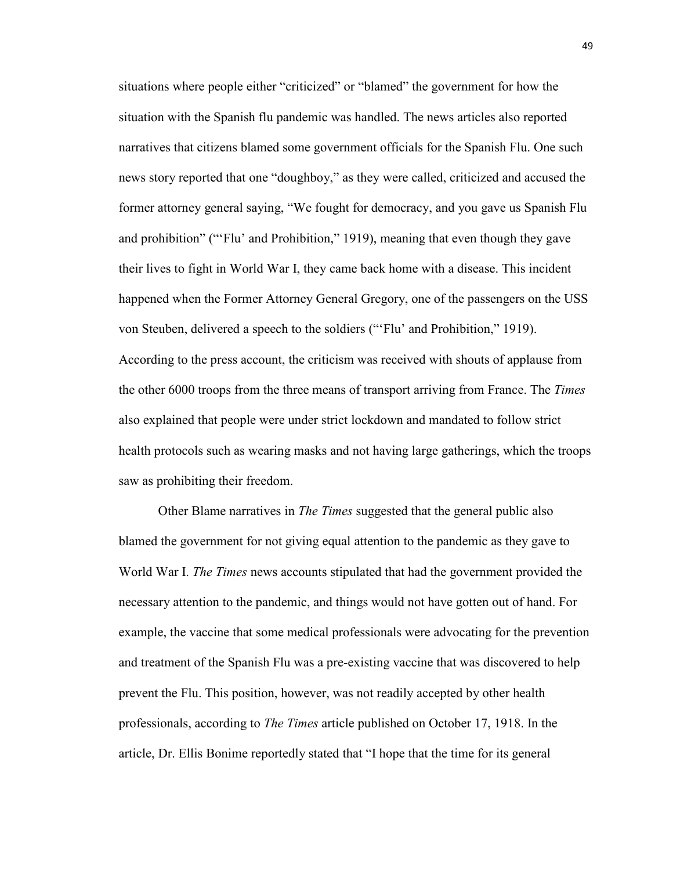situations where people either "criticized" or "blamed" the government for how the situation with the Spanish flu pandemic was handled. The news articles also reported narratives that citizens blamed some government officials for the Spanish Flu. One such news story reported that one "doughboy," as they were called, criticized and accused the former attorney general saying, "We fought for democracy, and you gave us Spanish Flu and prohibition" ("'Flu' and Prohibition," 1919), meaning that even though they gave their lives to fight in World War I, they came back home with a disease. This incident happened when the Former Attorney General Gregory, one of the passengers on the USS von Steuben, delivered a speech to the soldiers ("'Flu' and Prohibition," 1919). According to the press account, the criticism was received with shouts of applause from the other 6000 troops from the three means of transport arriving from France. The *Times* also explained that people were under strict lockdown and mandated to follow strict health protocols such as wearing masks and not having large gatherings, which the troops saw as prohibiting their freedom.

Other Blame narratives in *The Times* suggested that the general public also blamed the government for not giving equal attention to the pandemic as they gave to World War I. *The Times* news accounts stipulated that had the government provided the necessary attention to the pandemic, and things would not have gotten out of hand. For example, the vaccine that some medical professionals were advocating for the prevention and treatment of the Spanish Flu was a pre-existing vaccine that was discovered to help prevent the Flu. This position, however, was not readily accepted by other health professionals, according to *The Times* article published on October 17, 1918. In the article, Dr. Ellis Bonime reportedly stated that "I hope that the time for its general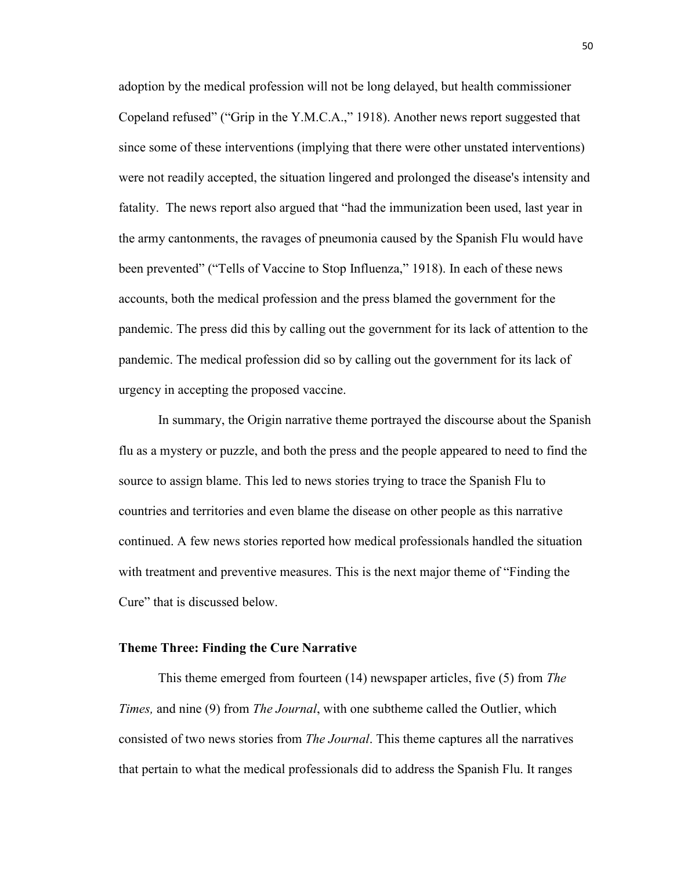adoption by the medical profession will not be long delayed, but health commissioner Copeland refused" ("Grip in the Y.M.C.A.," 1918). Another news report suggested that since some of these interventions (implying that there were other unstated interventions) were not readily accepted, the situation lingered and prolonged the disease's intensity and fatality. The news report also argued that "had the immunization been used, last year in the army cantonments, the ravages of pneumonia caused by the Spanish Flu would have been prevented" ("Tells of Vaccine to Stop Influenza," 1918). In each of these news accounts, both the medical profession and the press blamed the government for the pandemic. The press did this by calling out the government for its lack of attention to the pandemic. The medical profession did so by calling out the government for its lack of urgency in accepting the proposed vaccine.

In summary, the Origin narrative theme portrayed the discourse about the Spanish flu as a mystery or puzzle, and both the press and the people appeared to need to find the source to assign blame. This led to news stories trying to trace the Spanish Flu to countries and territories and even blame the disease on other people as this narrative continued. A few news stories reported how medical professionals handled the situation with treatment and preventive measures. This is the next major theme of "Finding the Cure" that is discussed below.

## **Theme Three: Finding the Cure Narrative**

This theme emerged from fourteen (14) newspaper articles, five (5) from *The Times,* and nine (9) from *The Journal*, with one subtheme called the Outlier, which consisted of two news stories from *The Journal*. This theme captures all the narratives that pertain to what the medical professionals did to address the Spanish Flu. It ranges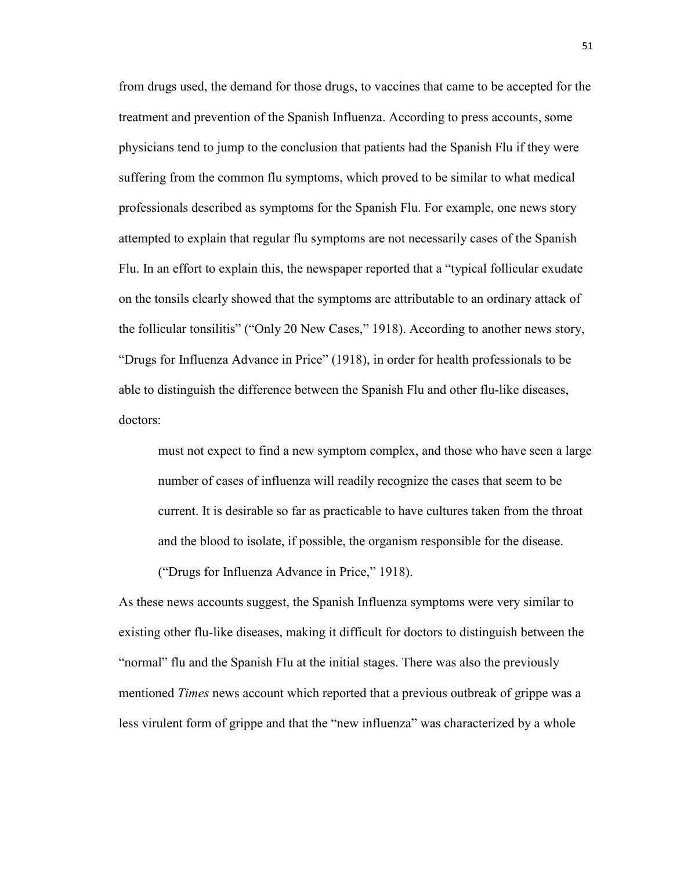from drugs used, the demand for those drugs, to vaccines that came to be accepted for the treatment and prevention of the Spanish Influenza. According to press accounts, some physicians tend to jump to the conclusion that patients had the Spanish Flu if they were suffering from the common flu symptoms, which proved to be similar to what medical professionals described as symptoms for the Spanish Flu. For example, one news story attempted to explain that regular flu symptoms are not necessarily cases of the Spanish Flu. In an effort to explain this, the newspaper reported that a "typical follicular exudate on the tonsils clearly showed that the symptoms are attributable to an ordinary attack of the follicular tonsilitis" ("Only 20 New Cases," 1918). According to another news story, "Drugs for Influenza Advance in Price" (1918), in order for health professionals to be able to distinguish the difference between the Spanish Flu and other flu-like diseases, doctors:

must not expect to find a new symptom complex, and those who have seen a large number of cases of influenza will readily recognize the cases that seem to be current. It is desirable so far as practicable to have cultures taken from the throat and the blood to isolate, if possible, the organism responsible for the disease. ("Drugs for Influenza Advance in Price," 1918).

As these news accounts suggest, the Spanish Influenza symptoms were very similar to existing other flu-like diseases, making it difficult for doctors to distinguish between the "normal" flu and the Spanish Flu at the initial stages. There was also the previously mentioned *Times* news account which reported that a previous outbreak of grippe was a less virulent form of grippe and that the "new influenza" was characterized by a whole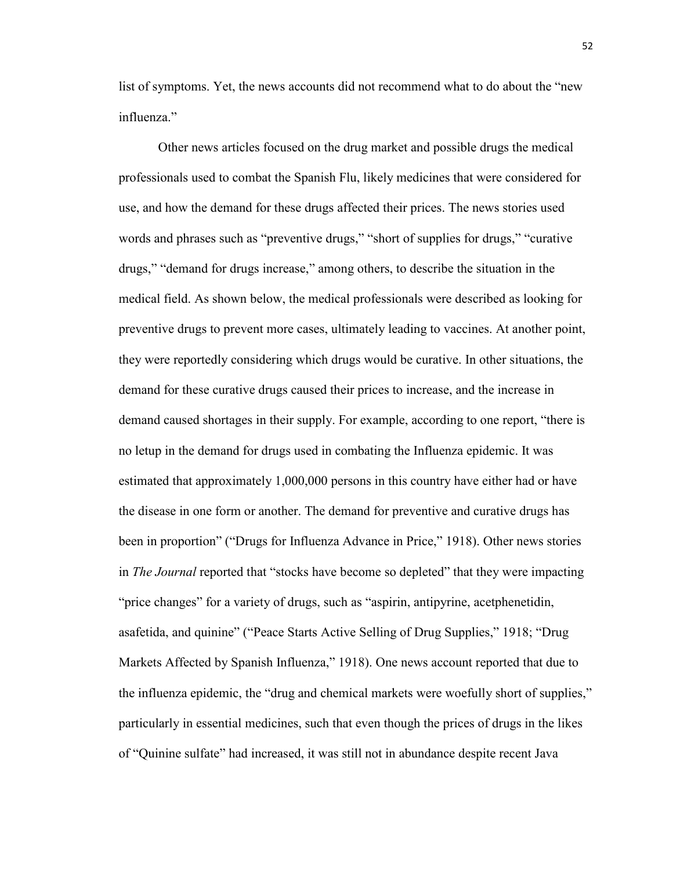list of symptoms. Yet, the news accounts did not recommend what to do about the "new influenza<sup>"</sup>

Other news articles focused on the drug market and possible drugs the medical professionals used to combat the Spanish Flu, likely medicines that were considered for use, and how the demand for these drugs affected their prices. The news stories used words and phrases such as "preventive drugs," "short of supplies for drugs," "curative drugs," "demand for drugs increase," among others, to describe the situation in the medical field. As shown below, the medical professionals were described as looking for preventive drugs to prevent more cases, ultimately leading to vaccines. At another point, they were reportedly considering which drugs would be curative. In other situations, the demand for these curative drugs caused their prices to increase, and the increase in demand caused shortages in their supply. For example, according to one report, "there is no letup in the demand for drugs used in combating the Influenza epidemic. It was estimated that approximately 1,000,000 persons in this country have either had or have the disease in one form or another. The demand for preventive and curative drugs has been in proportion" ("Drugs for Influenza Advance in Price," 1918). Other news stories in *The Journal* reported that "stocks have become so depleted" that they were impacting "price changes" for a variety of drugs, such as "aspirin, antipyrine, acetphenetidin, asafetida, and quinine" ("Peace Starts Active Selling of Drug Supplies," 1918; "Drug Markets Affected by Spanish Influenza," 1918). One news account reported that due to the influenza epidemic, the "drug and chemical markets were woefully short of supplies," particularly in essential medicines, such that even though the prices of drugs in the likes of "Quinine sulfate" had increased, it was still not in abundance despite recent Java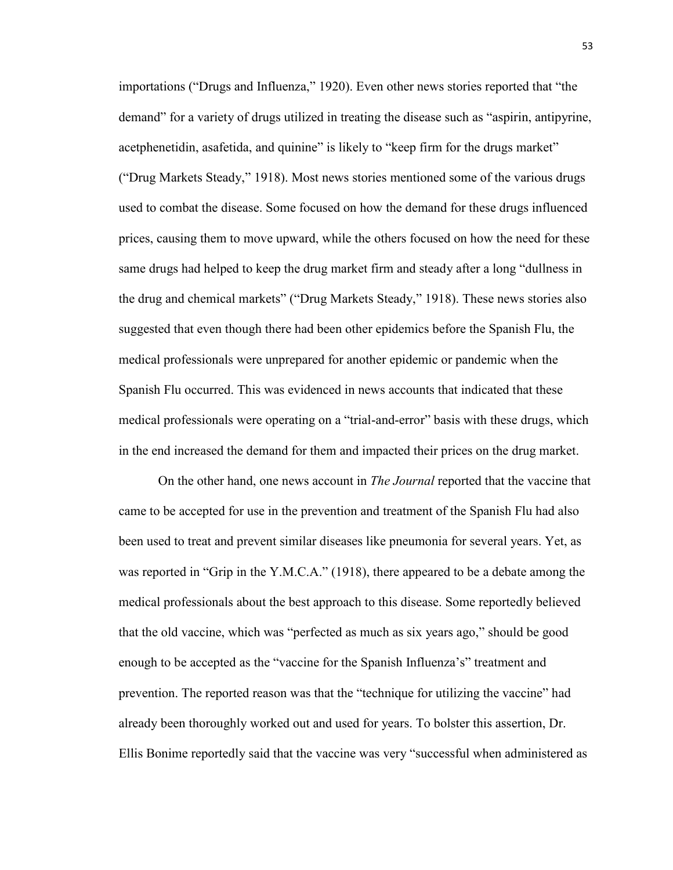importations ("Drugs and Influenza," 1920). Even other news stories reported that "the demand" for a variety of drugs utilized in treating the disease such as "aspirin, antipyrine, acetphenetidin, asafetida, and quinine" is likely to "keep firm for the drugs market" ("Drug Markets Steady," 1918). Most news stories mentioned some of the various drugs used to combat the disease. Some focused on how the demand for these drugs influenced prices, causing them to move upward, while the others focused on how the need for these same drugs had helped to keep the drug market firm and steady after a long "dullness in the drug and chemical markets" ("Drug Markets Steady," 1918). These news stories also suggested that even though there had been other epidemics before the Spanish Flu, the medical professionals were unprepared for another epidemic or pandemic when the Spanish Flu occurred. This was evidenced in news accounts that indicated that these medical professionals were operating on a "trial-and-error" basis with these drugs, which in the end increased the demand for them and impacted their prices on the drug market.

On the other hand, one news account in *The Journal* reported that the vaccine that came to be accepted for use in the prevention and treatment of the Spanish Flu had also been used to treat and prevent similar diseases like pneumonia for several years. Yet, as was reported in "Grip in the Y.M.C.A." (1918), there appeared to be a debate among the medical professionals about the best approach to this disease. Some reportedly believed that the old vaccine, which was "perfected as much as six years ago," should be good enough to be accepted as the "vaccine for the Spanish Influenza's" treatment and prevention. The reported reason was that the "technique for utilizing the vaccine" had already been thoroughly worked out and used for years. To bolster this assertion, Dr. Ellis Bonime reportedly said that the vaccine was very "successful when administered as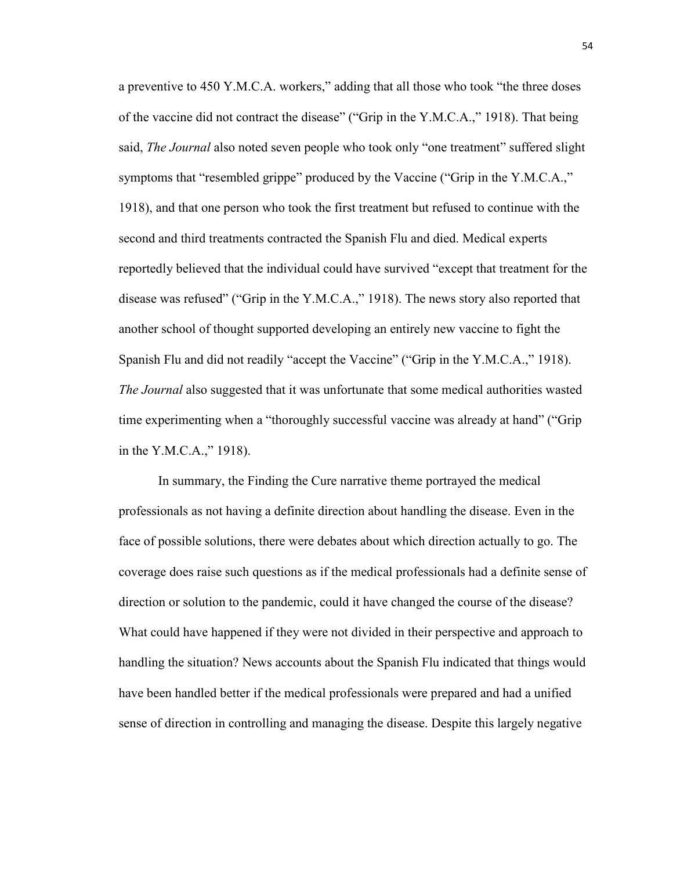a preventive to 450 Y.M.C.A. workers," adding that all those who took "the three doses of the vaccine did not contract the disease" ("Grip in the Y.M.C.A.," 1918). That being said, *The Journal* also noted seven people who took only "one treatment" suffered slight symptoms that "resembled grippe" produced by the Vaccine ("Grip in the Y.M.C.A.," 1918), and that one person who took the first treatment but refused to continue with the second and third treatments contracted the Spanish Flu and died. Medical experts reportedly believed that the individual could have survived "except that treatment for the disease was refused" ("Grip in the Y.M.C.A.," 1918). The news story also reported that another school of thought supported developing an entirely new vaccine to fight the Spanish Flu and did not readily "accept the Vaccine" ("Grip in the Y.M.C.A.," 1918). *The Journal* also suggested that it was unfortunate that some medical authorities wasted time experimenting when a "thoroughly successful vaccine was already at hand" ("Grip in the Y.M.C.A.," 1918).

In summary, the Finding the Cure narrative theme portrayed the medical professionals as not having a definite direction about handling the disease. Even in the face of possible solutions, there were debates about which direction actually to go. The coverage does raise such questions as if the medical professionals had a definite sense of direction or solution to the pandemic, could it have changed the course of the disease? What could have happened if they were not divided in their perspective and approach to handling the situation? News accounts about the Spanish Flu indicated that things would have been handled better if the medical professionals were prepared and had a unified sense of direction in controlling and managing the disease. Despite this largely negative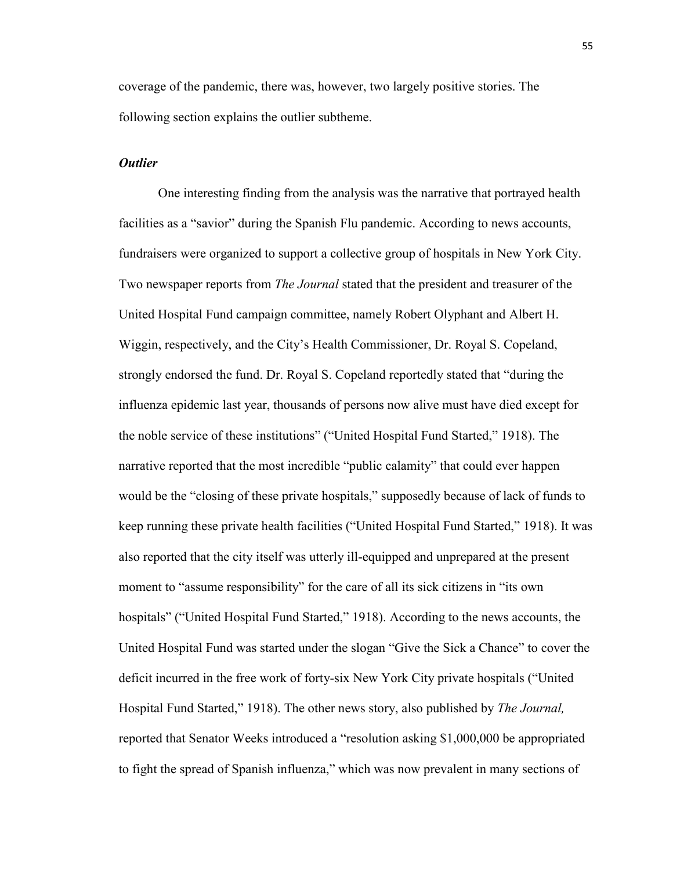coverage of the pandemic, there was, however, two largely positive stories. The following section explains the outlier subtheme.

# *Outlier*

One interesting finding from the analysis was the narrative that portrayed health facilities as a "savior" during the Spanish Flu pandemic. According to news accounts, fundraisers were organized to support a collective group of hospitals in New York City. Two newspaper reports from *The Journal* stated that the president and treasurer of the United Hospital Fund campaign committee, namely Robert Olyphant and Albert H. Wiggin, respectively, and the City's Health Commissioner, Dr. Royal S. Copeland, strongly endorsed the fund. Dr. Royal S. Copeland reportedly stated that "during the influenza epidemic last year, thousands of persons now alive must have died except for the noble service of these institutions" ("United Hospital Fund Started," 1918). The narrative reported that the most incredible "public calamity" that could ever happen would be the "closing of these private hospitals," supposedly because of lack of funds to keep running these private health facilities ("United Hospital Fund Started," 1918). It was also reported that the city itself was utterly ill-equipped and unprepared at the present moment to "assume responsibility" for the care of all its sick citizens in "its own hospitals" ("United Hospital Fund Started," 1918). According to the news accounts, the United Hospital Fund was started under the slogan "Give the Sick a Chance" to cover the deficit incurred in the free work of forty-six New York City private hospitals ("United Hospital Fund Started," 1918). The other news story, also published by *The Journal,* reported that Senator Weeks introduced a "resolution asking \$1,000,000 be appropriated to fight the spread of Spanish influenza," which was now prevalent in many sections of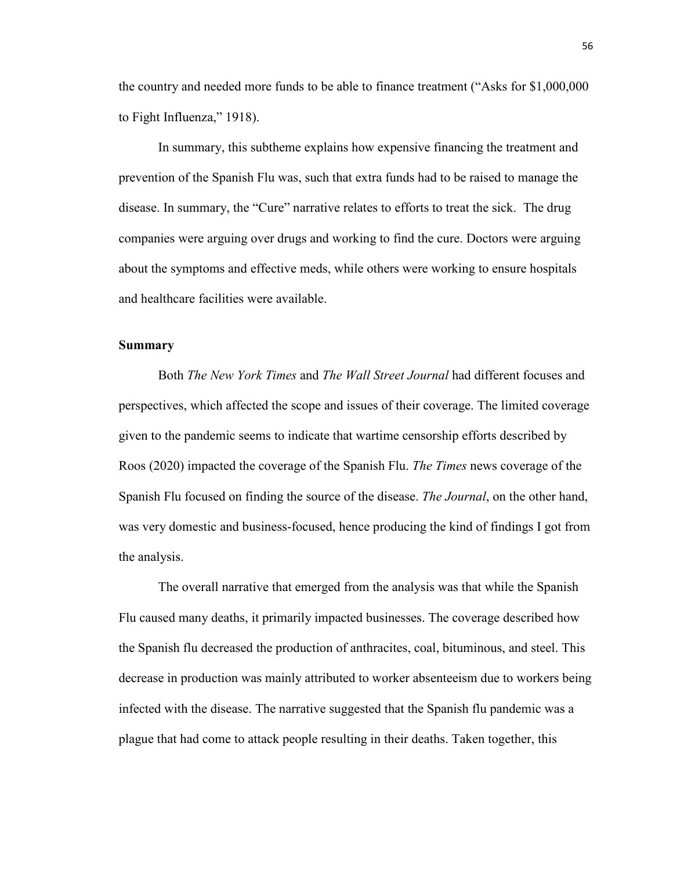the country and needed more funds to be able to finance treatment ("Asks for \$1,000,000 to Fight Influenza," 1918).

In summary, this subtheme explains how expensive financing the treatment and prevention of the Spanish Flu was, such that extra funds had to be raised to manage the disease. In summary, the "Cure" narrative relates to efforts to treat the sick. The drug companies were arguing over drugs and working to find the cure. Doctors were arguing about the symptoms and effective meds, while others were working to ensure hospitals and healthcare facilities were available.

## **Summary**

Both *The New York Times* and *The Wall Street Journal* had different focuses and perspectives, which affected the scope and issues of their coverage. The limited coverage given to the pandemic seems to indicate that wartime censorship efforts described by Roos (2020) impacted the coverage of the Spanish Flu. *The Times* news coverage of the Spanish Flu focused on finding the source of the disease. *The Journal*, on the other hand, was very domestic and business-focused, hence producing the kind of findings I got from the analysis.

The overall narrative that emerged from the analysis was that while the Spanish Flu caused many deaths, it primarily impacted businesses. The coverage described how the Spanish flu decreased the production of anthracites, coal, bituminous, and steel. This decrease in production was mainly attributed to worker absenteeism due to workers being infected with the disease. The narrative suggested that the Spanish flu pandemic was a plague that had come to attack people resulting in their deaths. Taken together, this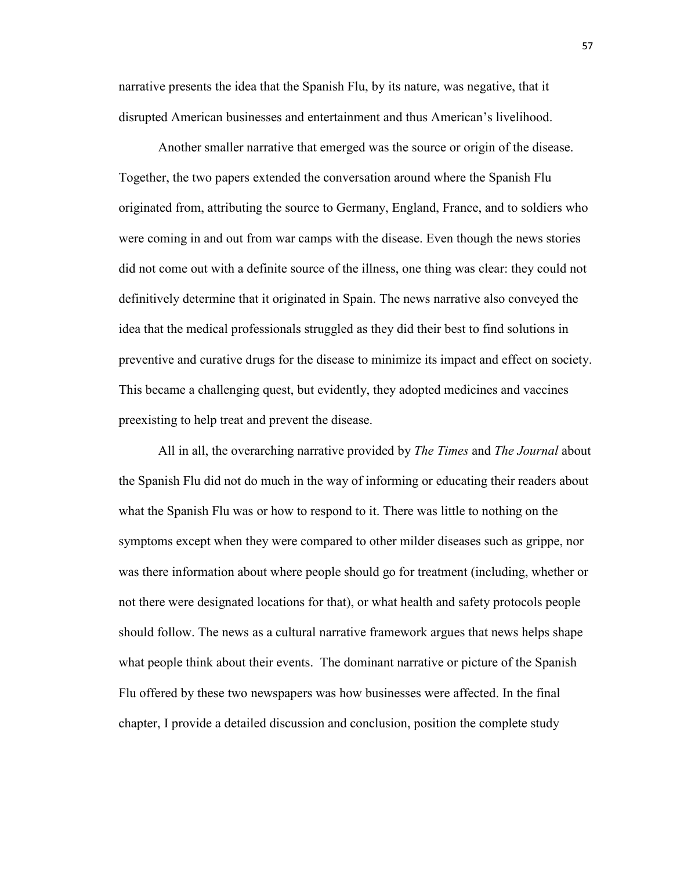narrative presents the idea that the Spanish Flu, by its nature, was negative, that it disrupted American businesses and entertainment and thus American's livelihood.

Another smaller narrative that emerged was the source or origin of the disease. Together, the two papers extended the conversation around where the Spanish Flu originated from, attributing the source to Germany, England, France, and to soldiers who were coming in and out from war camps with the disease. Even though the news stories did not come out with a definite source of the illness, one thing was clear: they could not definitively determine that it originated in Spain. The news narrative also conveyed the idea that the medical professionals struggled as they did their best to find solutions in preventive and curative drugs for the disease to minimize its impact and effect on society. This became a challenging quest, but evidently, they adopted medicines and vaccines preexisting to help treat and prevent the disease.

All in all, the overarching narrative provided by *The Times* and *The Journal* about the Spanish Flu did not do much in the way of informing or educating their readers about what the Spanish Flu was or how to respond to it. There was little to nothing on the symptoms except when they were compared to other milder diseases such as grippe, nor was there information about where people should go for treatment (including, whether or not there were designated locations for that), or what health and safety protocols people should follow. The news as a cultural narrative framework argues that news helps shape what people think about their events. The dominant narrative or picture of the Spanish Flu offered by these two newspapers was how businesses were affected. In the final chapter, I provide a detailed discussion and conclusion, position the complete study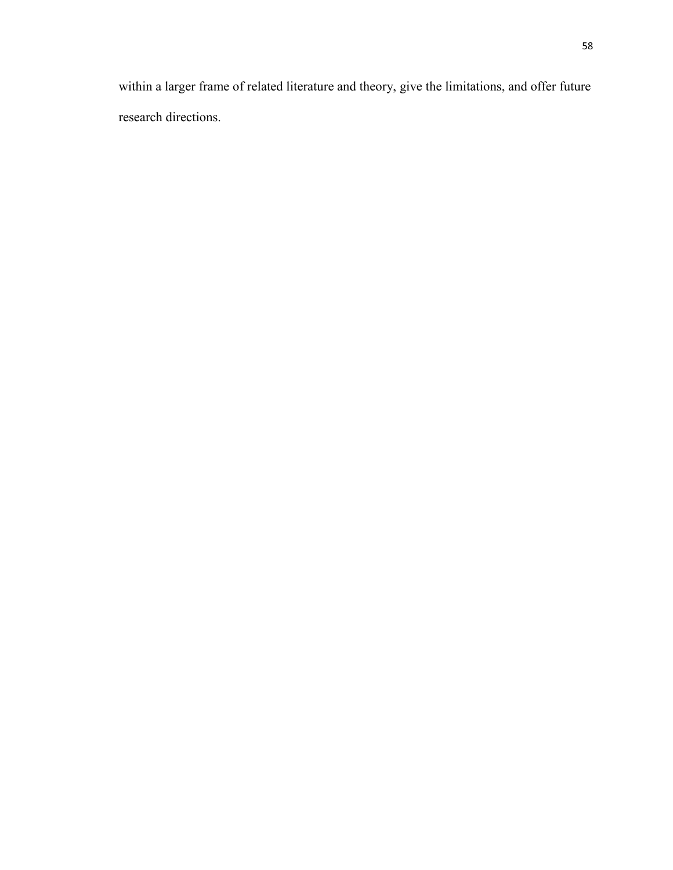within a larger frame of related literature and theory, give the limitations, and offer future research directions.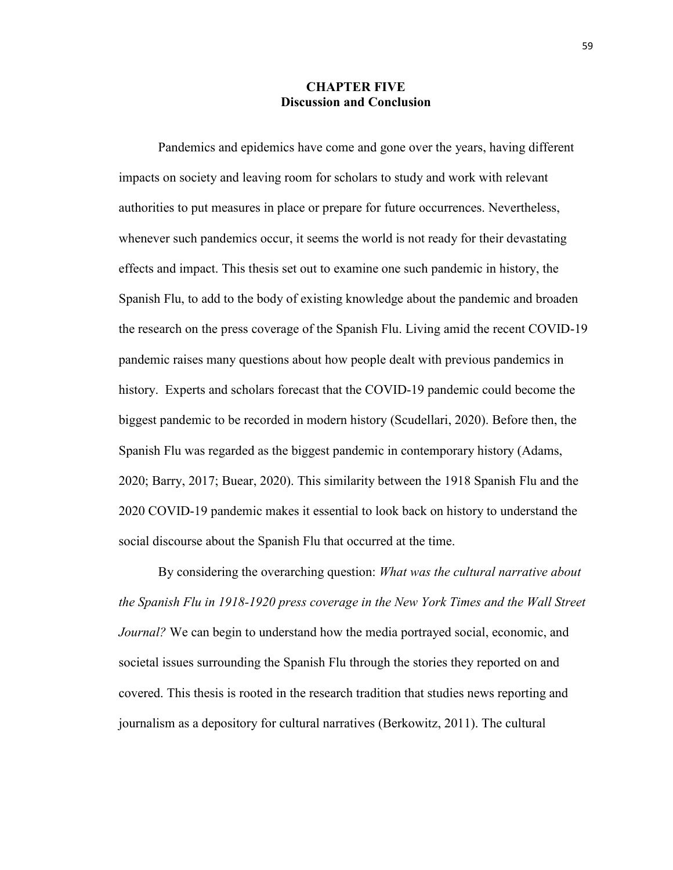## **CHAPTER FIVE Discussion and Conclusion**

Pandemics and epidemics have come and gone over the years, having different impacts on society and leaving room for scholars to study and work with relevant authorities to put measures in place or prepare for future occurrences. Nevertheless, whenever such pandemics occur, it seems the world is not ready for their devastating effects and impact. This thesis set out to examine one such pandemic in history, the Spanish Flu, to add to the body of existing knowledge about the pandemic and broaden the research on the press coverage of the Spanish Flu. Living amid the recent COVID-19 pandemic raises many questions about how people dealt with previous pandemics in history. Experts and scholars forecast that the COVID-19 pandemic could become the biggest pandemic to be recorded in modern history (Scudellari, 2020). Before then, the Spanish Flu was regarded as the biggest pandemic in contemporary history (Adams, 2020; Barry, 2017; Buear, 2020). This similarity between the 1918 Spanish Flu and the 2020 COVID-19 pandemic makes it essential to look back on history to understand the social discourse about the Spanish Flu that occurred at the time.

By considering the overarching question: *What was the cultural narrative about the Spanish Flu in 1918-1920 press coverage in the New York Times and the Wall Street Journal?* We can begin to understand how the media portrayed social, economic, and societal issues surrounding the Spanish Flu through the stories they reported on and covered. This thesis is rooted in the research tradition that studies news reporting and journalism as a depository for cultural narratives (Berkowitz, 2011). The cultural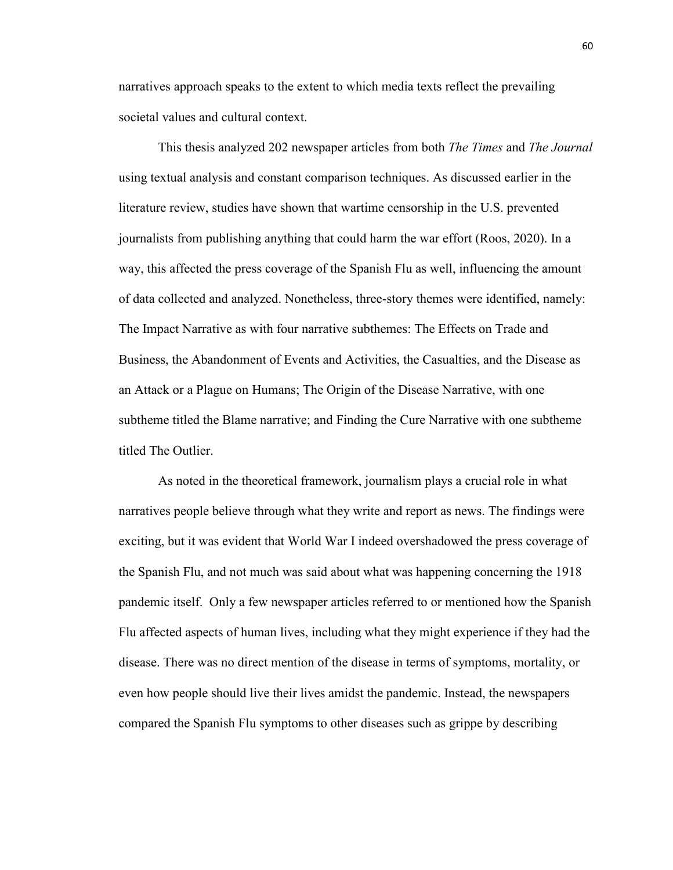narratives approach speaks to the extent to which media texts reflect the prevailing societal values and cultural context.

This thesis analyzed 202 newspaper articles from both *The Times* and *The Journal*  using textual analysis and constant comparison techniques. As discussed earlier in the literature review, studies have shown that wartime censorship in the U.S. prevented journalists from publishing anything that could harm the war effort (Roos, 2020). In a way, this affected the press coverage of the Spanish Flu as well, influencing the amount of data collected and analyzed. Nonetheless, three-story themes were identified, namely: The Impact Narrative as with four narrative subthemes: The Effects on Trade and Business, the Abandonment of Events and Activities, the Casualties, and the Disease as an Attack or a Plague on Humans; The Origin of the Disease Narrative, with one subtheme titled the Blame narrative; and Finding the Cure Narrative with one subtheme titled The Outlier.

As noted in the theoretical framework, journalism plays a crucial role in what narratives people believe through what they write and report as news. The findings were exciting, but it was evident that World War I indeed overshadowed the press coverage of the Spanish Flu, and not much was said about what was happening concerning the 1918 pandemic itself. Only a few newspaper articles referred to or mentioned how the Spanish Flu affected aspects of human lives, including what they might experience if they had the disease. There was no direct mention of the disease in terms of symptoms, mortality, or even how people should live their lives amidst the pandemic. Instead, the newspapers compared the Spanish Flu symptoms to other diseases such as grippe by describing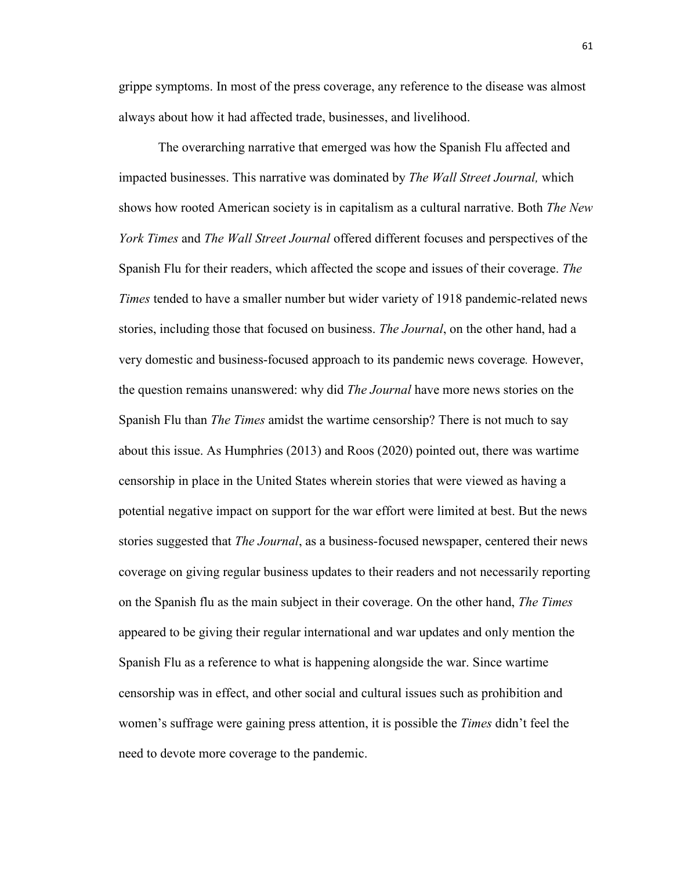grippe symptoms. In most of the press coverage, any reference to the disease was almost always about how it had affected trade, businesses, and livelihood.

The overarching narrative that emerged was how the Spanish Flu affected and impacted businesses. This narrative was dominated by *The Wall Street Journal,* which shows how rooted American society is in capitalism as a cultural narrative. Both *The New York Times* and *The Wall Street Journal* offered different focuses and perspectives of the Spanish Flu for their readers, which affected the scope and issues of their coverage. *The Times* tended to have a smaller number but wider variety of 1918 pandemic-related news stories, including those that focused on business. *The Journal*, on the other hand, had a very domestic and business-focused approach to its pandemic news coverage*.* However, the question remains unanswered: why did *The Journal* have more news stories on the Spanish Flu than *The Times* amidst the wartime censorship? There is not much to say about this issue. As Humphries (2013) and Roos (2020) pointed out, there was wartime censorship in place in the United States wherein stories that were viewed as having a potential negative impact on support for the war effort were limited at best. But the news stories suggested that *The Journal*, as a business-focused newspaper, centered their news coverage on giving regular business updates to their readers and not necessarily reporting on the Spanish flu as the main subject in their coverage. On the other hand, *The Times* appeared to be giving their regular international and war updates and only mention the Spanish Flu as a reference to what is happening alongside the war. Since wartime censorship was in effect, and other social and cultural issues such as prohibition and women's suffrage were gaining press attention, it is possible the *Times* didn't feel the need to devote more coverage to the pandemic.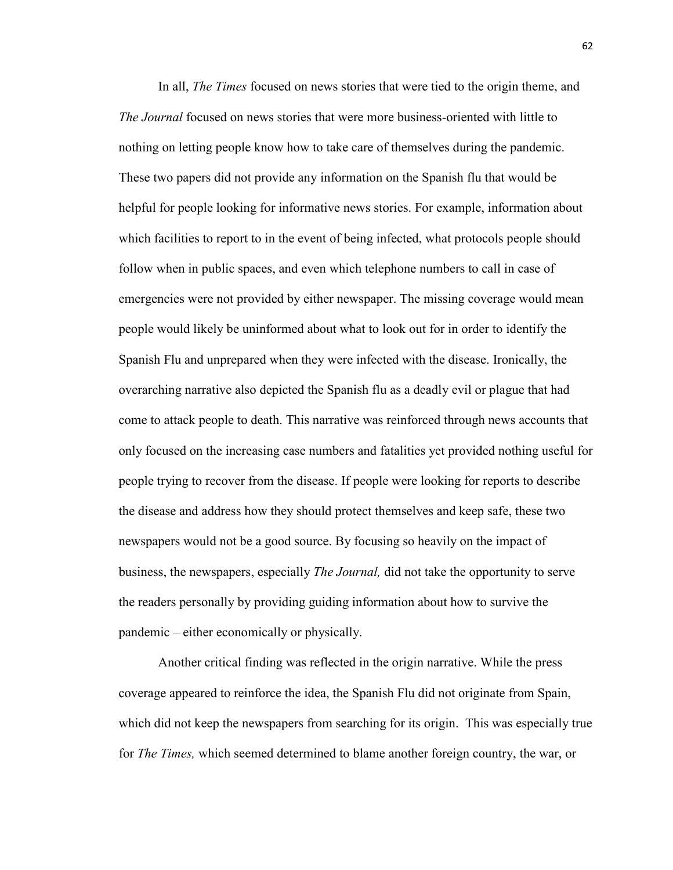In all, *The Times* focused on news stories that were tied to the origin theme, and *The Journal* focused on news stories that were more business-oriented with little to nothing on letting people know how to take care of themselves during the pandemic. These two papers did not provide any information on the Spanish flu that would be helpful for people looking for informative news stories. For example, information about which facilities to report to in the event of being infected, what protocols people should follow when in public spaces, and even which telephone numbers to call in case of emergencies were not provided by either newspaper. The missing coverage would mean people would likely be uninformed about what to look out for in order to identify the Spanish Flu and unprepared when they were infected with the disease. Ironically, the overarching narrative also depicted the Spanish flu as a deadly evil or plague that had come to attack people to death. This narrative was reinforced through news accounts that only focused on the increasing case numbers and fatalities yet provided nothing useful for people trying to recover from the disease. If people were looking for reports to describe the disease and address how they should protect themselves and keep safe, these two newspapers would not be a good source. By focusing so heavily on the impact of business, the newspapers, especially *The Journal,* did not take the opportunity to serve the readers personally by providing guiding information about how to survive the pandemic – either economically or physically.

Another critical finding was reflected in the origin narrative. While the press coverage appeared to reinforce the idea, the Spanish Flu did not originate from Spain, which did not keep the newspapers from searching for its origin. This was especially true for *The Times,* which seemed determined to blame another foreign country, the war, or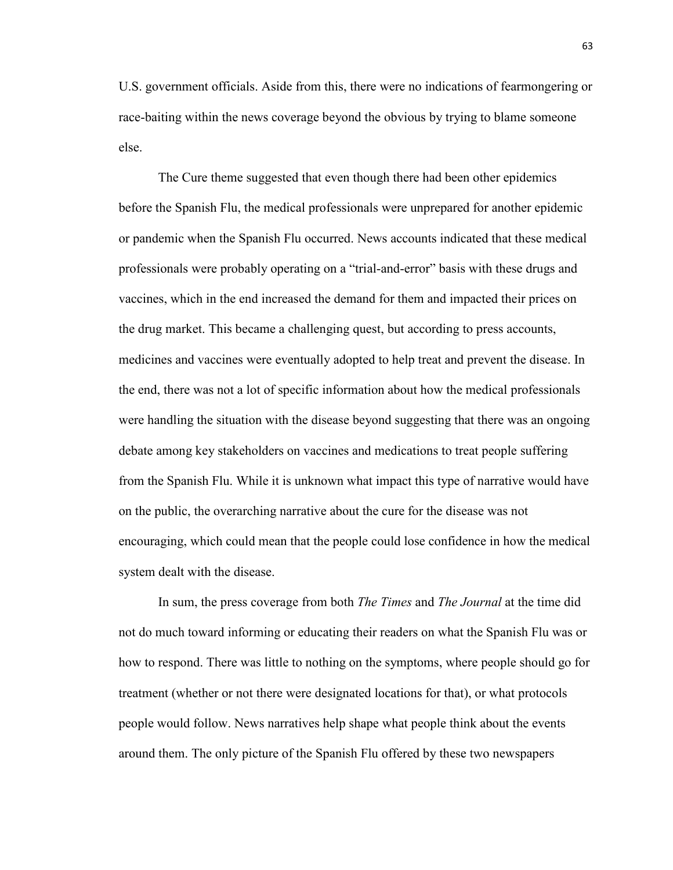U.S. government officials. Aside from this, there were no indications of fearmongering or race-baiting within the news coverage beyond the obvious by trying to blame someone else.

The Cure theme suggested that even though there had been other epidemics before the Spanish Flu, the medical professionals were unprepared for another epidemic or pandemic when the Spanish Flu occurred. News accounts indicated that these medical professionals were probably operating on a "trial-and-error" basis with these drugs and vaccines, which in the end increased the demand for them and impacted their prices on the drug market. This became a challenging quest, but according to press accounts, medicines and vaccines were eventually adopted to help treat and prevent the disease. In the end, there was not a lot of specific information about how the medical professionals were handling the situation with the disease beyond suggesting that there was an ongoing debate among key stakeholders on vaccines and medications to treat people suffering from the Spanish Flu. While it is unknown what impact this type of narrative would have on the public, the overarching narrative about the cure for the disease was not encouraging, which could mean that the people could lose confidence in how the medical system dealt with the disease.

In sum, the press coverage from both *The Times* and *The Journal* at the time did not do much toward informing or educating their readers on what the Spanish Flu was or how to respond. There was little to nothing on the symptoms, where people should go for treatment (whether or not there were designated locations for that), or what protocols people would follow. News narratives help shape what people think about the events around them. The only picture of the Spanish Flu offered by these two newspapers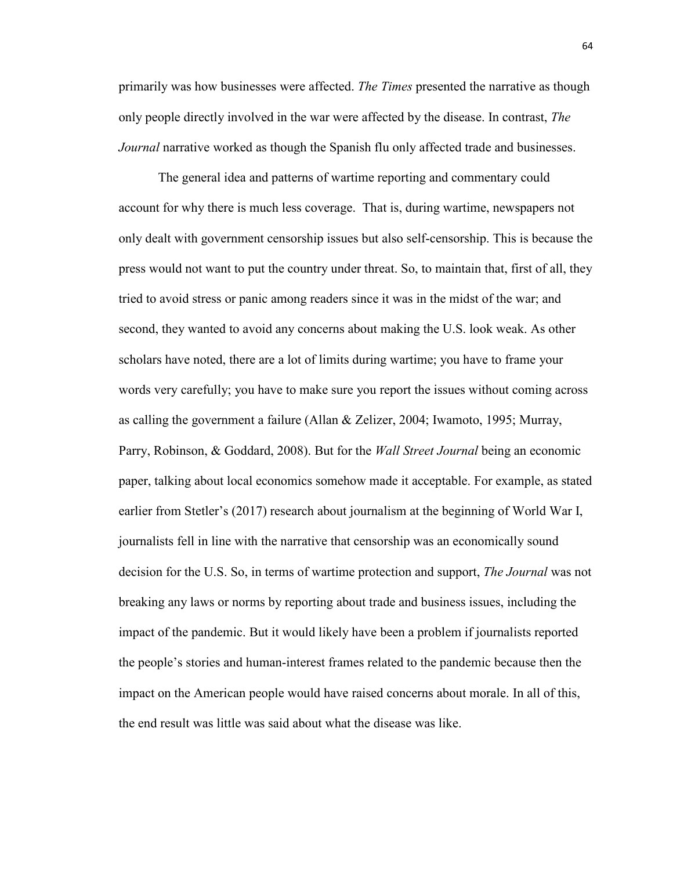primarily was how businesses were affected. *The Times* presented the narrative as though only people directly involved in the war were affected by the disease. In contrast, *The Journal* narrative worked as though the Spanish flu only affected trade and businesses.

The general idea and patterns of wartime reporting and commentary could account for why there is much less coverage. That is, during wartime, newspapers not only dealt with government censorship issues but also self-censorship. This is because the press would not want to put the country under threat. So, to maintain that, first of all, they tried to avoid stress or panic among readers since it was in the midst of the war; and second, they wanted to avoid any concerns about making the U.S. look weak. As other scholars have noted, there are a lot of limits during wartime; you have to frame your words very carefully; you have to make sure you report the issues without coming across as calling the government a failure (Allan & Zelizer, 2004; Iwamoto, 1995; Murray, Parry, Robinson, & Goddard, 2008). But for the *Wall Street Journal* being an economic paper, talking about local economics somehow made it acceptable. For example, as stated earlier from Stetler's (2017) research about journalism at the beginning of World War I, journalists fell in line with the narrative that censorship was an economically sound decision for the U.S. So, in terms of wartime protection and support, *The Journal* was not breaking any laws or norms by reporting about trade and business issues, including the impact of the pandemic. But it would likely have been a problem if journalists reported the people's stories and human-interest frames related to the pandemic because then the impact on the American people would have raised concerns about morale. In all of this, the end result was little was said about what the disease was like.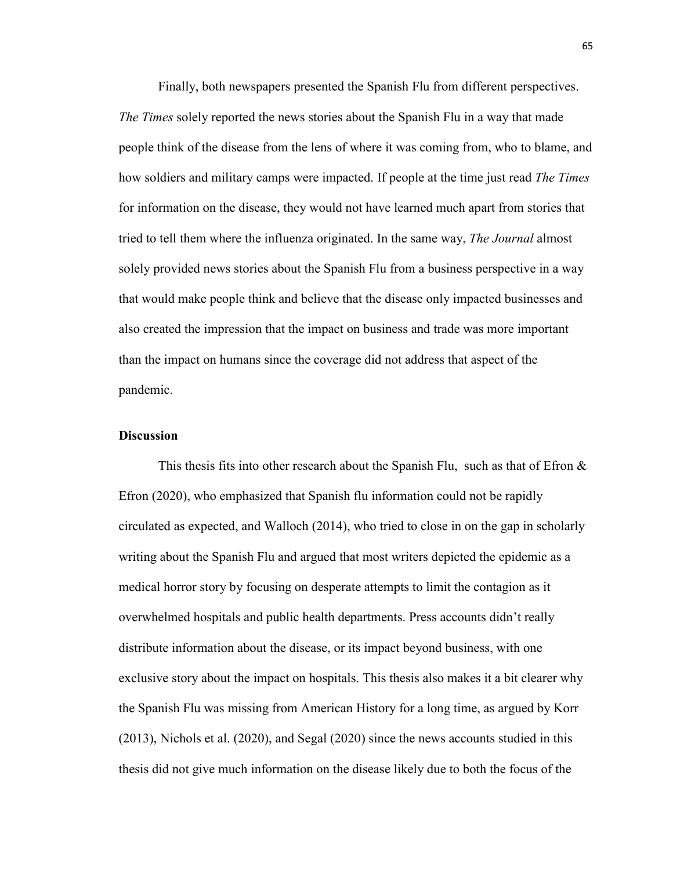Finally, both newspapers presented the Spanish Flu from different perspectives. *The Times* solely reported the news stories about the Spanish Flu in a way that made people think of the disease from the lens of where it was coming from, who to blame, and how soldiers and military camps were impacted. If people at the time just read *The Times* for information on the disease, they would not have learned much apart from stories that tried to tell them where the influenza originated. In the same way, *The Journal* almost solely provided news stories about the Spanish Flu from a business perspective in a way that would make people think and believe that the disease only impacted businesses and also created the impression that the impact on business and trade was more important than the impact on humans since the coverage did not address that aspect of the pandemic.

### **Discussion**

This thesis fits into other research about the Spanish Flu, such as that of Efron  $\&$ Efron (2020), who emphasized that Spanish flu information could not be rapidly circulated as expected, and Walloch (2014), who tried to close in on the gap in scholarly writing about the Spanish Flu and argued that most writers depicted the epidemic as a medical horror story by focusing on desperate attempts to limit the contagion as it overwhelmed hospitals and public health departments. Press accounts didn't really distribute information about the disease, or its impact beyond business, with one exclusive story about the impact on hospitals. This thesis also makes it a bit clearer why the Spanish Flu was missing from American History for a long time, as argued by Korr (2013), Nichols et al. (2020), and Segal (2020) since the news accounts studied in this thesis did not give much information on the disease likely due to both the focus of the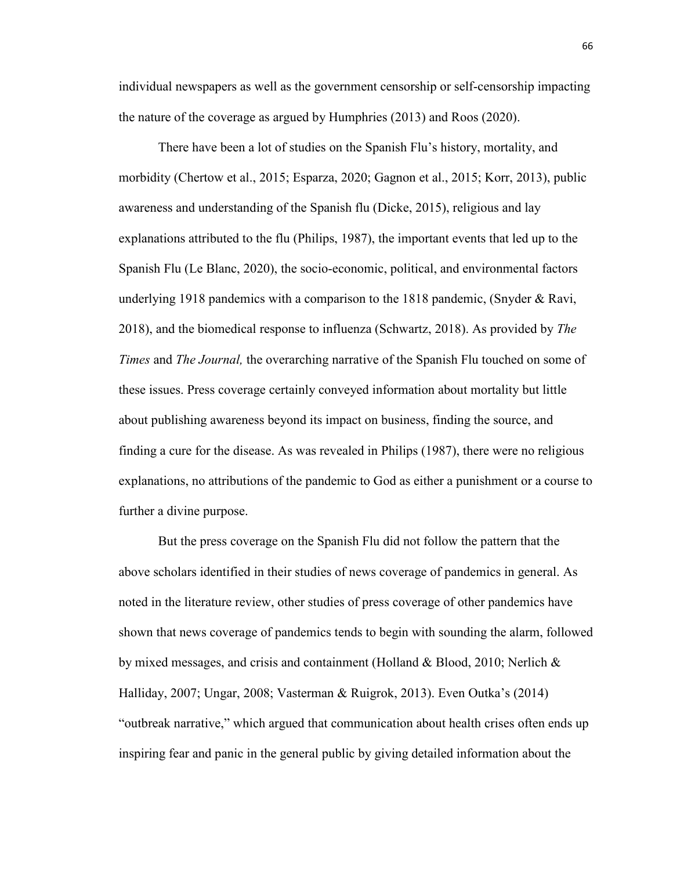individual newspapers as well as the government censorship or self-censorship impacting the nature of the coverage as argued by Humphries (2013) and Roos (2020).

There have been a lot of studies on the Spanish Flu's history, mortality, and morbidity (Chertow et al., 2015; Esparza, 2020; Gagnon et al., 2015; Korr, 2013), public awareness and understanding of the Spanish flu (Dicke, 2015), religious and lay explanations attributed to the flu (Philips, 1987), the important events that led up to the Spanish Flu (Le Blanc, 2020), the socio-economic, political, and environmental factors underlying 1918 pandemics with a comparison to the 1818 pandemic, (Snyder & Ravi, 2018), and the biomedical response to influenza (Schwartz, 2018). As provided by *The Times* and *The Journal,* the overarching narrative of the Spanish Flu touched on some of these issues. Press coverage certainly conveyed information about mortality but little about publishing awareness beyond its impact on business, finding the source, and finding a cure for the disease. As was revealed in Philips (1987), there were no religious explanations, no attributions of the pandemic to God as either a punishment or a course to further a divine purpose.

But the press coverage on the Spanish Flu did not follow the pattern that the above scholars identified in their studies of news coverage of pandemics in general. As noted in the literature review, other studies of press coverage of other pandemics have shown that news coverage of pandemics tends to begin with sounding the alarm, followed by mixed messages, and crisis and containment (Holland & Blood, 2010; Nerlich & Halliday, 2007; Ungar, 2008; Vasterman & Ruigrok, 2013). Even Outka's (2014) "outbreak narrative," which argued that communication about health crises often ends up inspiring fear and panic in the general public by giving detailed information about the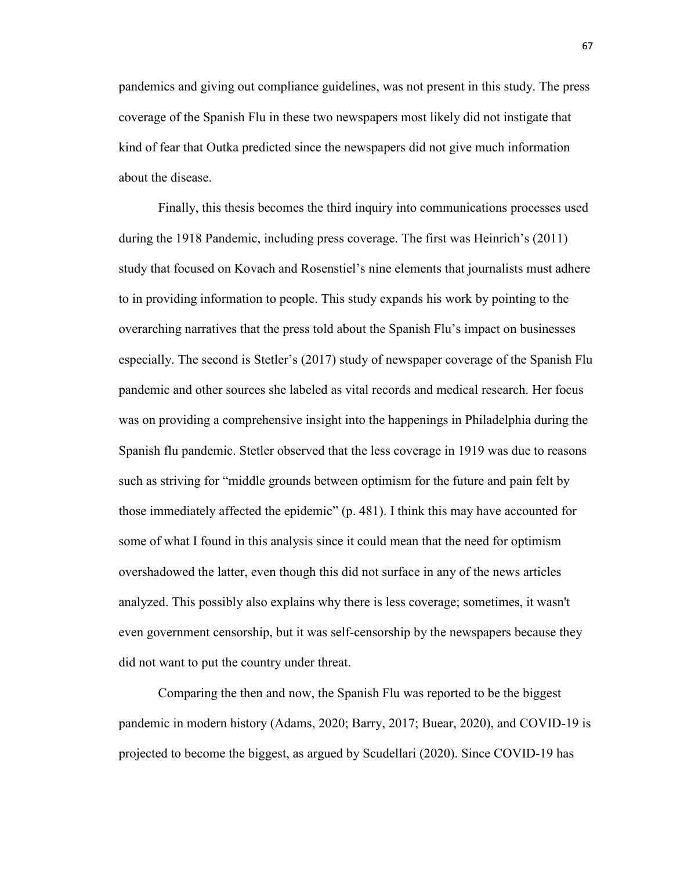pandemics and giving out compliance guidelines, was not present in this study. The press coverage of the Spanish Flu in these two newspapers most likely did not instigate that kind of fear that Outka predicted since the newspapers did not give much information about the disease.

Finally, this thesis becomes the third inquiry into communications processes used during the 1918 Pandemic, including press coverage. The first was Heinrich's (2011) study that focused on Kovach and Rosenstiel's nine elements that journalists must adhere to in providing information to people. This study expands his work by pointing to the overarching narratives that the press told about the Spanish Flu's impact on businesses especially. The second is Stetler's (2017) study of newspaper coverage of the Spanish Flu pandemic and other sources she labeled as vital records and medical research. Her focus was on providing a comprehensive insight into the happenings in Philadelphia during the Spanish flu pandemic. Stetler observed that the less coverage in 1919 was due to reasons such as striving for "middle grounds between optimism for the future and pain felt by those immediately affected the epidemic" (p. 481). I think this may have accounted for some of what I found in this analysis since it could mean that the need for optimism overshadowed the latter, even though this did not surface in any of the news articles analyzed. This possibly also explains why there is less coverage; sometimes, it wasn't even government censorship, but it was self-censorship by the newspapers because they did not want to put the country under threat.

Comparing the then and now, the Spanish Flu was reported to be the biggest pandemic in modern history (Adams, 2020; Barry, 2017; Buear, 2020), and COVID-19 is projected to become the biggest, as argued by Scudellari (2020). Since COVID-19 has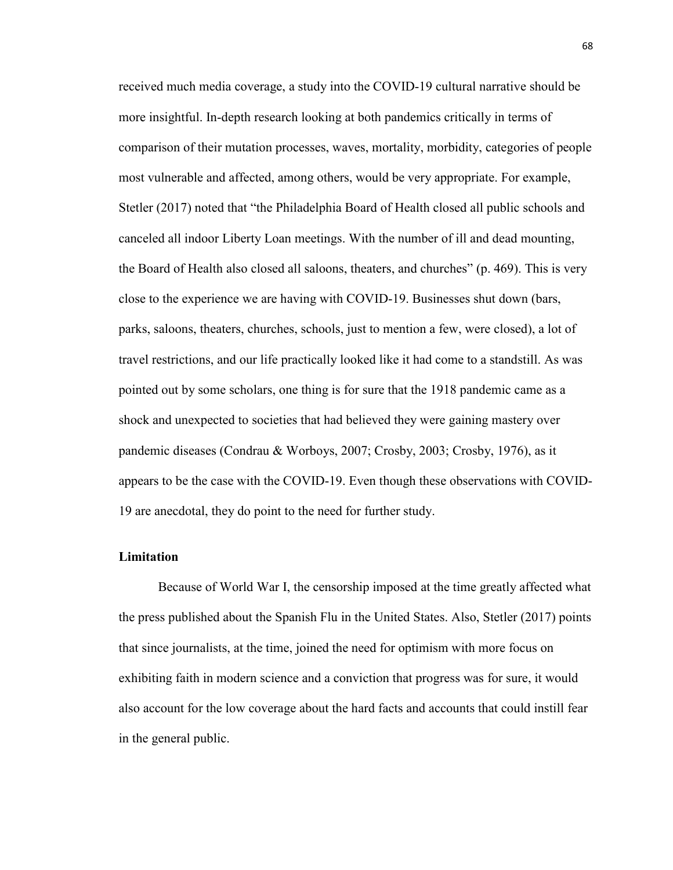received much media coverage, a study into the COVID-19 cultural narrative should be more insightful. In-depth research looking at both pandemics critically in terms of comparison of their mutation processes, waves, mortality, morbidity, categories of people most vulnerable and affected, among others, would be very appropriate. For example, Stetler (2017) noted that "the Philadelphia Board of Health closed all public schools and canceled all indoor Liberty Loan meetings. With the number of ill and dead mounting, the Board of Health also closed all saloons, theaters, and churches" (p. 469). This is very close to the experience we are having with COVID-19. Businesses shut down (bars, parks, saloons, theaters, churches, schools, just to mention a few, were closed), a lot of travel restrictions, and our life practically looked like it had come to a standstill. As was pointed out by some scholars, one thing is for sure that the 1918 pandemic came as a shock and unexpected to societies that had believed they were gaining mastery over pandemic diseases (Condrau & Worboys, 2007; Crosby, 2003; Crosby, 1976), as it appears to be the case with the COVID-19. Even though these observations with COVID-19 are anecdotal, they do point to the need for further study.

## **Limitation**

Because of World War I, the censorship imposed at the time greatly affected what the press published about the Spanish Flu in the United States. Also, Stetler (2017) points that since journalists, at the time, joined the need for optimism with more focus on exhibiting faith in modern science and a conviction that progress was for sure, it would also account for the low coverage about the hard facts and accounts that could instill fear in the general public.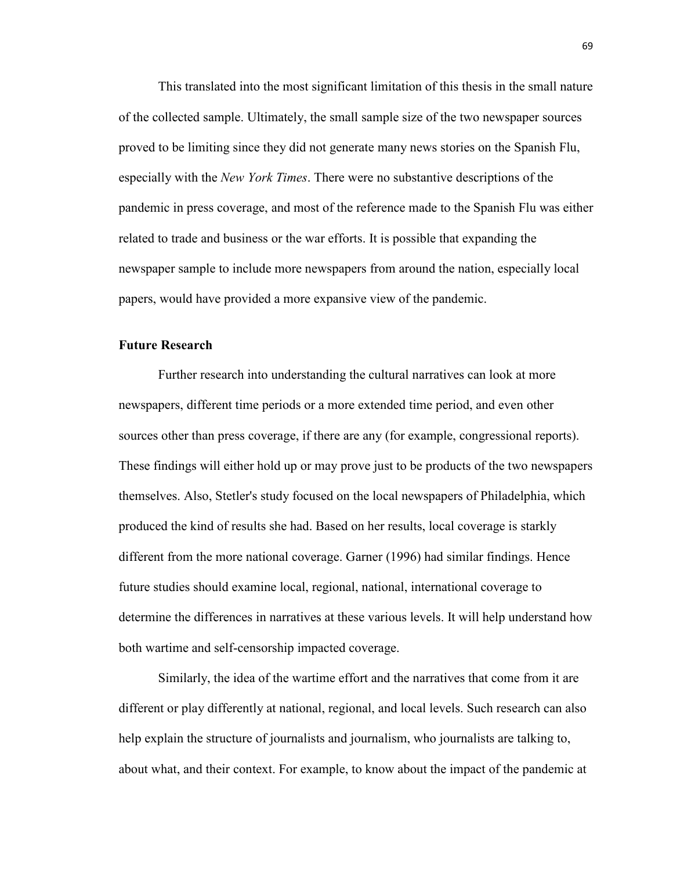This translated into the most significant limitation of this thesis in the small nature of the collected sample. Ultimately, the small sample size of the two newspaper sources proved to be limiting since they did not generate many news stories on the Spanish Flu, especially with the *New York Times*. There were no substantive descriptions of the pandemic in press coverage, and most of the reference made to the Spanish Flu was either related to trade and business or the war efforts. It is possible that expanding the newspaper sample to include more newspapers from around the nation, especially local papers, would have provided a more expansive view of the pandemic.

## **Future Research**

Further research into understanding the cultural narratives can look at more newspapers, different time periods or a more extended time period, and even other sources other than press coverage, if there are any (for example, congressional reports). These findings will either hold up or may prove just to be products of the two newspapers themselves. Also, Stetler's study focused on the local newspapers of Philadelphia, which produced the kind of results she had. Based on her results, local coverage is starkly different from the more national coverage. Garner (1996) had similar findings. Hence future studies should examine local, regional, national, international coverage to determine the differences in narratives at these various levels. It will help understand how both wartime and self-censorship impacted coverage.

Similarly, the idea of the wartime effort and the narratives that come from it are different or play differently at national, regional, and local levels. Such research can also help explain the structure of journalists and journalism, who journalists are talking to, about what, and their context. For example, to know about the impact of the pandemic at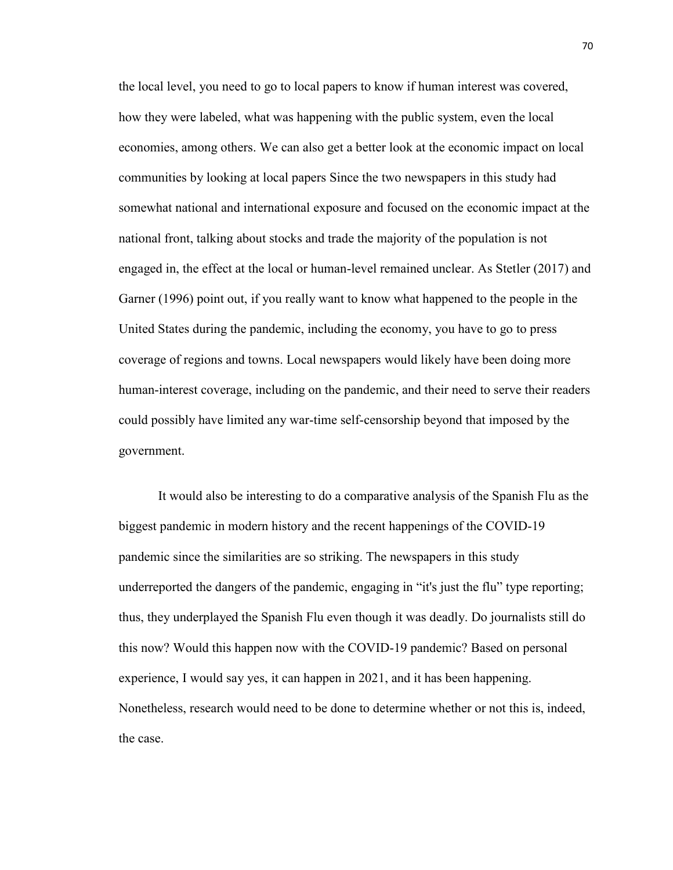the local level, you need to go to local papers to know if human interest was covered, how they were labeled, what was happening with the public system, even the local economies, among others. We can also get a better look at the economic impact on local communities by looking at local papers Since the two newspapers in this study had somewhat national and international exposure and focused on the economic impact at the national front, talking about stocks and trade the majority of the population is not engaged in, the effect at the local or human-level remained unclear. As Stetler (2017) and Garner (1996) point out, if you really want to know what happened to the people in the United States during the pandemic, including the economy, you have to go to press coverage of regions and towns. Local newspapers would likely have been doing more human-interest coverage, including on the pandemic, and their need to serve their readers could possibly have limited any war-time self-censorship beyond that imposed by the government.

It would also be interesting to do a comparative analysis of the Spanish Flu as the biggest pandemic in modern history and the recent happenings of the COVID-19 pandemic since the similarities are so striking. The newspapers in this study underreported the dangers of the pandemic, engaging in "it's just the flu" type reporting; thus, they underplayed the Spanish Flu even though it was deadly. Do journalists still do this now? Would this happen now with the COVID-19 pandemic? Based on personal experience, I would say yes, it can happen in 2021, and it has been happening. Nonetheless, research would need to be done to determine whether or not this is, indeed, the case.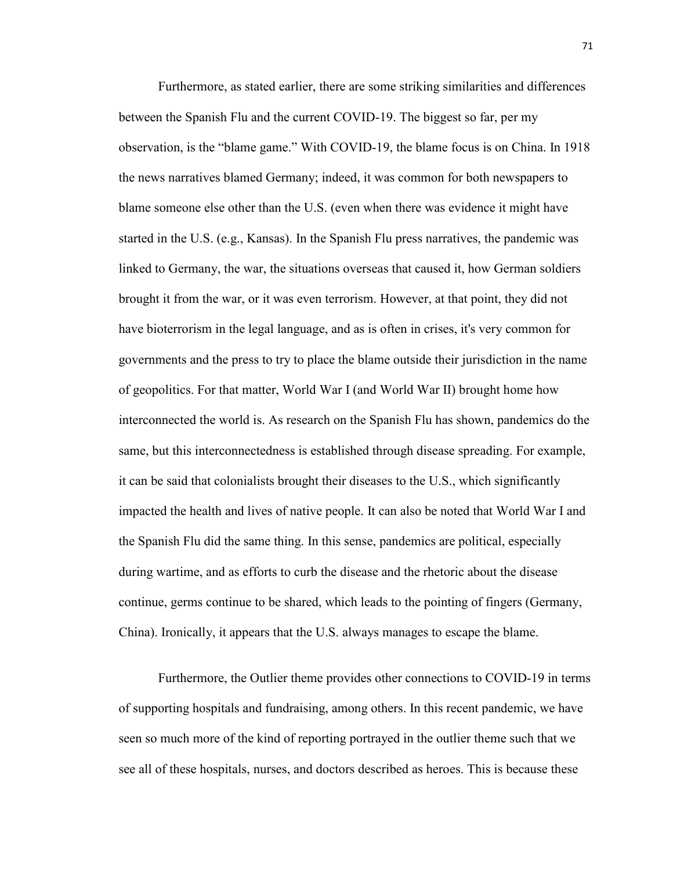Furthermore, as stated earlier, there are some striking similarities and differences between the Spanish Flu and the current COVID-19. The biggest so far, per my observation, is the "blame game." With COVID-19, the blame focus is on China. In 1918 the news narratives blamed Germany; indeed, it was common for both newspapers to blame someone else other than the U.S. (even when there was evidence it might have started in the U.S. (e.g., Kansas). In the Spanish Flu press narratives, the pandemic was linked to Germany, the war, the situations overseas that caused it, how German soldiers brought it from the war, or it was even terrorism. However, at that point, they did not have bioterrorism in the legal language, and as is often in crises, it's very common for governments and the press to try to place the blame outside their jurisdiction in the name of geopolitics. For that matter, World War I (and World War II) brought home how interconnected the world is. As research on the Spanish Flu has shown, pandemics do the same, but this interconnectedness is established through disease spreading. For example, it can be said that colonialists brought their diseases to the U.S., which significantly impacted the health and lives of native people. It can also be noted that World War I and the Spanish Flu did the same thing. In this sense, pandemics are political, especially during wartime, and as efforts to curb the disease and the rhetoric about the disease continue, germs continue to be shared, which leads to the pointing of fingers (Germany, China). Ironically, it appears that the U.S. always manages to escape the blame.

Furthermore, the Outlier theme provides other connections to COVID-19 in terms of supporting hospitals and fundraising, among others. In this recent pandemic, we have seen so much more of the kind of reporting portrayed in the outlier theme such that we see all of these hospitals, nurses, and doctors described as heroes. This is because these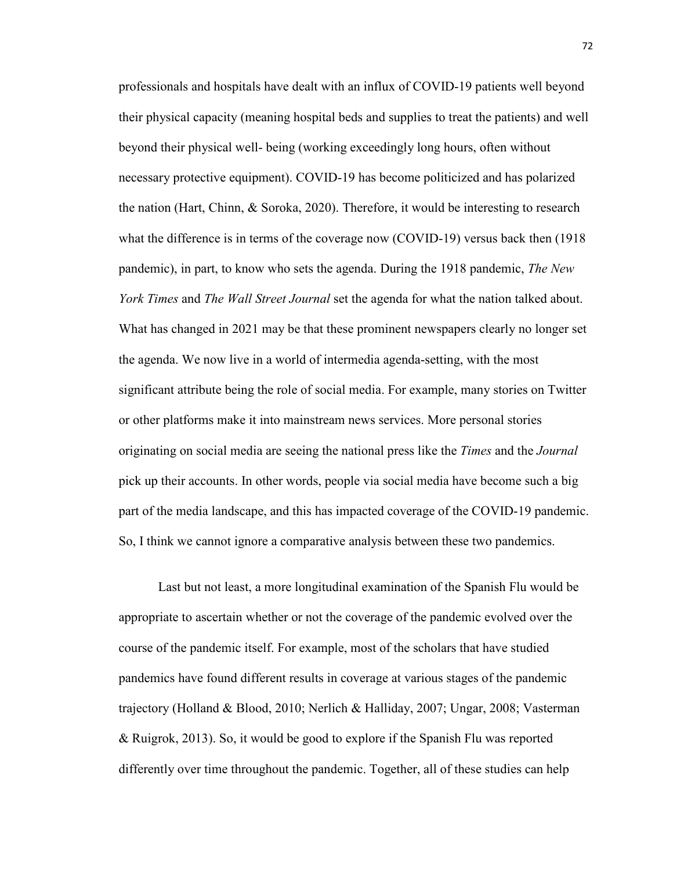professionals and hospitals have dealt with an influx of COVID-19 patients well beyond their physical capacity (meaning hospital beds and supplies to treat the patients) and well beyond their physical well- being (working exceedingly long hours, often without necessary protective equipment). COVID-19 has become politicized and has polarized the nation (Hart, Chinn, & Soroka, 2020). Therefore, it would be interesting to research what the difference is in terms of the coverage now (COVID-19) versus back then (1918 pandemic), in part, to know who sets the agenda. During the 1918 pandemic, *The New York Times* and *The Wall Street Journal* set the agenda for what the nation talked about. What has changed in 2021 may be that these prominent newspapers clearly no longer set the agenda. We now live in a world of intermedia agenda-setting, with the most significant attribute being the role of social media. For example, many stories on Twitter or other platforms make it into mainstream news services. More personal stories originating on social media are seeing the national press like the *Times* and the *Journal* pick up their accounts. In other words, people via social media have become such a big part of the media landscape, and this has impacted coverage of the COVID-19 pandemic. So, I think we cannot ignore a comparative analysis between these two pandemics.

Last but not least, a more longitudinal examination of the Spanish Flu would be appropriate to ascertain whether or not the coverage of the pandemic evolved over the course of the pandemic itself. For example, most of the scholars that have studied pandemics have found different results in coverage at various stages of the pandemic trajectory (Holland & Blood, 2010; Nerlich & Halliday, 2007; Ungar, 2008; Vasterman & Ruigrok, 2013). So, it would be good to explore if the Spanish Flu was reported differently over time throughout the pandemic. Together, all of these studies can help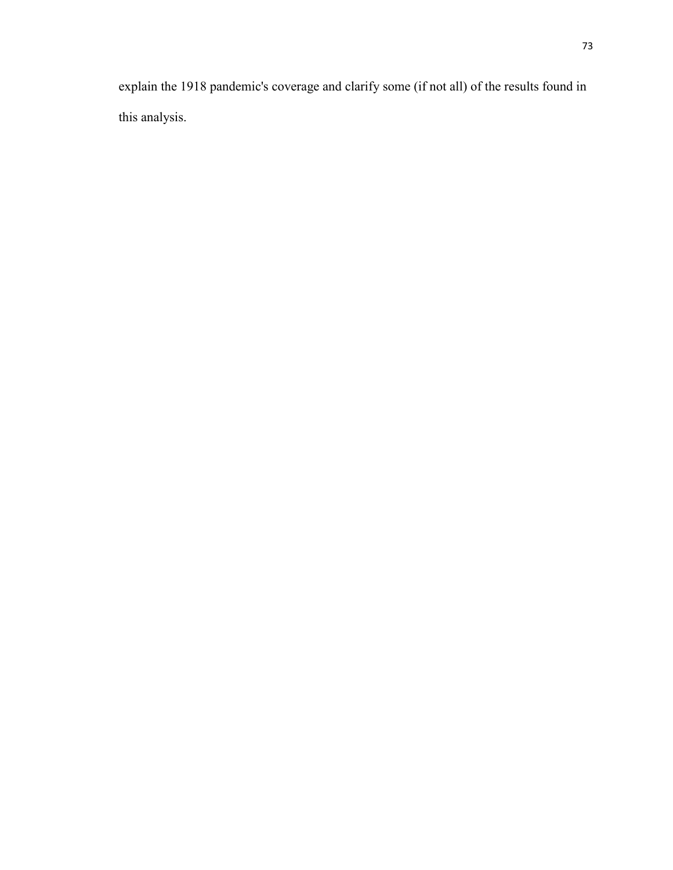explain the 1918 pandemic's coverage and clarify some (if not all) of the results found in this analysis.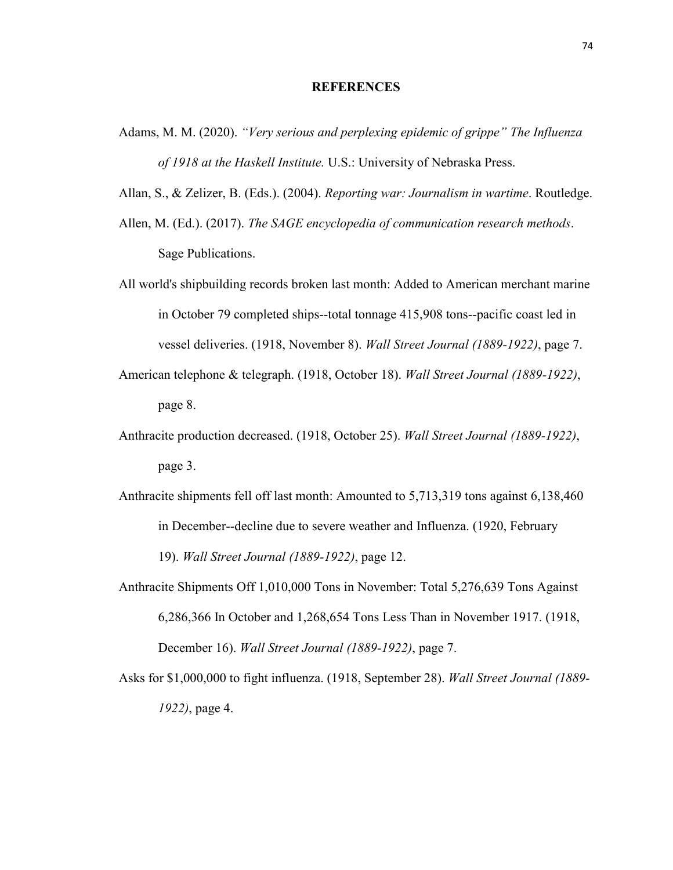## **REFERENCES**

- Adams, M. M. (2020). *"Very serious and perplexing epidemic of grippe" The Influenza of 1918 at the Haskell Institute.* U.S.: University of Nebraska Press.
- Allan, S., & Zelizer, B. (Eds.). (2004). *Reporting war: Journalism in wartime*. Routledge.
- Allen, M. (Ed.). (2017). *The SAGE encyclopedia of communication research methods*. Sage Publications.
- All world's shipbuilding records broken last month: Added to American merchant marine in October 79 completed ships--total tonnage 415,908 tons--pacific coast led in vessel deliveries. (1918, November 8). *Wall Street Journal (1889-1922)*, page 7.
- American telephone & telegraph. (1918, October 18). *Wall Street Journal (1889-1922)*, page 8.
- Anthracite production decreased. (1918, October 25). *Wall Street Journal (1889-1922)*, page 3.
- Anthracite shipments fell off last month: Amounted to 5,713,319 tons against 6,138,460 in December--decline due to severe weather and Influenza. (1920, February 19). *Wall Street Journal (1889-1922)*, page 12.
- Anthracite Shipments Off 1,010,000 Tons in November: Total 5,276,639 Tons Against 6,286,366 In October and 1,268,654 Tons Less Than in November 1917. (1918, December 16). *Wall Street Journal (1889-1922)*, page 7.
- Asks for \$1,000,000 to fight influenza. (1918, September 28). *Wall Street Journal (1889- 1922)*, page 4.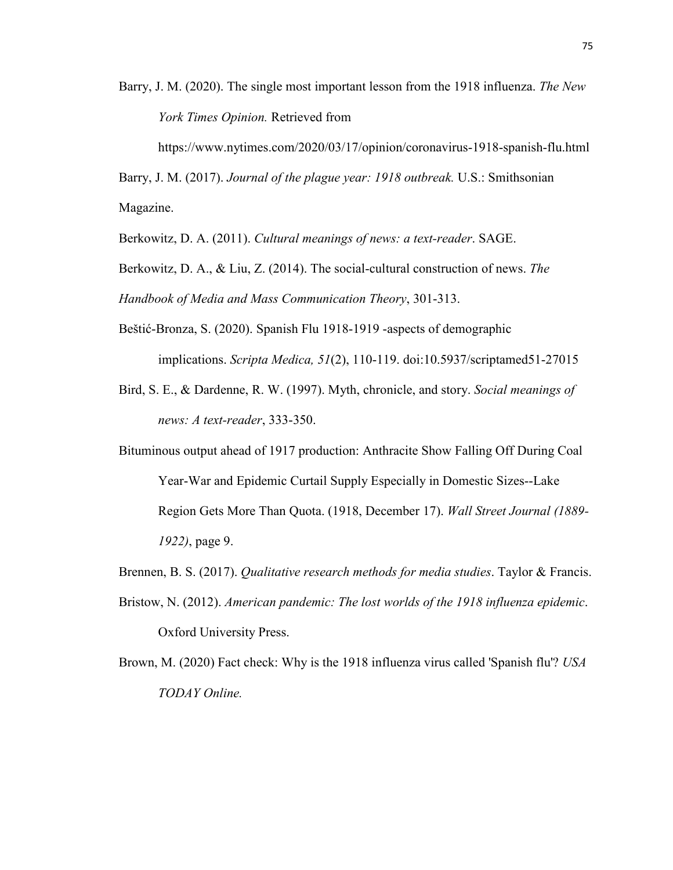Barry, J. M. (2020). The single most important lesson from the 1918 influenza. *The New York Times Opinion.* Retrieved from

https://www.nytimes.com/2020/03/17/opinion/coronavirus-1918-spanish-flu.html

Barry, J. M. (2017). *Journal of the plague year: 1918 outbreak.* U.S.: Smithsonian Magazine.

Berkowitz, D. A. (2011). *Cultural meanings of news: a text-reader*. SAGE.

Berkowitz, D. A., & Liu, Z. (2014). The social-cultural construction of news. *The Handbook of Media and Mass Communication Theory*, 301-313.

- Beštić-Bronza, S. (2020). Spanish Flu 1918-1919 -aspects of demographic implications. *Scripta Medica, 51*(2), 110-119. doi:10.5937/scriptamed51-27015
- Bird, S. E., & Dardenne, R. W. (1997). Myth, chronicle, and story. *Social meanings of news: A text-reader*, 333-350.
- Bituminous output ahead of 1917 production: Anthracite Show Falling Off During Coal Year-War and Epidemic Curtail Supply Especially in Domestic Sizes--Lake Region Gets More Than Quota. (1918, December 17). *Wall Street Journal (1889- 1922)*, page 9.
- Brennen, B. S. (2017). *Qualitative research methods for media studies*. Taylor & Francis.
- Bristow, N. (2012). *American pandemic: The lost worlds of the 1918 influenza epidemic*. Oxford University Press.
- Brown, M. (2020) Fact check: Why is the 1918 influenza virus called 'Spanish flu'? *USA TODAY Online.*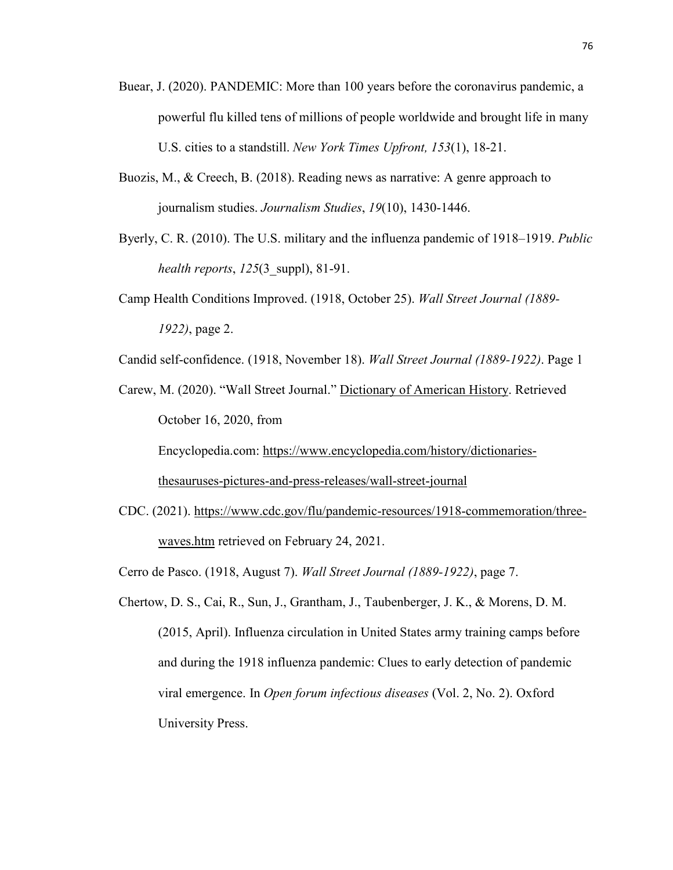- Buear, J. (2020). PANDEMIC: More than 100 years before the coronavirus pandemic, a powerful flu killed tens of millions of people worldwide and brought life in many U.S. cities to a standstill. *New York Times Upfront, 153*(1), 18-21.
- Buozis, M., & Creech, B. (2018). Reading news as narrative: A genre approach to journalism studies. *Journalism Studies*, *19*(10), 1430-1446.
- Byerly, C. R. (2010). The U.S. military and the influenza pandemic of 1918–1919. *Public health reports*, *125*(3\_suppl), 81-91.
- Camp Health Conditions Improved. (1918, October 25). *Wall Street Journal (1889- 1922)*, page 2.
- Candid self-confidence. (1918, November 18). *Wall Street Journal (1889-1922)*. Page 1
- Carew, M. (2020). "Wall Street Journal." Dictionary of American History. Retrieved October 16, 2020, from

Encyclopedia.com: https://www.encyclopedia.com/history/dictionariesthesauruses-pictures-and-press-releases/wall-street-journal

- CDC. (2021). https://www.cdc.gov/flu/pandemic-resources/1918-commemoration/threewaves.htm retrieved on February 24, 2021.
- Cerro de Pasco. (1918, August 7). *Wall Street Journal (1889-1922)*, page 7.
- Chertow, D. S., Cai, R., Sun, J., Grantham, J., Taubenberger, J. K., & Morens, D. M. (2015, April). Influenza circulation in United States army training camps before and during the 1918 influenza pandemic: Clues to early detection of pandemic viral emergence. In *Open forum infectious diseases* (Vol. 2, No. 2). Oxford University Press.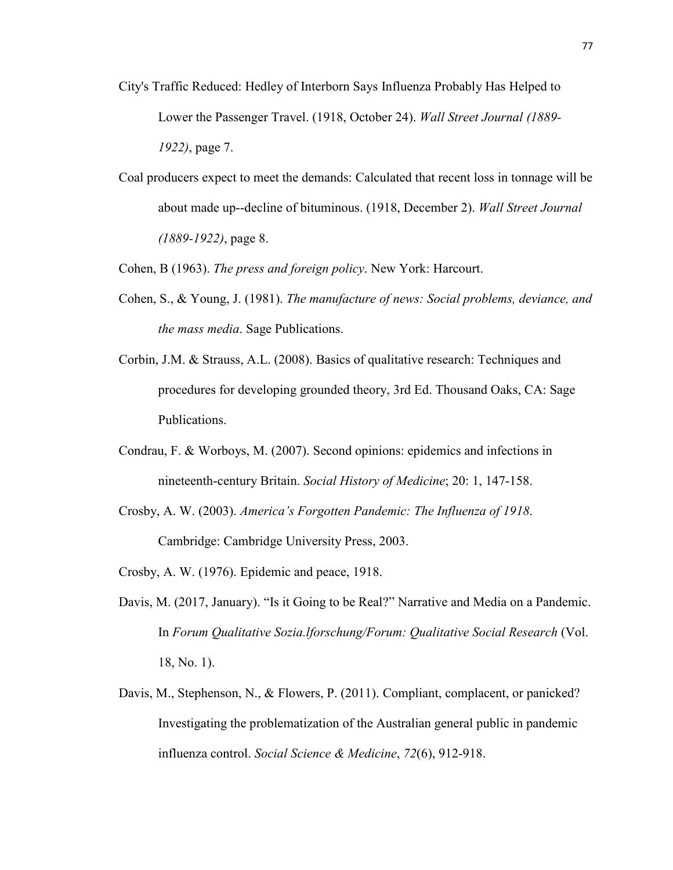- City's Traffic Reduced: Hedley of Interborn Says Influenza Probably Has Helped to Lower the Passenger Travel. (1918, October 24). *Wall Street Journal (1889- 1922)*, page 7.
- Coal producers expect to meet the demands: Calculated that recent loss in tonnage will be about made up--decline of bituminous. (1918, December 2). *Wall Street Journal (1889-1922)*, page 8.
- Cohen, B (1963). *The press and foreign policy*. New York: Harcourt.
- Cohen, S., & Young, J. (1981). *The manufacture of news: Social problems, deviance, and the mass media*. Sage Publications.
- Corbin, J.M. & Strauss, A.L. (2008). Basics of qualitative research: Techniques and procedures for developing grounded theory, 3rd Ed. Thousand Oaks, CA: Sage Publications.
- Condrau, F. & Worboys, M. (2007). Second opinions: epidemics and infections in nineteenth-century Britain. *Social History of Medicine*; 20: 1, 147-158.
- Crosby, A. W. (2003). *America's Forgotten Pandemic: The Influenza of 1918*. Cambridge: Cambridge University Press, 2003.
- Crosby, A. W. (1976). Epidemic and peace, 1918.
- Davis, M. (2017, January). "Is it Going to be Real?" Narrative and Media on a Pandemic. In *Forum Qualitative Sozia.lforschung/Forum: Qualitative Social Research* (Vol. 18, No. 1).
- Davis, M., Stephenson, N., & Flowers, P. (2011). Compliant, complacent, or panicked? Investigating the problematization of the Australian general public in pandemic influenza control. *Social Science & Medicine*, *72*(6), 912-918.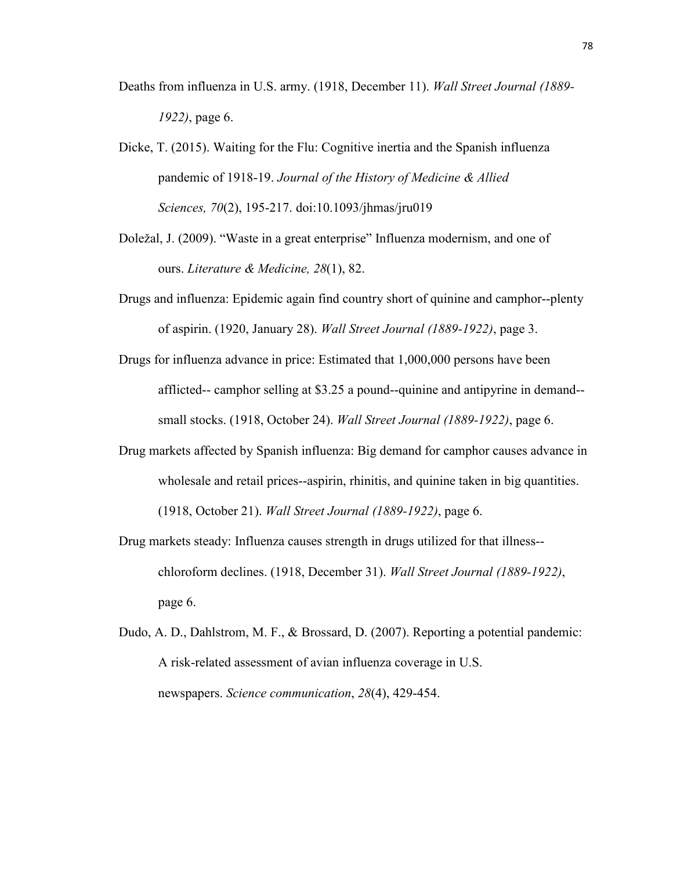- Deaths from influenza in U.S. army. (1918, December 11). *Wall Street Journal (1889- 1922)*, page 6.
- Dicke, T. (2015). Waiting for the Flu: Cognitive inertia and the Spanish influenza pandemic of 1918-19. *Journal of the History of Medicine & Allied Sciences, 70*(2), 195-217. doi:10.1093/jhmas/jru019
- Doležal, J. (2009). "Waste in a great enterprise" Influenza modernism, and one of ours. *Literature & Medicine, 28*(1), 82.
- Drugs and influenza: Epidemic again find country short of quinine and camphor--plenty of aspirin. (1920, January 28). *Wall Street Journal (1889-1922)*, page 3.
- Drugs for influenza advance in price: Estimated that 1,000,000 persons have been afflicted-- camphor selling at \$3.25 a pound--quinine and antipyrine in demand- small stocks. (1918, October 24). *Wall Street Journal (1889-1922)*, page 6.
- Drug markets affected by Spanish influenza: Big demand for camphor causes advance in wholesale and retail prices--aspirin, rhinitis, and quinine taken in big quantities. (1918, October 21). *Wall Street Journal (1889-1922)*, page 6.
- Drug markets steady: Influenza causes strength in drugs utilized for that illness- chloroform declines. (1918, December 31). *Wall Street Journal (1889-1922)*, page 6.
- Dudo, A. D., Dahlstrom, M. F., & Brossard, D. (2007). Reporting a potential pandemic: A risk-related assessment of avian influenza coverage in U.S. newspapers. *Science communication*, *28*(4), 429-454.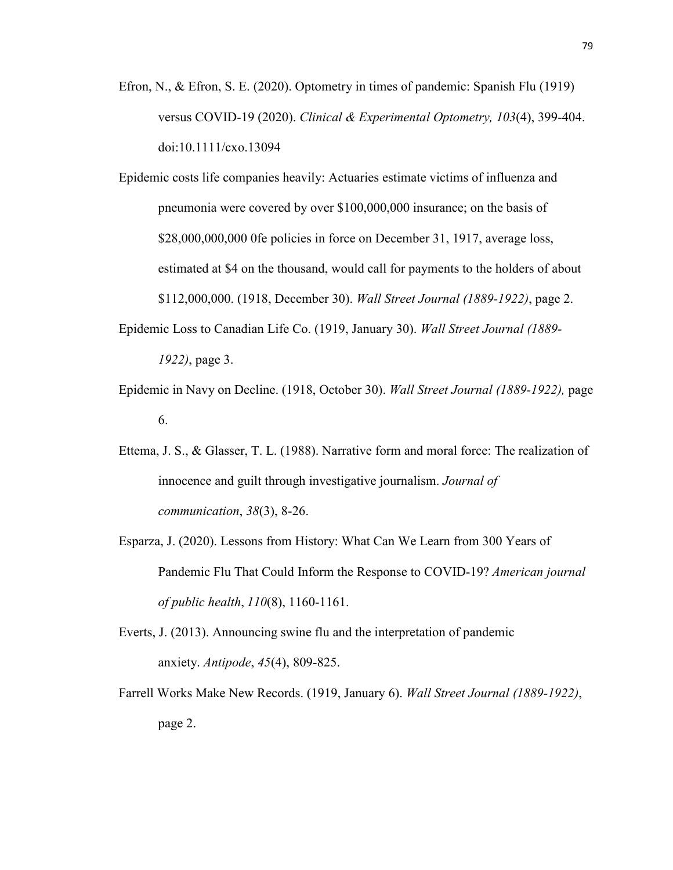Efron, N., & Efron, S. E. (2020). Optometry in times of pandemic: Spanish Flu (1919) versus COVID-19 (2020). *Clinical & Experimental Optometry, 103*(4), 399-404. doi:10.1111/cxo.13094

Epidemic costs life companies heavily: Actuaries estimate victims of influenza and pneumonia were covered by over \$100,000,000 insurance; on the basis of \$28,000,000,000 0fe policies in force on December 31, 1917, average loss, estimated at \$4 on the thousand, would call for payments to the holders of about \$112,000,000. (1918, December 30). *Wall Street Journal (1889-1922)*, page 2.

- Epidemic Loss to Canadian Life Co. (1919, January 30). *Wall Street Journal (1889- 1922)*, page 3.
- Epidemic in Navy on Decline. (1918, October 30). *Wall Street Journal (1889-1922),* page 6.
- Ettema, J. S., & Glasser, T. L. (1988). Narrative form and moral force: The realization of innocence and guilt through investigative journalism. *Journal of communication*, *38*(3), 8-26.
- Esparza, J. (2020). Lessons from History: What Can We Learn from 300 Years of Pandemic Flu That Could Inform the Response to COVID-19? *American journal of public health*, *110*(8), 1160-1161.
- Everts, J. (2013). Announcing swine flu and the interpretation of pandemic anxiety. *Antipode*, *45*(4), 809-825.
- Farrell Works Make New Records. (1919, January 6). *Wall Street Journal (1889-1922)*, page 2.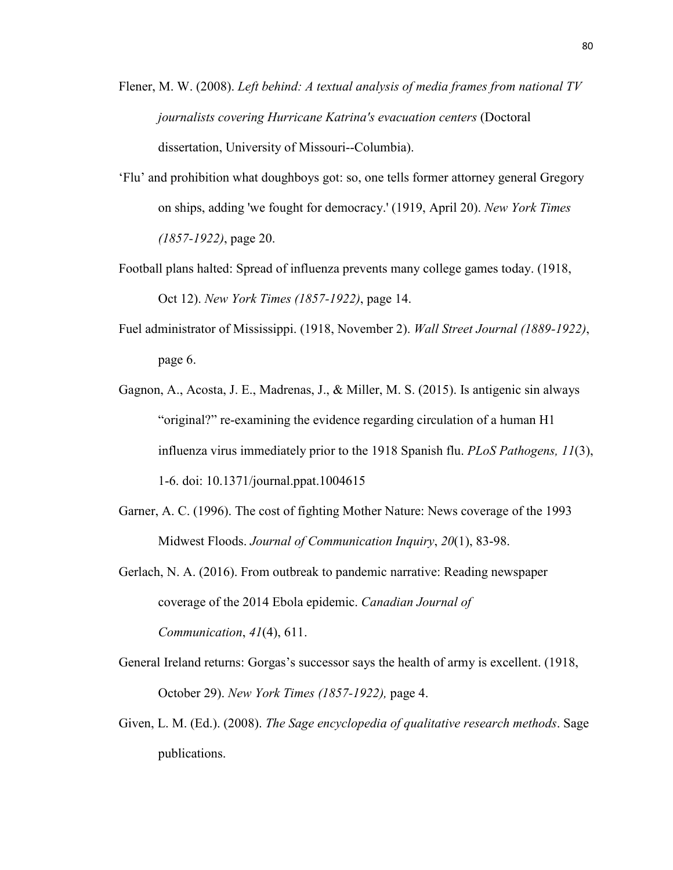- Flener, M. W. (2008). *Left behind: A textual analysis of media frames from national TV journalists covering Hurricane Katrina's evacuation centers* (Doctoral dissertation, University of Missouri--Columbia).
- 'Flu' and prohibition what doughboys got: so, one tells former attorney general Gregory on ships, adding 'we fought for democracy.' (1919, April 20). *New York Times (1857-1922)*, page 20.
- Football plans halted: Spread of influenza prevents many college games today. (1918, Oct 12). *New York Times (1857-1922)*, page 14.
- Fuel administrator of Mississippi. (1918, November 2). *Wall Street Journal (1889-1922)*, page 6.
- Gagnon, A., Acosta, J. E., Madrenas, J., & Miller, M. S. (2015). Is antigenic sin always "original?" re-examining the evidence regarding circulation of a human H1 influenza virus immediately prior to the 1918 Spanish flu. *PLoS Pathogens, 11*(3), 1-6. doi: 10.1371/journal.ppat.1004615
- Garner, A. C. (1996). The cost of fighting Mother Nature: News coverage of the 1993 Midwest Floods. *Journal of Communication Inquiry*, *20*(1), 83-98.
- Gerlach, N. A. (2016). From outbreak to pandemic narrative: Reading newspaper coverage of the 2014 Ebola epidemic. *Canadian Journal of Communication*, *41*(4), 611.
- General Ireland returns: Gorgas's successor says the health of army is excellent. (1918, October 29). *New York Times (1857-1922),* page 4.
- Given, L. M. (Ed.). (2008). *The Sage encyclopedia of qualitative research methods*. Sage publications.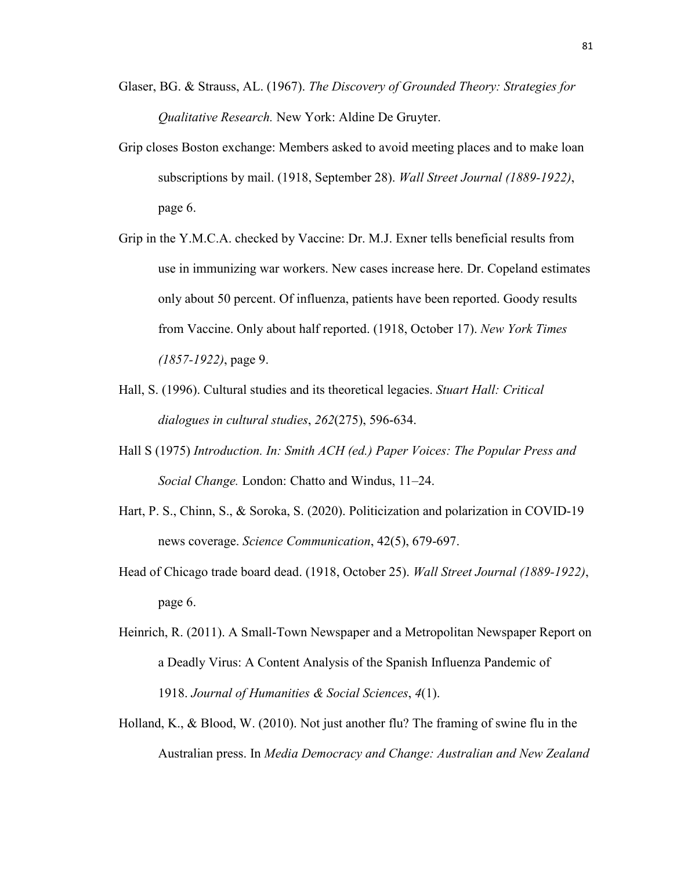- Glaser, BG. & Strauss, AL. (1967). *The Discovery of Grounded Theory: Strategies for Qualitative Research.* New York: Aldine De Gruyter.
- Grip closes Boston exchange: Members asked to avoid meeting places and to make loan subscriptions by mail. (1918, September 28). *Wall Street Journal (1889-1922)*, page 6.
- Grip in the Y.M.C.A. checked by Vaccine: Dr. M.J. Exner tells beneficial results from use in immunizing war workers. New cases increase here. Dr. Copeland estimates only about 50 percent. Of influenza, patients have been reported. Goody results from Vaccine. Only about half reported. (1918, October 17). *New York Times (1857-1922)*, page 9.
- Hall, S. (1996). Cultural studies and its theoretical legacies. *Stuart Hall: Critical dialogues in cultural studies*, *262*(275), 596-634.
- Hall S (1975) *Introduction. In: Smith ACH (ed.) Paper Voices: The Popular Press and Social Change.* London: Chatto and Windus, 11–24.
- Hart, P. S., Chinn, S., & Soroka, S. (2020). Politicization and polarization in COVID-19 news coverage. *Science Communication*, 42(5), 679-697.
- Head of Chicago trade board dead. (1918, October 25). *Wall Street Journal (1889-1922)*, page 6.
- Heinrich, R. (2011). A Small-Town Newspaper and a Metropolitan Newspaper Report on a Deadly Virus: A Content Analysis of the Spanish Influenza Pandemic of 1918. *Journal of Humanities & Social Sciences*, *4*(1).
- Holland, K., & Blood, W. (2010). Not just another flu? The framing of swine flu in the Australian press. In *Media Democracy and Change: Australian and New Zealand*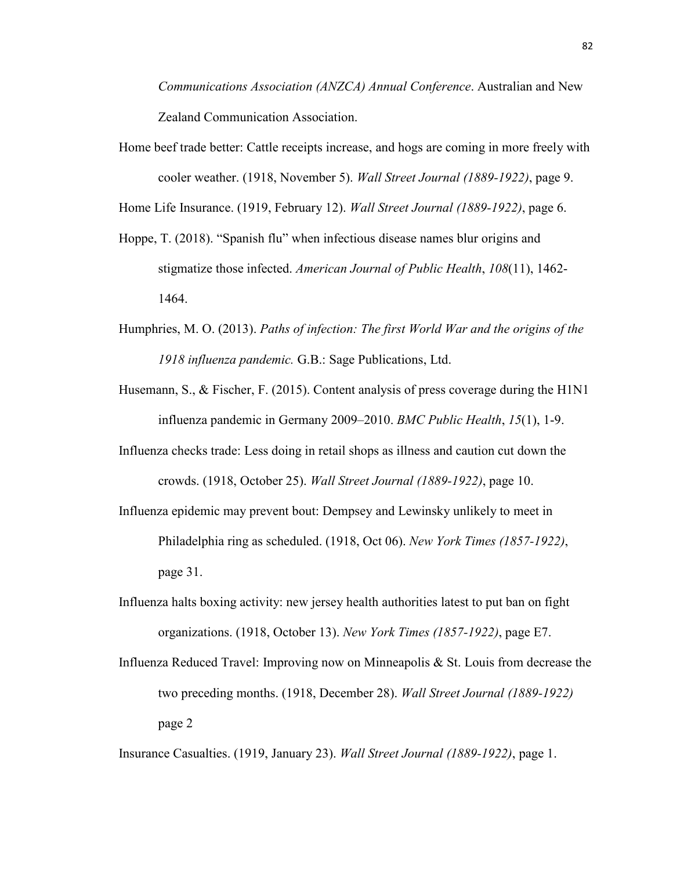*Communications Association (ANZCA) Annual Conference*. Australian and New Zealand Communication Association.

Home beef trade better: Cattle receipts increase, and hogs are coming in more freely with cooler weather. (1918, November 5). *Wall Street Journal (1889-1922)*, page 9.

Home Life Insurance. (1919, February 12). *Wall Street Journal (1889-1922)*, page 6.

- Hoppe, T. (2018). "Spanish flu" when infectious disease names blur origins and stigmatize those infected. *American Journal of Public Health*, *108*(11), 1462- 1464.
- Humphries, M. O. (2013). *Paths of infection: The first World War and the origins of the 1918 influenza pandemic.* G.B.: Sage Publications, Ltd.
- Husemann, S., & Fischer, F. (2015). Content analysis of press coverage during the H1N1 influenza pandemic in Germany 2009–2010. *BMC Public Health*, *15*(1), 1-9.
- Influenza checks trade: Less doing in retail shops as illness and caution cut down the crowds. (1918, October 25). *Wall Street Journal (1889-1922)*, page 10.
- Influenza epidemic may prevent bout: Dempsey and Lewinsky unlikely to meet in Philadelphia ring as scheduled. (1918, Oct 06). *New York Times (1857-1922)*, page 31.
- Influenza halts boxing activity: new jersey health authorities latest to put ban on fight organizations. (1918, October 13). *New York Times (1857-1922)*, page E7.
- Influenza Reduced Travel: Improving now on Minneapolis & St. Louis from decrease the two preceding months. (1918, December 28). *Wall Street Journal (1889-1922)* page 2

Insurance Casualties. (1919, January 23). *Wall Street Journal (1889-1922)*, page 1.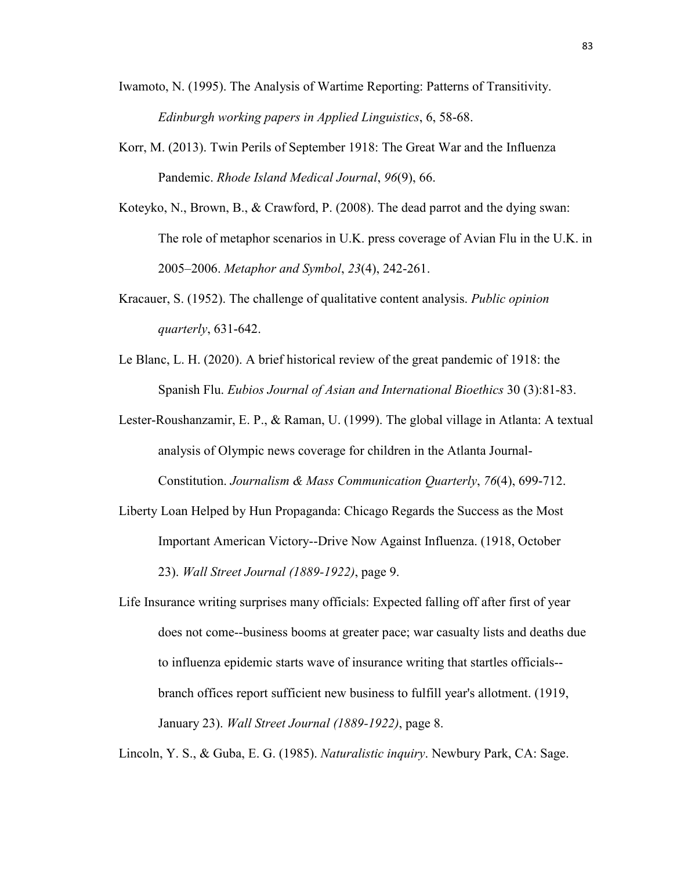- Iwamoto, N. (1995). The Analysis of Wartime Reporting: Patterns of Transitivity. *Edinburgh working papers in Applied Linguistics*, 6, 58-68.
- Korr, M. (2013). Twin Perils of September 1918: The Great War and the Influenza Pandemic. *Rhode Island Medical Journal*, *96*(9), 66.
- Koteyko, N., Brown, B., & Crawford, P. (2008). The dead parrot and the dying swan: The role of metaphor scenarios in U.K. press coverage of Avian Flu in the U.K. in 2005–2006. *Metaphor and Symbol*, *23*(4), 242-261.
- Kracauer, S. (1952). The challenge of qualitative content analysis. *Public opinion quarterly*, 631-642.
- Le Blanc, L. H. (2020). A brief historical review of the great pandemic of 1918: the Spanish Flu. *Eubios Journal of Asian and International Bioethics* 30 (3):81-83.
- Lester-Roushanzamir, E. P., & Raman, U. (1999). The global village in Atlanta: A textual analysis of Olympic news coverage for children in the Atlanta Journal-Constitution. *Journalism & Mass Communication Quarterly*, *76*(4), 699-712.
- Liberty Loan Helped by Hun Propaganda: Chicago Regards the Success as the Most Important American Victory--Drive Now Against Influenza. (1918, October 23). *Wall Street Journal (1889-1922)*, page 9.
- Life Insurance writing surprises many officials: Expected falling off after first of year does not come--business booms at greater pace; war casualty lists and deaths due to influenza epidemic starts wave of insurance writing that startles officials- branch offices report sufficient new business to fulfill year's allotment. (1919, January 23). *Wall Street Journal (1889-1922)*, page 8.

Lincoln, Y. S., & Guba, E. G. (1985). *Naturalistic inquiry*. Newbury Park, CA: Sage.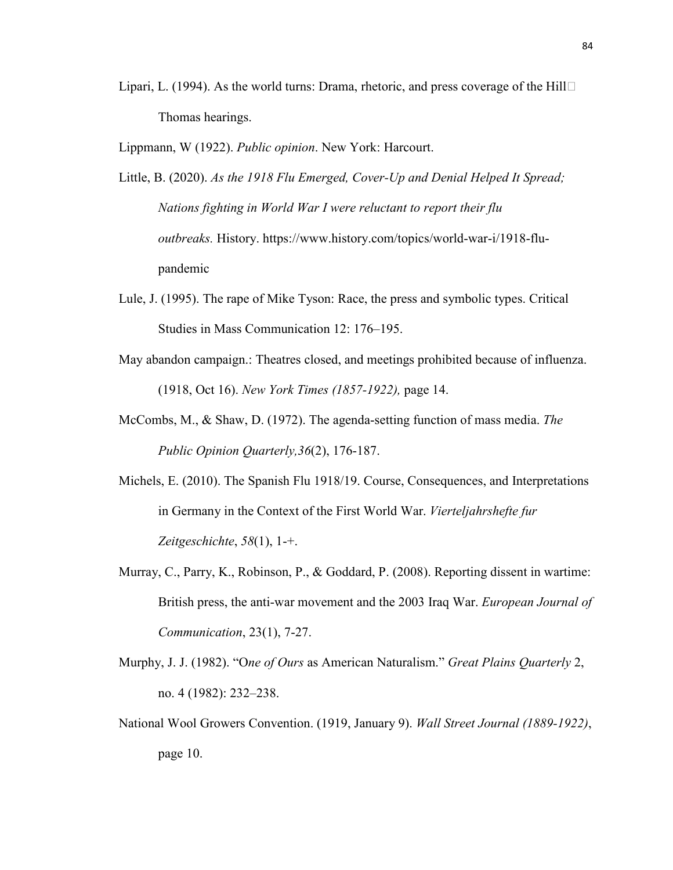- Lipari, L. (1994). As the world turns: Drama, rhetoric, and press coverage of the Hill  $\Box$ Thomas hearings.
- Lippmann, W (1922). *Public opinion*. New York: Harcourt.
- Little, B. (2020). *As the 1918 Flu Emerged, Cover-Up and Denial Helped It Spread; Nations fighting in World War I were reluctant to report their flu outbreaks.* History. https://www.history.com/topics/world-war-i/1918-flupandemic
- Lule, J. (1995). The rape of Mike Tyson: Race, the press and symbolic types. Critical Studies in Mass Communication 12: 176–195.
- May abandon campaign.: Theatres closed, and meetings prohibited because of influenza. (1918, Oct 16). *New York Times (1857-1922),* page 14.
- McCombs, M., & Shaw, D. (1972). The agenda-setting function of mass media. *The Public Opinion Quarterly,36*(2), 176-187.
- Michels, E. (2010). The Spanish Flu 1918/19. Course, Consequences, and Interpretations in Germany in the Context of the First World War. *Vierteljahrshefte fur Zeitgeschichte*, *58*(1), 1-+.
- Murray, C., Parry, K., Robinson, P., & Goddard, P. (2008). Reporting dissent in wartime: British press, the anti-war movement and the 2003 Iraq War. *European Journal of Communication*, 23(1), 7-27.
- Murphy, J. J. (1982). "O*ne of Ours* as American Naturalism." *Great Plains Quarterly* 2, no. 4 (1982): 232–238.
- National Wool Growers Convention. (1919, January 9). *Wall Street Journal (1889-1922)*, page 10.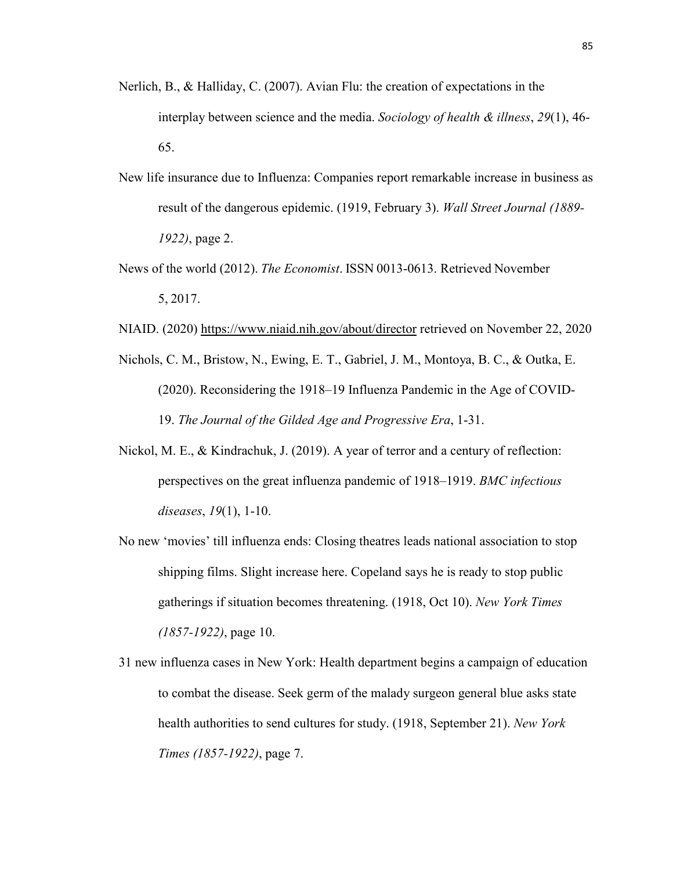- Nerlich, B., & Halliday, C. (2007). Avian Flu: the creation of expectations in the interplay between science and the media. *Sociology of health & illness*, *29*(1), 46- 65.
- New life insurance due to Influenza: Companies report remarkable increase in business as result of the dangerous epidemic. (1919, February 3). *Wall Street Journal (1889- 1922)*, page 2.
- News of the world (2012). *The Economist*. ISSN 0013-0613. Retrieved November 5, 2017.
- NIAID. (2020) https://www.niaid.nih.gov/about/director retrieved on November 22, 2020
- Nichols, C. M., Bristow, N., Ewing, E. T., Gabriel, J. M., Montoya, B. C., & Outka, E. (2020). Reconsidering the 1918–19 Influenza Pandemic in the Age of COVID-19. *The Journal of the Gilded Age and Progressive Era*, 1-31.
- Nickol, M. E., & Kindrachuk, J. (2019). A year of terror and a century of reflection: perspectives on the great influenza pandemic of 1918–1919. *BMC infectious diseases*, *19*(1), 1-10.
- No new 'movies' till influenza ends: Closing theatres leads national association to stop shipping films. Slight increase here. Copeland says he is ready to stop public gatherings if situation becomes threatening. (1918, Oct 10). *New York Times (1857-1922)*, page 10.
- 31 new influenza cases in New York: Health department begins a campaign of education to combat the disease. Seek germ of the malady surgeon general blue asks state health authorities to send cultures for study. (1918, September 21). *New York Times (1857-1922)*, page 7.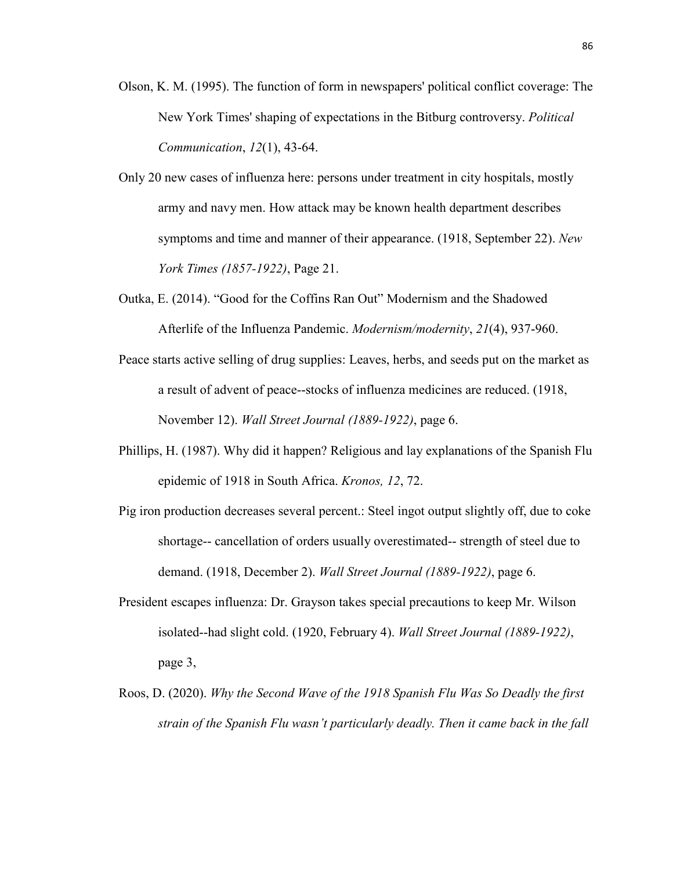- Olson, K. M. (1995). The function of form in newspapers' political conflict coverage: The New York Times' shaping of expectations in the Bitburg controversy. *Political Communication*, *12*(1), 43-64.
- Only 20 new cases of influenza here: persons under treatment in city hospitals, mostly army and navy men. How attack may be known health department describes symptoms and time and manner of their appearance. (1918, September 22). *New York Times (1857-1922)*, Page 21.
- Outka, E. (2014). "Good for the Coffins Ran Out" Modernism and the Shadowed Afterlife of the Influenza Pandemic. *Modernism/modernity*, *21*(4), 937-960.
- Peace starts active selling of drug supplies: Leaves, herbs, and seeds put on the market as a result of advent of peace--stocks of influenza medicines are reduced. (1918, November 12). *Wall Street Journal (1889-1922)*, page 6.
- Phillips, H. (1987). Why did it happen? Religious and lay explanations of the Spanish Flu epidemic of 1918 in South Africa. *Kronos, 12*, 72.
- Pig iron production decreases several percent.: Steel ingot output slightly off, due to coke shortage-- cancellation of orders usually overestimated-- strength of steel due to demand. (1918, December 2). *Wall Street Journal (1889-1922)*, page 6.
- President escapes influenza: Dr. Grayson takes special precautions to keep Mr. Wilson isolated--had slight cold. (1920, February 4). *Wall Street Journal (1889-1922)*, page 3,
- Roos, D. (2020). *Why the Second Wave of the 1918 Spanish Flu Was So Deadly the first strain of the Spanish Flu wasn't particularly deadly. Then it came back in the fall*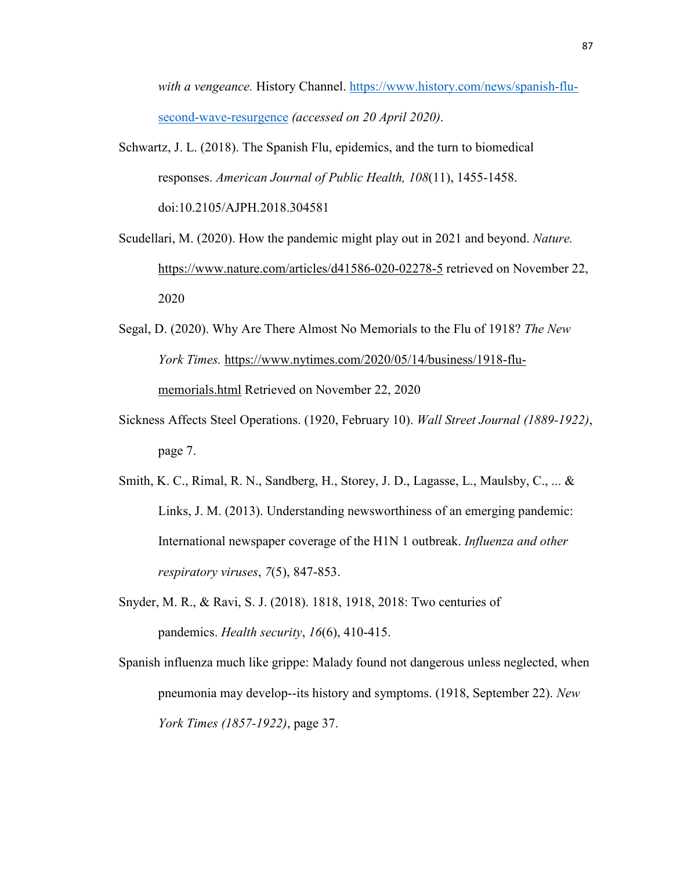*with a vengeance.* History Channel. https://www.history.com/news/spanish-flusecond-wave-resurgence *(accessed on 20 April 2020)*.

Schwartz, J. L. (2018). The Spanish Flu, epidemics, and the turn to biomedical responses. *American Journal of Public Health, 108*(11), 1455-1458. doi:10.2105/AJPH.2018.304581

Scudellari, M. (2020). How the pandemic might play out in 2021 and beyond. *Nature.* https://www.nature.com/articles/d41586-020-02278-5 retrieved on November 22, 2020

- Segal, D. (2020). Why Are There Almost No Memorials to the Flu of 1918? *The New York Times.* https://www.nytimes.com/2020/05/14/business/1918-flumemorials.html Retrieved on November 22, 2020
- Sickness Affects Steel Operations. (1920, February 10). *Wall Street Journal (1889-1922)*, page 7.
- Smith, K. C., Rimal, R. N., Sandberg, H., Storey, J. D., Lagasse, L., Maulsby, C., ... & Links, J. M. (2013). Understanding newsworthiness of an emerging pandemic: International newspaper coverage of the H1N 1 outbreak. *Influenza and other respiratory viruses*, *7*(5), 847-853.
- Snyder, M. R., & Ravi, S. J. (2018). 1818, 1918, 2018: Two centuries of pandemics. *Health security*, *16*(6), 410-415.

Spanish influenza much like grippe: Malady found not dangerous unless neglected, when pneumonia may develop--its history and symptoms. (1918, September 22). *New York Times (1857-1922)*, page 37.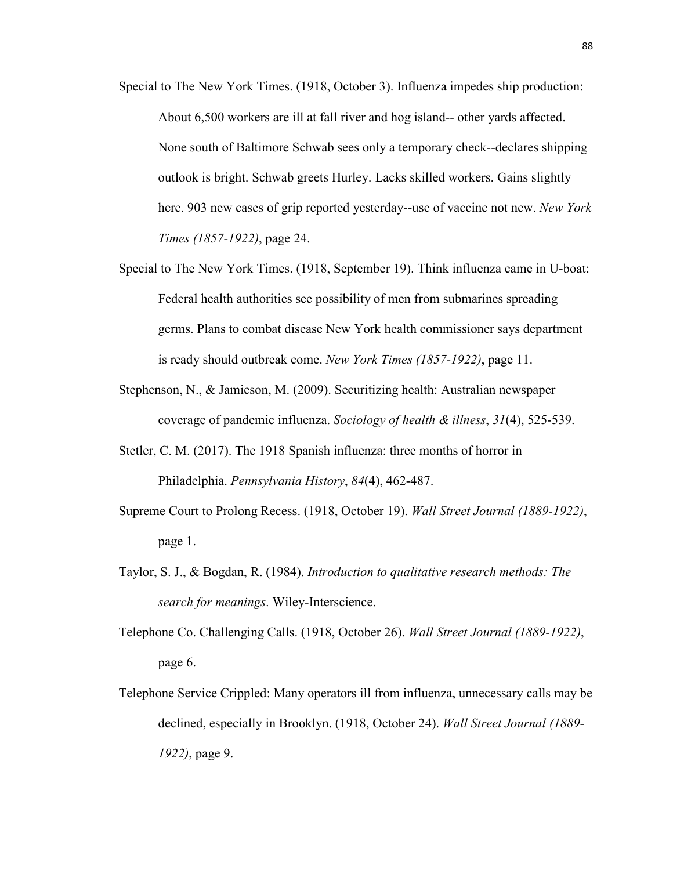- Special to The New York Times. (1918, October 3). Influenza impedes ship production: About 6,500 workers are ill at fall river and hog island-- other yards affected. None south of Baltimore Schwab sees only a temporary check--declares shipping outlook is bright. Schwab greets Hurley. Lacks skilled workers. Gains slightly here. 903 new cases of grip reported yesterday--use of vaccine not new. *New York Times (1857-1922)*, page 24.
- Special to The New York Times. (1918, September 19). Think influenza came in U-boat: Federal health authorities see possibility of men from submarines spreading germs. Plans to combat disease New York health commissioner says department is ready should outbreak come. *New York Times (1857-1922)*, page 11.
- Stephenson, N., & Jamieson, M. (2009). Securitizing health: Australian newspaper coverage of pandemic influenza. *Sociology of health & illness*, *31*(4), 525-539.
- Stetler, C. M. (2017). The 1918 Spanish influenza: three months of horror in Philadelphia. *Pennsylvania History*, *84*(4), 462-487.
- Supreme Court to Prolong Recess. (1918, October 19). *Wall Street Journal (1889-1922)*, page 1.
- Taylor, S. J., & Bogdan, R. (1984). *Introduction to qualitative research methods: The search for meanings*. Wiley-Interscience.
- Telephone Co. Challenging Calls. (1918, October 26). *Wall Street Journal (1889-1922)*, page 6.
- Telephone Service Crippled: Many operators ill from influenza, unnecessary calls may be declined, especially in Brooklyn. (1918, October 24). *Wall Street Journal (1889- 1922)*, page 9.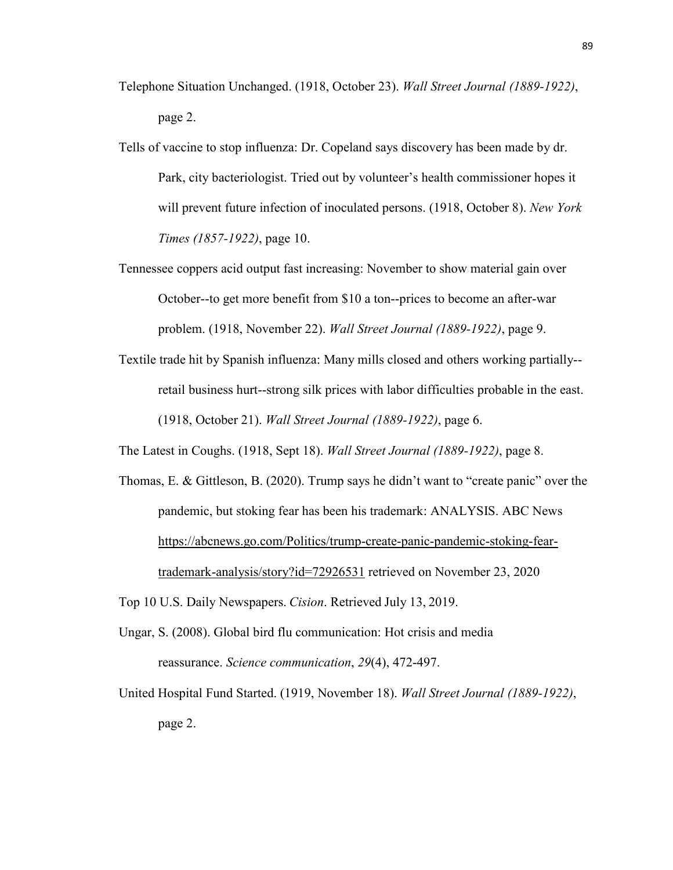- Telephone Situation Unchanged. (1918, October 23). *Wall Street Journal (1889-1922)*, page 2.
- Tells of vaccine to stop influenza: Dr. Copeland says discovery has been made by dr. Park, city bacteriologist. Tried out by volunteer's health commissioner hopes it will prevent future infection of inoculated persons. (1918, October 8). *New York Times (1857-1922)*, page 10.
- Tennessee coppers acid output fast increasing: November to show material gain over October--to get more benefit from \$10 a ton--prices to become an after-war problem. (1918, November 22). *Wall Street Journal (1889-1922)*, page 9.
- Textile trade hit by Spanish influenza: Many mills closed and others working partially- retail business hurt--strong silk prices with labor difficulties probable in the east. (1918, October 21). *Wall Street Journal (1889-1922)*, page 6.

The Latest in Coughs. (1918, Sept 18). *Wall Street Journal (1889-1922)*, page 8.

Thomas, E. & Gittleson, B. (2020). Trump says he didn't want to "create panic" over the pandemic, but stoking fear has been his trademark: ANALYSIS. ABC News https://abcnews.go.com/Politics/trump-create-panic-pandemic-stoking-feartrademark-analysis/story?id=72926531 retrieved on November 23, 2020

Top 10 U.S. Daily Newspapers. *Cision*. Retrieved July 13, 2019.

- Ungar, S. (2008). Global bird flu communication: Hot crisis and media reassurance. *Science communication*, *29*(4), 472-497.
- United Hospital Fund Started. (1919, November 18). *Wall Street Journal (1889-1922)*, page 2.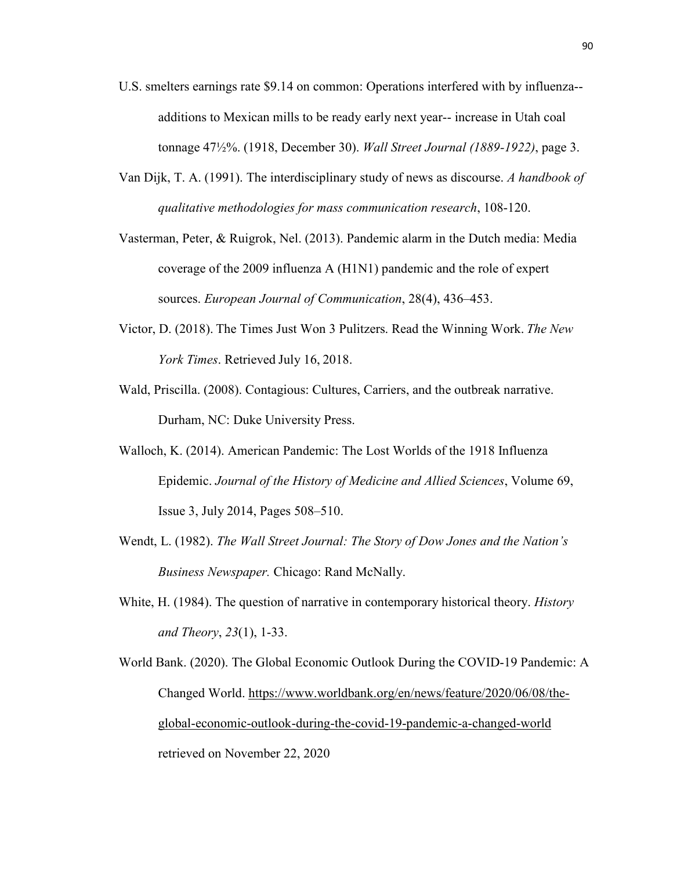- U.S. smelters earnings rate \$9.14 on common: Operations interfered with by influenza- additions to Mexican mills to be ready early next year-- increase in Utah coal tonnage 47½%. (1918, December 30). *Wall Street Journal (1889-1922)*, page 3.
- Van Dijk, T. A. (1991). The interdisciplinary study of news as discourse. *A handbook of qualitative methodologies for mass communication research*, 108-120.
- Vasterman, Peter, & Ruigrok, Nel. (2013). Pandemic alarm in the Dutch media: Media coverage of the 2009 influenza A (H1N1) pandemic and the role of expert sources. *European Journal of Communication*, 28(4), 436–453.
- Victor, D. (2018). The Times Just Won 3 Pulitzers. Read the Winning Work. *The New York Times*. Retrieved July 16, 2018.
- Wald, Priscilla. (2008). Contagious: Cultures, Carriers, and the outbreak narrative. Durham, NC: Duke University Press.
- Walloch, K. (2014). American Pandemic: The Lost Worlds of the 1918 Influenza Epidemic. *Journal of the History of Medicine and Allied Sciences*, Volume 69, Issue 3, July 2014, Pages 508–510.
- Wendt, L. (1982). *The Wall Street Journal: The Story of Dow Jones and the Nation's Business Newspaper.* Chicago: Rand McNally.
- White, H. (1984). The question of narrative in contemporary historical theory. *History and Theory*, *23*(1), 1-33.

World Bank. (2020). The Global Economic Outlook During the COVID-19 Pandemic: A Changed World. https://www.worldbank.org/en/news/feature/2020/06/08/theglobal-economic-outlook-during-the-covid-19-pandemic-a-changed-world retrieved on November 22, 2020